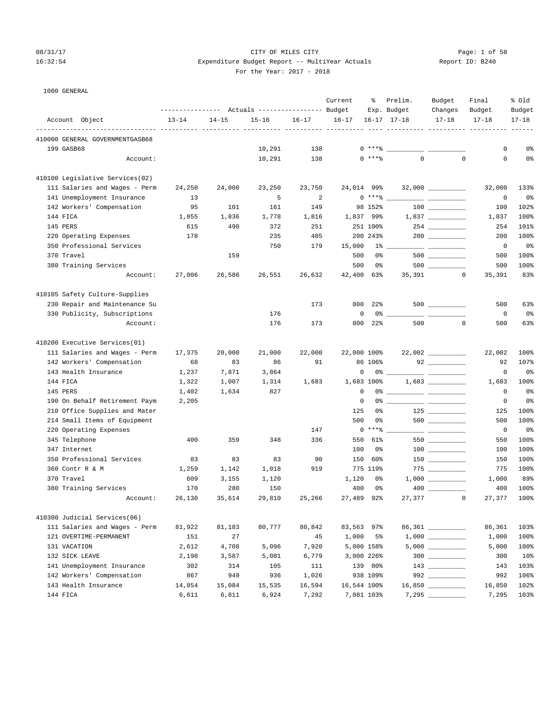1000 GENERAL

410000 GENERAL GOVERNMENTGASB68

# 08/31/17 Page: 1 of 58 16:32:54 Expenditure Budget Report -- MultiYear Actuals Report ID: B240 For the Year: 2017 - 2018

 Current % Prelim. Budget Final % Old ---------------- Actuals ----------------- Budget Exp. Budget Changes Budget Budget Account Object 13-14 14-15 15-16 16-17 16-17 16-17 17-18 17-18 17-18 17-18 -------------------------------- ---------- ---------- ---------- ---------- ---------- ---- ---------- ---------- ---------- ------

| For the Year: $2017 - 2$ |  |  |
|--------------------------|--|--|
|--------------------------|--|--|

| 199 GASB68                      |        |        | 10,291 | 138    | $0***$ $*$  |                      |                                              | 0           | 0%             |
|---------------------------------|--------|--------|--------|--------|-------------|----------------------|----------------------------------------------|-------------|----------------|
| Account:                        |        |        | 10,291 | 138    | $0$ ****    | $\Omega$             | $\mathbf 0$                                  | $\mathbf 0$ | $0\,$          |
| 410100 Legislative Services(02) |        |        |        |        |             |                      |                                              |             |                |
| 111 Salaries and Wages - Perm   | 24,250 | 24,000 | 23,250 | 23,750 | 24,014      | 99%                  |                                              | 32,000      | 133%           |
| 141 Unemployment Insurance      | 13     |        | 5      | 2      |             | $0***$ $\frac{1}{2}$ |                                              | $\mathbf 0$ | 0%             |
| 142 Workers' Compensation       | 95     | 101    | 161    | 149    | 98 152%     |                      | $\begin{array}{c} 100 \\ -100 \end{array}$   | 100         | 102%           |
| 144 FICA                        | 1,855  | 1,836  | 1,778  | 1,816  | 1,837       | 99%                  | 1,837                                        | 1,837       | 100%           |
| 145 PERS                        | 615    | 490    | 372    | 251    | 251 100%    |                      |                                              | 254         | 101%           |
| 220 Operating Expenses          | 178    |        | 235    | 485    | 200 243%    |                      |                                              | 200         | 100%           |
| 350 Professional Services       |        |        | 750    | 179    | 15,000      | $1\%$ and $1\%$      | <u> 1999 - Jan Barnett, fransk politiker</u> | $\circ$     | 0 <sup>8</sup> |
| 370 Travel                      |        | 159    |        |        | 500         | 0%                   |                                              | 500         | 100%           |
| 380 Training Services           |        |        |        |        | 500         | 0%                   |                                              | 500         | 100%           |
| Account:                        | 27,006 | 26,586 | 26,551 | 26,632 | 42,400      | 35,391<br>63%        | $\mathbf 0$                                  | 35,391      | 83%            |
| 410105 Safety Culture-Supplies  |        |        |        |        |             |                      |                                              |             |                |
| 230 Repair and Maintenance Su   |        |        |        | 173    | 800         | 22%                  | $500$ ________                               | 500         | 63%            |
| 330 Publicity, Subscriptions    |        |        | 176    |        | $\Omega$    | 0%                   |                                              | $\mathbf 0$ | 0%             |
| Account:                        |        |        | 176    | 173    | 800         | 22%<br>500           | $\mathbf 0$                                  | 500         | 63%            |
| 410200 Executive Services(01)   |        |        |        |        |             |                      |                                              |             |                |
| 111 Salaries and Wages - Perm   | 17,375 | 20,000 | 21,000 | 22,000 | 22,000 100% |                      |                                              | 22,002      | 100%           |
| 142 Workers' Compensation       | 68     | 83     | 86     | 91     | 86 106%     |                      |                                              | 92          | 107%           |
| 143 Health Insurance            | 1,237  | 7,871  | 3,864  |        | 0           | $0\%$ __             |                                              | 0           | 0 <sup>8</sup> |
| 144 FICA                        | 1,322  | 1,007  | 1,314  | 1,683  | 1,683 100%  |                      |                                              | 1,683       | 100%           |
| 145 PERS                        | 1,402  | 1,634  | 827    |        | $\Omega$    | 0 %                  |                                              | $\Omega$    | 0 <sup>°</sup> |
| 190 On Behalf Retirement Paym   | 2,205  |        |        |        | $\mathbf 0$ | 0%                   |                                              | 0           | 0%             |
| 210 Office Supplies and Mater   |        |        |        |        | 125         | 0%                   |                                              | 125         | 100%           |
| 214 Small Items of Equipment    |        |        |        |        | 500         | 0%                   |                                              | 500         | 100%           |
| 220 Operating Expenses          |        |        |        | 147    | $0***8$     |                      |                                              | $\circ$     | 0%             |
| 345 Telephone                   | 400    | 359    | 348    | 336    | 550         | 61%                  | 550                                          | 550         | 100%           |
| 347 Internet                    |        |        |        |        | 100         | 0%                   | $\begin{array}{c} 100 \\ -100 \end{array}$   | 100         | 100%           |
| 350 Professional Services       | 83     | 83     | 83     | 90     | 150         | 60%                  |                                              | 150         | 100%           |
| 360 Contr R & M                 | 1,259  | 1,142  | 1,018  | 919    | 775 119%    |                      |                                              | 775         | 100%           |
| 370 Travel                      | 609    | 3,155  | 1,120  |        | 1,120       | 0%                   |                                              | 1,000       | 89%            |
| 380 Training Services           | 170    | 280    | 150    |        | 400         | 0 <sup>8</sup>       | 400 000                                      | 400         | 100%           |
| Account:                        | 26,130 | 35,614 | 29,810 | 25,266 | 27,489      | 27,377<br>92%        | $\mathbf 0$                                  | 27,377      | 100%           |
|                                 |        |        |        |        |             |                      |                                              |             |                |

| 410300 Judicial Services(06)  |        |        |        |        |             |          |                     |        |      |
|-------------------------------|--------|--------|--------|--------|-------------|----------|---------------------|--------|------|
| 111 Salaries and Wages - Perm | 81,922 | 81,183 | 80.777 | 80,842 | 83,563 97%  |          | 86,361 ________     | 86,361 | 103% |
| 121 OVERTIME-PERMANENT        | 151    | 27     |        | 45     | 1,000       | 5%       | 1,000               | 1,000  | 100% |
| 131 VACATION                  | 2,612  | 4,708  | 5,096  | 7,920  | 5,000 158%  |          | 5,000               | 5,000  | 100% |
| 132 SICK LEAVE                | 2,198  | 3,587  | 5,081  | 6,779  | 3,000 226%  |          | 300                 | 300    | 10%  |
| 141 Unemployment Insurance    | 302    | 314    | 105    | 111    |             | 139 80%  | 143                 | 143    | 103% |
| 142 Workers' Compensation     | 867    | 949    | 936    | 1,026  |             | 938 109% | 992                 | 992    | 106% |
| 143 Health Insurance          | 14,854 | 15,084 | 15,535 | 16,594 | 16,544 100% |          | 16,850              | 16,850 | 102% |
| 144 FICA                      | 6,611  | 6,811  | 6,924  | 7,292  | 7,081 103%  |          | $7,295$ ___________ | 7,295  | 103% |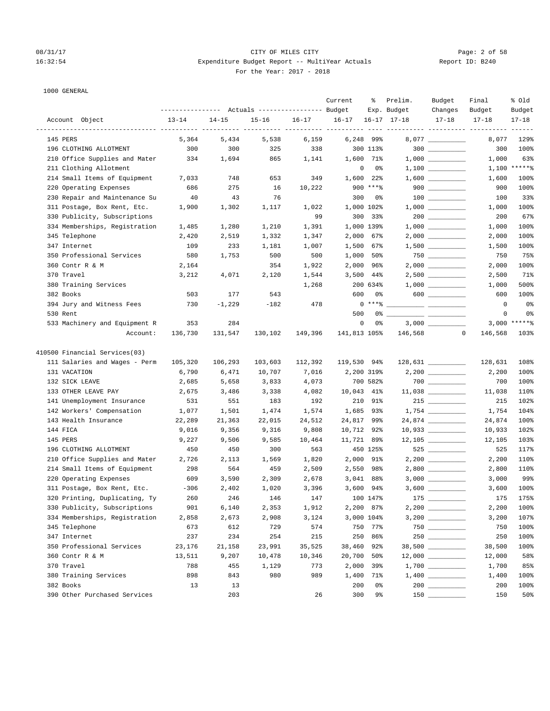1000 GENERAL

### 08/31/17 Page: 2 of 58 16:32:54 Expenditure Budget Report -- MultiYear Actuals Report ID: B240 For the Year: 2017 - 2018

|                               |                                                 |           |           |           | Current      | ႜ                 | Prelim.             | Budget                                                                                      | Final                                     | % old          |
|-------------------------------|-------------------------------------------------|-----------|-----------|-----------|--------------|-------------------|---------------------|---------------------------------------------------------------------------------------------|-------------------------------------------|----------------|
|                               | --------------- Actuals ---------------- Budget |           |           |           |              |                   | Exp. Budget         | Changes                                                                                     | Budget                                    | Budget         |
| Account Object                | $13 - 14$                                       | $14 - 15$ | $15 - 16$ | $16 - 17$ | $16 - 17$    |                   | $16 - 17$ $17 - 18$ | $17 - 18$                                                                                   | $17 - 18$<br>------- ---------- --------- | $17 - 18$      |
| 145 PERS                      | 5,364                                           | 5,434     | 5,538     | 6,159     |              | 6,248 99%         |                     | $8,077$ __________                                                                          | 8,077                                     | 129%           |
| 196 CLOTHING ALLOTMENT        | 300                                             | 300       | 325       | 338       |              | 300 113%          |                     | $300$                                                                                       | 300                                       | 100%           |
| 210 Office Supplies and Mater | 334                                             | 1,694     | 865       | 1,141     | 1,600        | 71%               |                     |                                                                                             | 1,000                                     | 63%            |
| 211 Clothing Allotment        |                                                 |           |           |           |              | 0<br>0%           |                     |                                                                                             |                                           | $1,100$ ****** |
| 214 Small Items of Equipment  | 7,033                                           | 748       | 653       | 349       | 1,600        | $22\%$            |                     |                                                                                             | 1,600                                     | 100%           |
| 220 Operating Expenses        | 686                                             | 275       | 16        | 10,222    |              | $900$ ****        |                     | $900$                                                                                       | 900                                       | 100%           |
| 230 Repair and Maintenance Su | 40                                              | 43        | 76        |           | 300          | 0%                |                     | $100$ ________                                                                              | 100                                       | 33%            |
| 311 Postage, Box Rent, Etc.   | 1,900                                           | 1,302     | 1,117     | 1,022     |              | 1,000 102%        |                     |                                                                                             | 1,000                                     | 100%           |
| 330 Publicity, Subscriptions  |                                                 |           |           | 99        | 300          | 33%               |                     |                                                                                             | 200                                       | 67%            |
| 334 Memberships, Registration | 1,485                                           | 1,280     | 1,210     | 1,391     |              | 1,000 139%        |                     | $1\, , \, 0\, 0\, 0 \quad \underline{\hspace{1cm}} \rule{2.5cm}{0.4cm} \rule{2.5cm}{0.4cm}$ | 1,000                                     | 100%           |
| 345 Telephone                 | 2,420                                           | 2,519     | 1,332     | 1,347     |              | 2,000 67%         |                     |                                                                                             | 2,000                                     | 100%           |
| 347 Internet                  | 109                                             | 233       | 1,181     | 1,007     |              | 1,500 67%         |                     | $1,500$ __________                                                                          | 1,500                                     | 100%           |
| 350 Professional Services     | 580                                             | 1,753     | 500       | 500       | 1,000        | 50%               |                     |                                                                                             | 750                                       | 75%            |
| 360 Contr R & M               | 2,164                                           |           | 354       | 1,922     | 2,000        | 96%               |                     |                                                                                             | 2,000                                     | 100%           |
| 370 Travel                    | 3,212                                           | 4,071     | 2,120     | 1,544     | 3,500        | 44%               |                     | $2,500$ ___________                                                                         | 2,500                                     | 71%            |
| 380 Training Services         |                                                 |           |           | 1,268     |              | 200 634%          |                     |                                                                                             | 1,000                                     | 500%           |
| 382 Books                     | 503                                             | 177       | 543       |           | 600          | 0%                |                     | $600$                                                                                       | 600                                       | 100%           |
| 394 Jury and Witness Fees     | 730                                             | $-1,229$  | $-182$    | 478       |              | $0***8$           |                     |                                                                                             | $\circ$                                   | 0%             |
| 530 Rent                      |                                                 |           |           |           | 500          | 0%                |                     |                                                                                             | 0                                         | 0%             |
| 533 Machinery and Equipment R | 353                                             | 284       |           |           |              | $\mathbf 0$<br>0% |                     |                                                                                             |                                           | $3,000$ ****** |
| Account:                      | 136,730                                         | 131,547   | 130,102   | 149,396   | 141,813 105% |                   | 146,568             | 0                                                                                           | 146,568                                   | 103%           |
| 410500 Financial Services(03) |                                                 |           |           |           |              |                   |                     |                                                                                             |                                           |                |
| 111 Salaries and Wages - Perm | 105,320                                         | 106,293   | 103,603   | 112,392   |              | 119,530 94%       |                     | $128,631$ _________                                                                         | 128,631                                   | 108%           |
| 131 VACATION                  | 6,790                                           | 6,471     | 10,707    | 7,016     |              | 2,200 319%        |                     |                                                                                             | 2,200                                     | 100%           |
| 132 SICK LEAVE                | 2,685                                           | 5,658     | 3,833     | 4,073     |              | 700 582%          |                     |                                                                                             | 700                                       | 100%           |
| 133 OTHER LEAVE PAY           | 2,675                                           | 3,486     | 3,338     | 4,082     |              | 10,043 41%        |                     | $11,038$ _________                                                                          | 11,038                                    | 110%           |
| 141 Unemployment Insurance    | 531                                             | 551       | 183       | 192       | 210          | 91%               |                     | $215$ __________                                                                            | 215                                       | 102%           |
| 142 Workers' Compensation     | 1,077                                           | 1,501     | 1,474     | 1,574     | 1,685        | 93%               |                     |                                                                                             | 1,754                                     | 104%           |
| 143 Health Insurance          | 22,289                                          | 21,363    | 22,015    | 24,512    | 24,817       | 99%               |                     |                                                                                             | 24,874                                    | 100%           |
| 144 FICA                      | 9,016                                           | 9,356     | 9,316     | 9,808     |              | 10,712 92%        |                     | $10,933$ _________                                                                          | 10,933                                    | 102%           |
| 145 PERS                      | 9,227                                           | 9,506     | 9,585     | 10,464    |              | 11,721 89%        |                     | $12,105$ _________                                                                          | 12,105                                    | 103%           |
| 196 CLOTHING ALLOTMENT        | 450                                             | 450       | 300       | 563       |              | 450 125%          |                     | 525 728                                                                                     | 525                                       | 117%           |
| 210 Office Supplies and Mater | 2,726                                           | 2,113     | 1,569     | 1,820     |              | 2,000 91%         |                     | $2,200$ __________                                                                          | 2,200                                     | 110%           |
| 214 Small Items of Equipment  | 298                                             | 564       | 459       | 2,509     | 2,550        | 98%               |                     | $2,800$                                                                                     | 2,800                                     | 110%           |
| 220 Operating Expenses        | 609                                             | 3,590     | 2,309     | 2,678     |              | 3,041 88%         |                     |                                                                                             | 3,000                                     | 99%            |
| 311 Postage, Box Rent, Etc.   | $-306$                                          | 2,402     | 1,020     | 3,396     |              | $3,600$ 94%       |                     |                                                                                             | 3,600                                     | 100%           |
| 320 Printing, Duplicating, Ty | 260                                             | 246       | 146       | 147       |              | 100 147%          |                     | 175                                                                                         | 175                                       | 175%           |
| 330 Publicity, Subscriptions  | 901                                             | 6,140     | 2,353     | 1,912     |              | 2,200 87%         |                     |                                                                                             | 2,200                                     | 100%           |
| 334 Memberships, Registration | 2,858                                           | 2,673     | 2,908     | 3,124     |              | 3,000 104%        |                     |                                                                                             | 3,200                                     | 107%           |
| 345 Telephone                 | 673                                             | 612       | 729       | 574       |              | 750 77%           |                     |                                                                                             | 750                                       | 100%           |
| 347 Internet                  | 237                                             | 234       | 254       | 215       |              | 250 86%           |                     |                                                                                             | 250                                       | 100%           |
| 350 Professional Services     | 23,176                                          | 21,158    | 23,991    | 35,525    |              | 38,460 92%        |                     | 38,500 __________                                                                           | 38,500                                    | 100%           |
| 360 Contr R & M               | 13,511                                          | 9,207     | 10,478    | 10,346    | 20,700       | 50%               |                     |                                                                                             | 12,000                                    | 58%            |
| 370 Travel                    | 788                                             | 455       | 1,129     | 773       | 2,000        | 39%               |                     |                                                                                             | 1,700                                     | 85%            |
| 380 Training Services         | 898                                             | 843       | 980       | 989       | 1,400        | 71%               |                     |                                                                                             | 1,400                                     | 100%           |
| 382 Books                     | 13                                              | 13        |           |           | 200          | 0%                |                     |                                                                                             | 200                                       | 100%           |
| 390 Other Purchased Services  |                                                 | 203       |           | 26        | 300          | 9%                |                     | 150                                                                                         | 150                                       | 50%            |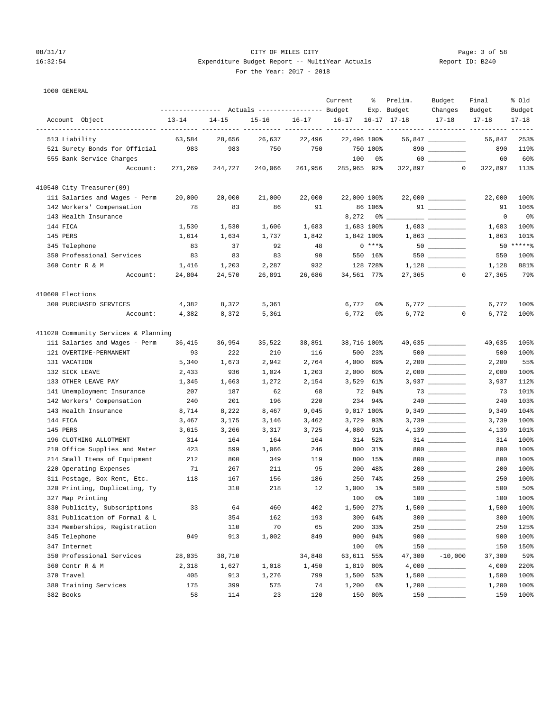# 08/31/17 CITY OF MILES CITY Page: 3 of 58 16:32:54 Expenditure Budget Report -- MultiYear Actuals Report ID: B240 For the Year: 2017 - 2018

|                                      |                                                 |           |           |         | Current     | ႜ          | Prelim.     | Budget                                                                                                                                                                                                                                                                                                                                                                                      | Final                                      | % old                   |
|--------------------------------------|-------------------------------------------------|-----------|-----------|---------|-------------|------------|-------------|---------------------------------------------------------------------------------------------------------------------------------------------------------------------------------------------------------------------------------------------------------------------------------------------------------------------------------------------------------------------------------------------|--------------------------------------------|-------------------------|
|                                      | --------------- Actuals ---------------- Budget |           |           |         |             |            | Exp. Budget | Changes                                                                                                                                                                                                                                                                                                                                                                                     | Budget                                     | Budget                  |
| Account Object                       | $13 - 14$                                       | $14 - 15$ | $15 - 16$ | 16-17   | $16 - 17$   |            | 16-17 17-18 | $17 - 18$                                                                                                                                                                                                                                                                                                                                                                                   | $17 - 18$                                  | $17 - 18$               |
| 513 Liability                        | 63,584                                          | 28,656    | 26,637    | 22,496  | 22,496 100% |            |             | $56,847$ _________                                                                                                                                                                                                                                                                                                                                                                          | ----------- ---------- ---------<br>56,847 | $- - - - - - -$<br>253% |
| 521 Surety Bonds for Official        | 983                                             | 983       | 750       | 750     |             | 750 100%   |             |                                                                                                                                                                                                                                                                                                                                                                                             | 890                                        | 119%                    |
| 555 Bank Service Charges             |                                                 |           |           |         | 100         | 0%         |             | $60$                                                                                                                                                                                                                                                                                                                                                                                        | 60                                         | 60%                     |
| Account:                             | 271,269                                         | 244,727   | 240,066   | 261,956 | 285,965 92% |            |             | $\circ$<br>322,897                                                                                                                                                                                                                                                                                                                                                                          | 322,897                                    | 113%                    |
| 410540 City Treasurer(09)            |                                                 |           |           |         |             |            |             |                                                                                                                                                                                                                                                                                                                                                                                             |                                            |                         |
| 111 Salaries and Wages - Perm        | 20,000                                          | 20,000    | 21,000    | 22,000  | 22,000 100% |            |             | $22,000$ __________                                                                                                                                                                                                                                                                                                                                                                         | 22,000                                     | 100%                    |
| 142 Workers' Compensation            | 78                                              | 83        | 86        | 91      |             | 86 106%    |             |                                                                                                                                                                                                                                                                                                                                                                                             | 91                                         | 106%                    |
| 143 Health Insurance                 |                                                 |           |           |         | 8,272       | 0 %        |             |                                                                                                                                                                                                                                                                                                                                                                                             | 0                                          | 0%                      |
| 144 FICA                             | 1,530                                           | 1,530     | 1,606     | 1,683   |             | 1,683 100% |             |                                                                                                                                                                                                                                                                                                                                                                                             | 1,683                                      | 100%                    |
| 145 PERS                             | 1,614                                           | 1,634     | 1,737     | 1,842   |             | 1,842 100% |             |                                                                                                                                                                                                                                                                                                                                                                                             | 1,863                                      | 101%                    |
| 345 Telephone                        | 83                                              | 37        | 92        | 48      |             | $0***8$    |             |                                                                                                                                                                                                                                                                                                                                                                                             |                                            | 50 ******               |
| 350 Professional Services            | 83                                              | 83        | 83        | 90      |             | 550 16%    |             | 550                                                                                                                                                                                                                                                                                                                                                                                         | 550                                        | 100%                    |
| 360 Contr R & M                      | 1,416                                           | 1,203     | 2,287     | 932     |             | 128 728%   |             | $1,128$                                                                                                                                                                                                                                                                                                                                                                                     | 1,128                                      | 881%                    |
| Account:                             | 24,804                                          | 24,570    | 26,891    | 26,686  | 34,561 77%  |            | 27,365      | $\circ$                                                                                                                                                                                                                                                                                                                                                                                     | 27,365                                     | 79%                     |
| 410600 Elections                     |                                                 |           |           |         |             |            |             |                                                                                                                                                                                                                                                                                                                                                                                             |                                            |                         |
| 300 PURCHASED SERVICES               | 4,382                                           | 8,372     | 5,361     |         | 6,772       | 0%         |             |                                                                                                                                                                                                                                                                                                                                                                                             | 6,772                                      | 100%                    |
| Account:                             | 4,382                                           | 8,372     | 5,361     |         | 6,772       | 0%         | 6,772       | 0                                                                                                                                                                                                                                                                                                                                                                                           | 6,772                                      | 100%                    |
| 411020 Community Services & Planning |                                                 |           |           |         |             |            |             |                                                                                                                                                                                                                                                                                                                                                                                             |                                            |                         |
| 111 Salaries and Wages - Perm        | 36,415                                          | 36,954    | 35,522    | 38,851  | 38,716 100% |            |             | 40,635 __________                                                                                                                                                                                                                                                                                                                                                                           | 40,635                                     | 105%                    |
| 121 OVERTIME-PERMANENT               | 93                                              | 222       | 210       | 116     | 500         | 23%        |             |                                                                                                                                                                                                                                                                                                                                                                                             | 500                                        | 100%                    |
| 131 VACATION                         | 5,340                                           | 1,673     | 2,942     | 2,764   | 4,000       | 69%        |             |                                                                                                                                                                                                                                                                                                                                                                                             | 2,200                                      | 55%                     |
| 132 SICK LEAVE                       | 2,433                                           | 936       | 1,024     | 1,203   | 2,000       | 60%        |             |                                                                                                                                                                                                                                                                                                                                                                                             | 2,000                                      | 100%                    |
| 133 OTHER LEAVE PAY                  | 1,345                                           | 1,663     | 1,272     | 2,154   | 3,529       | 61%        |             |                                                                                                                                                                                                                                                                                                                                                                                             | 3,937                                      | 112%                    |
| 141 Unemployment Insurance           | 207                                             | 187       | 62        | 68      | 72          | 94%        |             |                                                                                                                                                                                                                                                                                                                                                                                             | 73                                         | 101%                    |
| 142 Workers' Compensation            | 240                                             | 201       | 196       | 220     | 234         | 94%        |             |                                                                                                                                                                                                                                                                                                                                                                                             | 240                                        | 103%                    |
| 143 Health Insurance                 | 8,714                                           | 8,222     | 8,467     | 9,045   |             | 9,017 100% |             | 9,349 __________                                                                                                                                                                                                                                                                                                                                                                            | 9,349                                      | 104%                    |
| 144 FICA                             | 3,467                                           | 3,175     | 3,146     | 3,462   | 3,729       | 93%        |             |                                                                                                                                                                                                                                                                                                                                                                                             | 3,739                                      | 100%                    |
| 145 PERS                             | 3,615                                           | 3,266     | 3,317     | 3,725   | 4,080       | 91%        |             |                                                                                                                                                                                                                                                                                                                                                                                             | 4,139                                      | 101%                    |
| 196 CLOTHING ALLOTMENT               | 314                                             | 164       | 164       | 164     | 314         | 52%        |             | $314$ ________                                                                                                                                                                                                                                                                                                                                                                              | 314                                        | 100%                    |
| 210 Office Supplies and Mater        | 423                                             | 599       | 1,066     | 246     | 800         | 31%        |             | $800$ _________                                                                                                                                                                                                                                                                                                                                                                             | 800                                        | 100%                    |
| 214 Small Items of Equipment         | 212                                             | 800       | 349       | 119     | 800         | 15%        |             | $\begin{picture}(20,20) \put(0,0){\dashbox{0.5}(5,0){ }} \put(15,0){\circle{10}} \put(15,0){\circle{10}} \put(15,0){\circle{10}} \put(15,0){\circle{10}} \put(15,0){\circle{10}} \put(15,0){\circle{10}} \put(15,0){\circle{10}} \put(15,0){\circle{10}} \put(15,0){\circle{10}} \put(15,0){\circle{10}} \put(15,0){\circle{10}} \put(15,0){\circle{10}} \put(15,0){\circle{10}} \put(15,0$ | 800                                        | 100%                    |
| 220 Operating Expenses               | 71                                              | 267       | 211       | 95      | 200         | 48%        |             | $200$ ________                                                                                                                                                                                                                                                                                                                                                                              | 200                                        | 100%                    |
| 311 Postage, Box Rent, Etc.          | 118                                             | 167       | 156       | 186     | 250         | 74%        |             | $250$ ________                                                                                                                                                                                                                                                                                                                                                                              | 250                                        | 100%                    |
| 320 Printing, Duplicating, Ty        |                                                 | 310       | 218       | 12      | 1,000       | $1\%$      |             | $500$ ________                                                                                                                                                                                                                                                                                                                                                                              | 500                                        | 50%                     |
| 327 Map Printing                     |                                                 |           |           |         | 100         | 0%         |             |                                                                                                                                                                                                                                                                                                                                                                                             | 100                                        | 100%                    |
| 330 Publicity, Subscriptions         | 33                                              | 64        | 460       | 402     | 1,500       | 27%        |             |                                                                                                                                                                                                                                                                                                                                                                                             | 1,500                                      | 100%                    |
| 331 Publication of Formal & L        |                                                 | 354       | 162       | 193     | 300         | 64%        |             | $300$                                                                                                                                                                                                                                                                                                                                                                                       | 300                                        | 100%                    |
| 334 Memberships, Registration        |                                                 | 110       | 70        | 65      | 200         | 33%        |             |                                                                                                                                                                                                                                                                                                                                                                                             | 250                                        | 125%                    |
| 345 Telephone                        | 949                                             | 913       | 1,002     | 849     | 900         | 94%        |             | $900$                                                                                                                                                                                                                                                                                                                                                                                       | 900                                        | 100%                    |
| 347 Internet                         |                                                 |           |           |         | 100         | 0%         |             |                                                                                                                                                                                                                                                                                                                                                                                             | 150                                        | 150%                    |
| 350 Professional Services            | 28,035                                          | 38,710    |           | 34,848  | 63,611      | 55%        | 47,300      | $-10,000$                                                                                                                                                                                                                                                                                                                                                                                   | 37,300                                     | 59%                     |
| 360 Contr R & M                      | 2,318                                           | 1,627     | 1,018     | 1,450   | 1,819       | 80%        |             |                                                                                                                                                                                                                                                                                                                                                                                             | 4,000                                      | 220%                    |
| 370 Travel                           | 405                                             | 913       | 1,276     | 799     | 1,500       | 53%        |             |                                                                                                                                                                                                                                                                                                                                                                                             | 1,500                                      | 100%                    |
| 380 Training Services                | 175                                             | 399       | 575       | 74      | 1,200       | 6%         |             |                                                                                                                                                                                                                                                                                                                                                                                             | 1,200                                      | 100%                    |
| 382 Books                            | 58                                              | 114       | 23        | 120     | 150         | 80%        |             |                                                                                                                                                                                                                                                                                                                                                                                             | 150                                        | 100%                    |
|                                      |                                                 |           |           |         |             |            |             |                                                                                                                                                                                                                                                                                                                                                                                             |                                            |                         |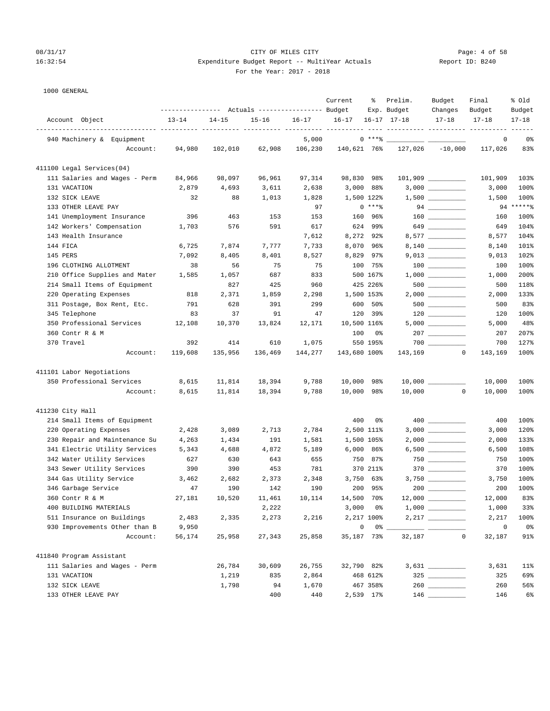# 08/31/17 CITY OF MILES CITY Page: 4 of 58 16:32:54 Expenditure Budget Report -- MultiYear Actuals Report ID: B240 For the Year: 2017 - 2018

|                               | ---------------    Actuals ----------------    Budget |           |           |         | Current      | ႜ           | Prelim.<br>Exp. Budget | Budget<br>Changes                                                                                                          | Final<br>Budget | % old<br>Budget |
|-------------------------------|-------------------------------------------------------|-----------|-----------|---------|--------------|-------------|------------------------|----------------------------------------------------------------------------------------------------------------------------|-----------------|-----------------|
| Account Object                | $13 - 14$                                             | $14 - 15$ | $15 - 16$ | 16-17   | $16 - 17$    |             | $16 - 17$ $17 - 18$    | $17 - 18$                                                                                                                  | $17 - 18$       | $17 - 18$       |
| 940 Machinery & Equipment     |                                                       |           |           | 5,000   |              | $0$ ****    |                        |                                                                                                                            | 0               | 0%              |
| Account:                      | 94,980                                                | 102,010   | 62,908    | 106,230 | 140,621 76%  |             |                        | $127,026$ $-10,000$                                                                                                        | 117,026         | 83%             |
| 411100 Legal Services(04)     |                                                       |           |           |         |              |             |                        |                                                                                                                            |                 |                 |
| 111 Salaries and Wages - Perm | 84,966                                                | 98,097    | 96,961    | 97,314  | 98,830 98%   |             |                        |                                                                                                                            | 101,909         | 103%            |
| 131 VACATION                  | 2,879                                                 | 4,693     | 3,611     | 2,638   | 3,000        | 88%         |                        | 3,000                                                                                                                      | 3,000           | 100%            |
| 132 SICK LEAVE                | 32                                                    | 88        | 1,013     | 1,828   |              | 1,500 122%  |                        | $1,500$ _________                                                                                                          | 1,500           | 100%            |
| 133 OTHER LEAVE PAY           |                                                       |           |           | 97      |              | $0***8$     |                        |                                                                                                                            |                 | $94****$        |
| 141 Unemployment Insurance    | 396                                                   | 463       | 153       | 153     | 160          | 96%         |                        | $\begin{tabular}{c} 160 \end{tabular} \begin{tabular}{c} \includegraphics[width=0.35\textwidth]{figs/1000}} \end{tabular}$ | 160             | 100%            |
| 142 Workers' Compensation     | 1,703                                                 | 576       | 591       | 617     |              | 624 99%     |                        | 649                                                                                                                        | 649             | 104%            |
| 143 Health Insurance          |                                                       |           |           | 7,612   |              | 8,272 92%   |                        | 8,577 _________                                                                                                            | 8,577           | 104%            |
| 144 FICA                      | 6,725                                                 | 7,874     | 7,777     | 7,733   |              | 8,070 96%   |                        |                                                                                                                            | 8,140           | 101%            |
| 145 PERS                      | 7,092                                                 | 8,405     | 8,401     | 8,527   |              | 8,829 97%   |                        | $9,013$ _________                                                                                                          | 9,013           | 102%            |
| 196 CLOTHING ALLOTMENT        | 38                                                    | 56        | 75        | 75      |              | 100 75%     |                        | $100$ ________                                                                                                             | 100             | 100%            |
| 210 Office Supplies and Mater | 1,585                                                 | 1,057     | 687       | 833     |              | 500 167%    |                        |                                                                                                                            | 1,000           | 200%            |
| 214 Small Items of Equipment  |                                                       | 827       | 425       | 960     |              | 425 226%    |                        | 500 000                                                                                                                    | 500             | 118%            |
| 220 Operating Expenses        | 818                                                   | 2,371     | 1,859     | 2,298   |              | 1,500 153%  |                        | $2,000$ _________                                                                                                          | 2,000           | 133%            |
| 311 Postage, Box Rent, Etc.   | 791                                                   | 628       | 391       | 299     | 600          | 50%         |                        | $500$ _________                                                                                                            | 500             | 83%             |
| 345 Telephone                 | 83                                                    | 37        | 91        | 47      | 120          | 39%         |                        | $120$ _________                                                                                                            | 120             | 100%            |
| 350 Professional Services     | 12,108                                                | 10,370    | 13,824    | 12,171  | 10,500 116%  |             |                        |                                                                                                                            | 5,000           | 48%             |
| 360 Contr R & M               |                                                       |           |           |         | 100          | 0%          |                        | $207$ ________                                                                                                             | 207             | 207%            |
| 370 Travel                    | 392                                                   | 414       | 610       | 1,075   |              | 550 195%    |                        |                                                                                                                            | 700             | 127%            |
| Account:                      | 119,608                                               | 135,956   | 136,469   | 144,277 | 143,680 100% |             |                        | 143,169 0                                                                                                                  | 143,169         | 100%            |
| 411101 Labor Negotiations     |                                                       |           |           |         |              |             |                        |                                                                                                                            |                 |                 |
| 350 Professional Services     | 8,615                                                 | 11,814    | 18,394    | 9,788   | 10,000 98%   |             |                        |                                                                                                                            | 10,000          | 100%            |
| Account:                      | 8,615                                                 | 11,814    | 18,394    | 9,788   | 10,000 98%   |             | 10,000                 | $\circ$                                                                                                                    | 10,000          | 100%            |
| 411230 City Hall              |                                                       |           |           |         |              |             |                        |                                                                                                                            |                 |                 |
| 214 Small Items of Equipment  |                                                       |           |           |         | 400          | 0%          |                        |                                                                                                                            | 400             | 100%            |
| 220 Operating Expenses        | 2,428                                                 | 3,089     | 2,713     | 2,784   |              | 2,500 111%  |                        |                                                                                                                            | 3,000           | 120%            |
| 230 Repair and Maintenance Su | 4,263                                                 | 1,434     | 191       | 1,581   |              | 1,500 105%  |                        | $2,000$ _________                                                                                                          | 2,000           | 133%            |
| 341 Electric Utility Services | 5,343                                                 | 4,688     | 4,872     | 5,189   |              | $6,000$ 86% |                        | $6,500$ __________                                                                                                         | 6,500           | 108%            |
| 342 Water Utility Services    | 627                                                   | 630       | 643       | 655     | 750          | 87%         |                        | $750$ _________                                                                                                            | 750             | 100%            |
| 343 Sewer Utility Services    | 390                                                   | 390       | 453       | 781     |              | 370 211%    |                        | 370 $\qquad$                                                                                                               | 370             | 100%            |
| 344 Gas Utility Service       | 3,462                                                 | 2,682     | 2,373     | 2,348   | 3,750        | 63%         |                        |                                                                                                                            | 3,750           | 100%            |
| 346 Garbage Service           | 47                                                    | 190       | 142       | 190     | 200          | 95%         |                        |                                                                                                                            | 200             | 100%            |
| 360 Contr R & M               | 27,181                                                | 10,520    | 11,461    | 10,114  | 14,500 70%   |             |                        | $12,000$ _________                                                                                                         | 12,000          | 83%             |
| 400 BUILDING MATERIALS        |                                                       |           | 2,222     |         | 3,000        | 0%          |                        |                                                                                                                            | 1,000           | 33%             |
| 511 Insurance on Buildings    | 2,483                                                 | 2,335     | 2,273     | 2,216   |              | 2,217 100%  |                        |                                                                                                                            | 2,217           | 100%            |
| 930 Improvements Other than B | 9,950                                                 |           |           |         | $\mathsf 0$  | 0% __       |                        |                                                                                                                            | $\mathsf 0$     | 0%              |
| Account:                      | 56,174                                                | 25,958    | 27,343    | 25,858  | 35,187 73%   |             | 32,187                 | $\mathbf{0}$                                                                                                               | 32,187          | 91%             |
| 411840 Program Assistant      |                                                       |           |           |         |              |             |                        |                                                                                                                            |                 |                 |
| 111 Salaries and Wages - Perm |                                                       | 26,784    | 30,609    | 26,755  | 32,790 82%   |             |                        |                                                                                                                            | 3,631           | 11%             |
| 131 VACATION                  |                                                       | 1,219     | 835       | 2,864   |              | 468 612%    |                        | $325$ _________                                                                                                            | 325             | 69%             |
| 132 SICK LEAVE                |                                                       | 1,798     | 94        | 1,670   |              | 467 358%    |                        |                                                                                                                            | 260             | 56%             |
| 133 OTHER LEAVE PAY           |                                                       |           | 400       | 440     |              | 2,539 17%   |                        | $146$ _________                                                                                                            | 146             | $6\%$           |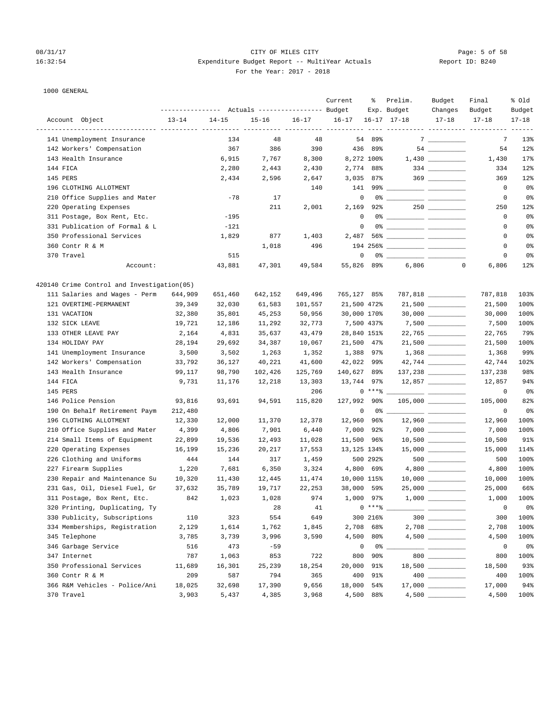### 08/31/17 Page: 5 of 58 16:32:54 Expenditure Budget Report -- MultiYear Actuals Report ID: B240 For the Year: 2017 - 2018

|                                            | ---------------- |           | Actuals ----------------- Budget |           | Current     | ႜ           | Prelim.<br>Exp. Budget | Budget<br>Changes                  | Final<br>Budget                      | % old<br>Budget  |
|--------------------------------------------|------------------|-----------|----------------------------------|-----------|-------------|-------------|------------------------|------------------------------------|--------------------------------------|------------------|
| Account Object                             | $13 - 14$        | $14 - 15$ | $15 - 16$                        | $16 - 17$ | $16 - 17$   |             | $16 - 17$ $17 - 18$    | $17 - 18$                          | $17 - 18$                            | $17 - 18$        |
| 141 Unemployment Insurance                 |                  | 134       | 48                               | 48        |             | 54 89%      |                        | $7 \hspace{0.1cm}$                 | ---------- ---------- ---------<br>7 | $- - - -$<br>13% |
| 142 Workers' Compensation                  |                  | 367       | 386                              | 390       | 436         | 89%         |                        |                                    | 54                                   | 12%              |
| 143 Health Insurance                       |                  | 6,915     | 7,767                            | 8,300     |             | 8,272 100%  |                        |                                    | 1,430                                | 17%              |
| 144 FICA                                   |                  | 2,280     | 2,443                            | 2,430     |             | 2,774 88%   |                        | $334 \ \ \underline{\hspace{1cm}}$ | 334                                  | 12%              |
| 145 PERS                                   |                  | 2,434     | 2,596                            | 2,647     |             | $3,035$ 87% |                        | $369$ _________                    | 369                                  | 12%              |
| 196 CLOTHING ALLOTMENT                     |                  |           |                                  | 140       | 141         | 99% __      |                        |                                    | 0                                    | $0\,$            |
| 210 Office Supplies and Mater              |                  | $-78$     | 17                               |           | $\mathsf 0$ |             |                        |                                    | 0                                    | 0 <sup>8</sup>   |
| 220 Operating Expenses                     |                  |           | 211                              | 2,001     | 2,169       | 92%         |                        |                                    | 250                                  | 12%              |
| 311 Postage, Box Rent, Etc.                |                  | $-195$    |                                  |           | 0           | 0%          |                        |                                    | 0                                    | 0%               |
| 331 Publication of Formal & L              |                  | $-121$    |                                  |           | $\mathbf 0$ |             |                        |                                    | 0                                    | 0%               |
| 350 Professional Services                  |                  | 1,829     | 877                              | 1,403     | 2,487       |             |                        |                                    | 0                                    | 0%               |
| 360 Contr R & M                            |                  |           | 1,018                            | 496       |             |             |                        |                                    | 0                                    | 0%               |
| 370 Travel                                 |                  | 515       |                                  |           | $\mathbf 0$ |             |                        |                                    | $\mathbf 0$                          | 0%               |
| Account:                                   |                  | 43,881    | 47,301                           | 49,584    | 55,826 89%  |             | 6,806                  |                                    | $\mathbf 0$<br>6,806                 | 12%              |
| 420140 Crime Control and Investigation(05) |                  |           |                                  |           |             |             |                        |                                    |                                      |                  |
| 111 Salaries and Wages - Perm              | 644,909          | 651,460   | 642,152                          | 649,496   | 765,127 85% |             |                        | 787,818 __________                 | 787,818                              | 103%             |
| 121 OVERTIME-PERMANENT                     | 39,349           | 32,030    | 61,583                           | 101,557   | 21,500 472% |             |                        | $21,500$ _________                 | 21,500                               | 100%             |
| 131 VACATION                               | 32,380           | 35,801    | 45,253                           | 50,956    | 30,000 170% |             |                        |                                    | 30,000                               | 100%             |
| 132 SICK LEAVE                             | 19,721           | 12,186    | 11,292                           | 32,773    | 7,500 437%  |             |                        |                                    | 7,500                                | 100%             |
| 133 OTHER LEAVE PAY                        | 2,164            | 4,831     | 35,637                           | 43,479    | 28,840 151% |             |                        |                                    | 22,765                               | 79%              |
| 134 HOLIDAY PAY                            | 28,194           | 29,692    | 34,387                           | 10,067    | 21,500      | $47\%$      |                        | $21,500$ __________                | 21,500                               | 100%             |
| 141 Unemployment Insurance                 | 3,500            | 3,502     | 1,263                            | 1,352     | 1,388 97%   |             |                        | $1,368$ _________                  | 1,368                                | 99%              |
| 142 Workers' Compensation                  | 33,792           | 36,127    | 40,221                           | 41,600    | 42,022      | 99%         |                        |                                    | 42,744                               | 102%             |
| 143 Health Insurance                       | 99,117           | 98,790    | 102,426                          | 125,769   | 140,627 89% |             |                        |                                    | 137,238                              | 98%              |
| 144 FICA                                   | 9,731            | 11,176    | 12,218                           | 13,303    | 13,744 97%  |             |                        | $12,857$ _________                 | 12,857                               | 94%              |
| 145 PERS                                   |                  |           |                                  | 206       |             | $0***8$     |                        |                                    | 0                                    | 0 <sup>°</sup>   |
| 146 Police Pension                         | 93,816           | 93,691    | 94,591                           | 115,820   | 127,992 90% |             |                        | $105,000$ _________                | 105,000                              | 82%              |
| 190 On Behalf Retirement Paym              | 212,480          |           |                                  |           | 0           | 0%          |                        |                                    | 0                                    | 0 <sup>8</sup>   |
| 196 CLOTHING ALLOTMENT                     | 12,330           | 12,000    | 11,370                           | 12,378    | 12,960 96%  |             |                        |                                    | 12,960                               | 100%             |
| 210 Office Supplies and Mater              | 4,399            | 4,806     | 7,901                            | 6,440     | 7,000 92%   |             |                        |                                    | 7,000                                | 100%             |
| 214 Small Items of Equipment               | 22,899           | 19,536    | 12,493                           | 11,028    | 11,500      | 96%         |                        |                                    | 10,500                               | 91%              |
| 220 Operating Expenses                     | 16,199           | 15,236    | 20,217                           | 17,553    | 13,125 134% |             |                        | $15,000$ _________                 | 15,000                               | 114%             |
| 226 Clothing and Uniforms                  | 444              | 144       | 317                              | 1,459     |             | 500 292%    |                        | $500$ __________                   | 500                                  | 100%             |
| 227 Firearm Supplies                       | 1,220            | 7,681     | 6,350                            | 3,324     |             | 4,800 69%   |                        |                                    | 4,800                                | 100%             |
| 230 Repair and Maintenance Su              | 10,320           | 11,430    | 12,445                           | 11,474    | 10,000 115% |             |                        |                                    | 10,000                               | 100%             |
| 231 Gas, Oil, Diesel Fuel, Gr              | 37,632           | 35,789    | 19,717                           | 22,253    | 38,000 59%  |             |                        | $25,000$ ___________               | 25,000                               | 66%              |
| 311 Postage, Box Rent, Etc.                | 842              | 1,023     | 1,028                            | 974       | 1,000 97%   |             |                        | $1,000$ _________                  | 1,000                                | 100%             |
| 320 Printing, Duplicating, Ty              |                  |           | 28                               | 41        |             | $0***$ $*$  |                        |                                    | $\mathsf 0$                          | 0 <sup>°</sup>   |
| 330 Publicity, Subscriptions               | 110              | 323       | 554                              | 649       |             | 300 216%    |                        | $300$                              | 300                                  | 100%             |
| 334 Memberships, Registration              | 2,129            | 1,614     | 1,762                            | 1,845     | 2,708       | 68%         |                        |                                    | 2,708                                | 100%             |
| 345 Telephone                              | 3,785            | 3,739     | 3,996                            | 3,590     | 4,500       | 80%         |                        |                                    | 4,500                                | 100%             |
| 346 Garbage Service                        | 516              | 473       | $-59$                            |           | 0           | 0%          |                        |                                    | $\mathbf 0$                          | $0\,$            |
| 347 Internet                               | 787              | 1,063     | 853                              | 722       | 800         | $90\%$      |                        | 800 ________                       | 800                                  | 100%             |
| 350 Professional Services                  | 11,689           | 16,301    | 25,239                           | 18,254    | 20,000      | 91%         |                        |                                    | 18,500                               | 93%              |
| 360 Contr R & M                            | 209              | 587       | 794                              | 365       | 400         | 91%         |                        |                                    | 400                                  | 100%             |
| 366 R&M Vehicles - Police/Ani              | 18,025           | 32,698    | 17,390                           | 9,656     | 18,000      | 54%         |                        |                                    | 17,000                               | 94%              |
| 370 Travel                                 | 3,903            | 5,437     | 4,385                            | 3,968     |             | 4,500 88%   |                        |                                    | 4,500                                | 100%             |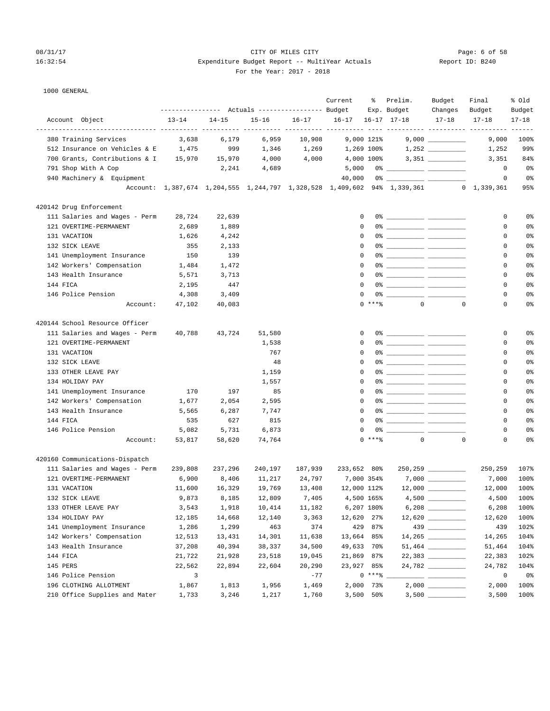# 08/31/17 CITY OF MILES CITY Page: 6 of 58 16:32:54 Expenditure Budget Report -- MultiYear Actuals For the Year: 2017 - 2018

|  | Report ID: B240 |  |  |  |
|--|-----------------|--|--|--|
|--|-----------------|--|--|--|

| For the Year: 2017 |  |  |
|--------------------|--|--|
|--------------------|--|--|

| 1000 GENERAL                                            |                         |                                                 |           |         |                           |             |                                                                                                                                                                                                                                                                                                                                                                                                                                                                                           |                                                                                                                                                                                                                                                                                                                                                                                                                                                                            |             |                |
|---------------------------------------------------------|-------------------------|-------------------------------------------------|-----------|---------|---------------------------|-------------|-------------------------------------------------------------------------------------------------------------------------------------------------------------------------------------------------------------------------------------------------------------------------------------------------------------------------------------------------------------------------------------------------------------------------------------------------------------------------------------------|----------------------------------------------------------------------------------------------------------------------------------------------------------------------------------------------------------------------------------------------------------------------------------------------------------------------------------------------------------------------------------------------------------------------------------------------------------------------------|-------------|----------------|
|                                                         |                         |                                                 |           |         | Current                   |             | % Prelim.                                                                                                                                                                                                                                                                                                                                                                                                                                                                                 | Budget                                                                                                                                                                                                                                                                                                                                                                                                                                                                     | Final       | % Old          |
|                                                         |                         | --------------- Actuals ---------------- Budget |           |         |                           |             | Exp. Budget                                                                                                                                                                                                                                                                                                                                                                                                                                                                               | Changes                                                                                                                                                                                                                                                                                                                                                                                                                                                                    | Budget      | Budget         |
| Account Object                                          | $13 - 14$               | $14 - 15$                                       | $15 - 16$ |         | 16-17 16-17 16-17 17-18   |             |                                                                                                                                                                                                                                                                                                                                                                                                                                                                                           | $17 - 18$                                                                                                                                                                                                                                                                                                                                                                                                                                                                  | $17 - 18$   | $17 - 18$      |
|                                                         |                         |                                                 |           |         |                           |             |                                                                                                                                                                                                                                                                                                                                                                                                                                                                                           |                                                                                                                                                                                                                                                                                                                                                                                                                                                                            |             |                |
| 380 Training Services                                   | 3,638                   | 6,179                                           | 6,959     | 10,908  | 9,000 121%                |             |                                                                                                                                                                                                                                                                                                                                                                                                                                                                                           |                                                                                                                                                                                                                                                                                                                                                                                                                                                                            | 9,000       | 100%           |
| 512 Insurance on Vehicles & E                           | 1,475                   | 999                                             | 1,346     | 1,269   | 1,269 100%                |             |                                                                                                                                                                                                                                                                                                                                                                                                                                                                                           |                                                                                                                                                                                                                                                                                                                                                                                                                                                                            | 1,252       | 99%            |
| 700 Grants, Contributions & I 15,970                    |                         | 15,970                                          | 4,000     | 4,000   | 4,000 100%                |             |                                                                                                                                                                                                                                                                                                                                                                                                                                                                                           | $3,351$ __________                                                                                                                                                                                                                                                                                                                                                                                                                                                         | 3,351       | 84%            |
| 791 Shop With A Cop                                     |                         | 2,241                                           | 4,689     |         | 5,000                     |             |                                                                                                                                                                                                                                                                                                                                                                                                                                                                                           |                                                                                                                                                                                                                                                                                                                                                                                                                                                                            | $^{\circ}$  | 0%             |
| 940 Machinery & Equipment                               |                         |                                                 |           |         | 40,000                    |             |                                                                                                                                                                                                                                                                                                                                                                                                                                                                                           |                                                                                                                                                                                                                                                                                                                                                                                                                                                                            | $\circ$     | 0 <sup>°</sup> |
|                                                         |                         |                                                 |           |         |                           |             | Account: 1,387,674 1,204,555 1,244,797 1,328,528 1,409,602 94% 1,339,361 0 1,339,361                                                                                                                                                                                                                                                                                                                                                                                                      |                                                                                                                                                                                                                                                                                                                                                                                                                                                                            |             | 95%            |
| 420142 Drug Enforcement                                 |                         |                                                 |           |         |                           |             |                                                                                                                                                                                                                                                                                                                                                                                                                                                                                           |                                                                                                                                                                                                                                                                                                                                                                                                                                                                            |             |                |
| 111 Salaries and Wages - Perm                           | 28,724                  | 22,639                                          |           |         | 0                         |             | $\begin{tabular}{c} 0* & \hspace{-1.5mm} \textbf{\textcolor{blue}{\bf 0}} & \hspace{-1.5mm} \textbf{\textcolor{blue}{\bf 0}} \\ \hspace{-1.5mm} \textbf{\textcolor{blue}{\bf 0}} & \hspace{-1.5mm} \textbf{\textcolor{blue}{\bf 0}} \\ \hspace{-1.5mm} \textbf{\textcolor{blue}{\bf 0}} & \hspace{-1.5mm} \textbf{\textcolor{blue}{\bf 0}} \\ \hspace{-1.5mm} \textbf{\textcolor{blue}{\bf 0}} & \hspace{-1.5mm} \textbf{\textcolor{blue}{\bf 0}} \\ \hspace{-1.5mm} \textbf{\textcolor{$ |                                                                                                                                                                                                                                                                                                                                                                                                                                                                            | 0           | 0%             |
| 121 OVERTIME-PERMANENT                                  | 2,689                   | 1,889                                           |           |         | $\mathbf 0$               |             |                                                                                                                                                                                                                                                                                                                                                                                                                                                                                           |                                                                                                                                                                                                                                                                                                                                                                                                                                                                            | 0           | 0%             |
| 131 VACATION                                            | 1,626                   | 4,242                                           |           |         | 0                         |             |                                                                                                                                                                                                                                                                                                                                                                                                                                                                                           |                                                                                                                                                                                                                                                                                                                                                                                                                                                                            | $\Omega$    | 0%             |
| 132 SICK LEAVE                                          | 355                     | 2,133                                           |           |         | $\Omega$                  |             |                                                                                                                                                                                                                                                                                                                                                                                                                                                                                           |                                                                                                                                                                                                                                                                                                                                                                                                                                                                            | $\Omega$    | 0%             |
| 141 Unemployment Insurance                              | 150                     | 139                                             |           |         | $\Omega$                  |             |                                                                                                                                                                                                                                                                                                                                                                                                                                                                                           |                                                                                                                                                                                                                                                                                                                                                                                                                                                                            | 0           | 0%             |
| 142 Workers' Compensation                               | 1,484                   | 1,472                                           |           |         | 0                         |             |                                                                                                                                                                                                                                                                                                                                                                                                                                                                                           |                                                                                                                                                                                                                                                                                                                                                                                                                                                                            | 0           | 0%             |
| 143 Health Insurance                                    | 5,571                   | 3,713                                           |           |         | 0                         |             |                                                                                                                                                                                                                                                                                                                                                                                                                                                                                           |                                                                                                                                                                                                                                                                                                                                                                                                                                                                            | 0           | 0%             |
| 144 FICA                                                | 2,195                   | 447                                             |           |         | $\Omega$                  |             |                                                                                                                                                                                                                                                                                                                                                                                                                                                                                           |                                                                                                                                                                                                                                                                                                                                                                                                                                                                            | $\Omega$    | 0%             |
| 146 Police Pension                                      | 4,308                   | 3,409                                           |           |         | $\Omega$                  |             |                                                                                                                                                                                                                                                                                                                                                                                                                                                                                           |                                                                                                                                                                                                                                                                                                                                                                                                                                                                            | $\Omega$    | 0%             |
| Account:                                                | 47,102                  | 40,083                                          |           |         |                           | $0***$      |                                                                                                                                                                                                                                                                                                                                                                                                                                                                                           | $\Omega$<br>$\mathbf 0$                                                                                                                                                                                                                                                                                                                                                                                                                                                    | $\Omega$    | 0%             |
| 420144 School Resource Officer                          |                         |                                                 |           |         |                           |             |                                                                                                                                                                                                                                                                                                                                                                                                                                                                                           |                                                                                                                                                                                                                                                                                                                                                                                                                                                                            |             |                |
|                                                         |                         |                                                 |           |         | 0                         |             |                                                                                                                                                                                                                                                                                                                                                                                                                                                                                           |                                                                                                                                                                                                                                                                                                                                                                                                                                                                            | 0           | 0%             |
| 111 Salaries and Wages - Perm<br>121 OVERTIME-PERMANENT | 40,788                  | 43,724                                          | 51,580    |         | $\Omega$                  |             |                                                                                                                                                                                                                                                                                                                                                                                                                                                                                           |                                                                                                                                                                                                                                                                                                                                                                                                                                                                            | $\Omega$    | 0%             |
|                                                         |                         |                                                 | 1,538     |         | $\Omega$                  |             |                                                                                                                                                                                                                                                                                                                                                                                                                                                                                           |                                                                                                                                                                                                                                                                                                                                                                                                                                                                            | 0           | 0%             |
| 131 VACATION<br>132 SICK LEAVE                          |                         |                                                 | 767<br>48 |         | 0                         |             |                                                                                                                                                                                                                                                                                                                                                                                                                                                                                           |                                                                                                                                                                                                                                                                                                                                                                                                                                                                            | 0           | 0%             |
| 133 OTHER LEAVE PAY                                     |                         |                                                 |           |         | 0                         |             |                                                                                                                                                                                                                                                                                                                                                                                                                                                                                           |                                                                                                                                                                                                                                                                                                                                                                                                                                                                            | $\mathbf 0$ | 0%             |
|                                                         |                         |                                                 | 1,159     |         | $\Omega$                  |             |                                                                                                                                                                                                                                                                                                                                                                                                                                                                                           |                                                                                                                                                                                                                                                                                                                                                                                                                                                                            | $\Omega$    | 0%             |
| 134 HOLIDAY PAY                                         |                         |                                                 | 1,557     |         | $\Omega$                  |             |                                                                                                                                                                                                                                                                                                                                                                                                                                                                                           |                                                                                                                                                                                                                                                                                                                                                                                                                                                                            | $\Omega$    |                |
| 141 Unemployment Insurance                              | 170                     | 197                                             | 85        |         |                           |             |                                                                                                                                                                                                                                                                                                                                                                                                                                                                                           |                                                                                                                                                                                                                                                                                                                                                                                                                                                                            |             | 0%             |
| 142 Workers' Compensation                               | 1,677                   | 2,054                                           | 2,595     |         | $\Omega$                  |             |                                                                                                                                                                                                                                                                                                                                                                                                                                                                                           |                                                                                                                                                                                                                                                                                                                                                                                                                                                                            | 0           | 0%             |
| 143 Health Insurance                                    | 5,565                   | 6,287                                           | 7,747     |         | 0                         |             |                                                                                                                                                                                                                                                                                                                                                                                                                                                                                           |                                                                                                                                                                                                                                                                                                                                                                                                                                                                            | 0           | 0%             |
| 144 FICA                                                | 535                     | 627                                             | 815       |         | $\mathbf 0$               |             |                                                                                                                                                                                                                                                                                                                                                                                                                                                                                           |                                                                                                                                                                                                                                                                                                                                                                                                                                                                            | 0           | 0%             |
| 146 Police Pension                                      | 5,082                   | 5,731                                           | 6,873     |         | $\Omega$                  |             |                                                                                                                                                                                                                                                                                                                                                                                                                                                                                           |                                                                                                                                                                                                                                                                                                                                                                                                                                                                            | $\Omega$    | 0%             |
| Account:                                                | 53,817                  | 58,620                                          | 74,764    |         |                           | $0$ *** $%$ |                                                                                                                                                                                                                                                                                                                                                                                                                                                                                           | $\overline{0}$<br>$\Omega$                                                                                                                                                                                                                                                                                                                                                                                                                                                 | $\Omega$    | 0%             |
| 420160 Communications-Dispatch                          |                         |                                                 |           |         |                           |             |                                                                                                                                                                                                                                                                                                                                                                                                                                                                                           |                                                                                                                                                                                                                                                                                                                                                                                                                                                                            |             |                |
| 111 Salaries and Wages - Perm                           | 239,808                 | 237,296                                         | 240,197   | 187,939 | 233,652 80%               |             |                                                                                                                                                                                                                                                                                                                                                                                                                                                                                           |                                                                                                                                                                                                                                                                                                                                                                                                                                                                            | 250,259     | 107%           |
| 121 OVERTIME-PERMANENT                                  | 6,900                   | 8,406                                           | 11,217    | 24,797  | 7,000 354%                |             |                                                                                                                                                                                                                                                                                                                                                                                                                                                                                           |                                                                                                                                                                                                                                                                                                                                                                                                                                                                            | 7,000       | 100%           |
| 131 VACATION                                            | 11,600                  | 16,329                                          |           |         | 19,769 13,408 12,000 112% |             |                                                                                                                                                                                                                                                                                                                                                                                                                                                                                           | 12,000                                                                                                                                                                                                                                                                                                                                                                                                                                                                     | 12,000      | 100%           |
| 132 SICK LEAVE                                          | 9,873                   | 8,185                                           | 12,809    | 7,405   |                           | 4,500 165%  |                                                                                                                                                                                                                                                                                                                                                                                                                                                                                           |                                                                                                                                                                                                                                                                                                                                                                                                                                                                            | 4,500       | 100%           |
| 133 OTHER LEAVE PAY                                     | 3,543                   | 1,918                                           | 10,414    | 11,182  |                           | 6,207 180%  |                                                                                                                                                                                                                                                                                                                                                                                                                                                                                           | $6,208$                                                                                                                                                                                                                                                                                                                                                                                                                                                                    | 6,208       | 100%           |
| 134 HOLIDAY PAY                                         | 12,185                  | 14,668                                          | 12,140    | 3,363   | 12,620 27%                |             |                                                                                                                                                                                                                                                                                                                                                                                                                                                                                           |                                                                                                                                                                                                                                                                                                                                                                                                                                                                            | 12,620      | 100%           |
| 141 Unemployment Insurance                              | 1,286                   | 1,299                                           | 463       | 374     |                           | 429 87%     |                                                                                                                                                                                                                                                                                                                                                                                                                                                                                           |                                                                                                                                                                                                                                                                                                                                                                                                                                                                            | 439         | 102%           |
| 142 Workers' Compensation                               | 12,513                  | 13,431                                          | 14,301    | 11,638  | 13,664 85%                |             |                                                                                                                                                                                                                                                                                                                                                                                                                                                                                           |                                                                                                                                                                                                                                                                                                                                                                                                                                                                            | 14,265      | 104%           |
| 143 Health Insurance                                    | 37,208                  | 40,394                                          | 38,337    | 34,500  | 49,633 70%                |             |                                                                                                                                                                                                                                                                                                                                                                                                                                                                                           |                                                                                                                                                                                                                                                                                                                                                                                                                                                                            | 51,464      | 104%           |
| 144 FICA                                                | 21,722                  | 21,928                                          | 23,518    | 19,045  | 21,869 87%                |             |                                                                                                                                                                                                                                                                                                                                                                                                                                                                                           |                                                                                                                                                                                                                                                                                                                                                                                                                                                                            | 22,383      | 102%           |
| 145 PERS                                                | 22,562                  | 22,894                                          | 22,604    | 20,290  | 23,927 85%                |             |                                                                                                                                                                                                                                                                                                                                                                                                                                                                                           | 24,782                                                                                                                                                                                                                                                                                                                                                                                                                                                                     | 24,782      | 104%           |
| 146 Police Pension                                      | $\overline{\mathbf{3}}$ |                                                 |           | $-77$   |                           | $0***$ $*$  |                                                                                                                                                                                                                                                                                                                                                                                                                                                                                           | $\frac{1}{2} \left( \frac{1}{2} \right) \left( \frac{1}{2} \right) \left( \frac{1}{2} \right) \left( \frac{1}{2} \right) \left( \frac{1}{2} \right) \left( \frac{1}{2} \right) \left( \frac{1}{2} \right) \left( \frac{1}{2} \right) \left( \frac{1}{2} \right) \left( \frac{1}{2} \right) \left( \frac{1}{2} \right) \left( \frac{1}{2} \right) \left( \frac{1}{2} \right) \left( \frac{1}{2} \right) \left( \frac{1}{2} \right) \left( \frac{1}{2} \right) \left( \frac$ | $\circ$     | 0%             |
| 196 CLOTHING ALLOTMENT                                  | 1,867                   | 1,813                                           | 1,956     | 1,469   |                           | 2,000 73%   |                                                                                                                                                                                                                                                                                                                                                                                                                                                                                           |                                                                                                                                                                                                                                                                                                                                                                                                                                                                            | 2,000       | 100%           |
| 210 Office Supplies and Mater                           | 1,733                   | 3,246                                           | 1,217     | 1,760   |                           | $3,500$ 50% |                                                                                                                                                                                                                                                                                                                                                                                                                                                                                           |                                                                                                                                                                                                                                                                                                                                                                                                                                                                            | 3,500       | 100%           |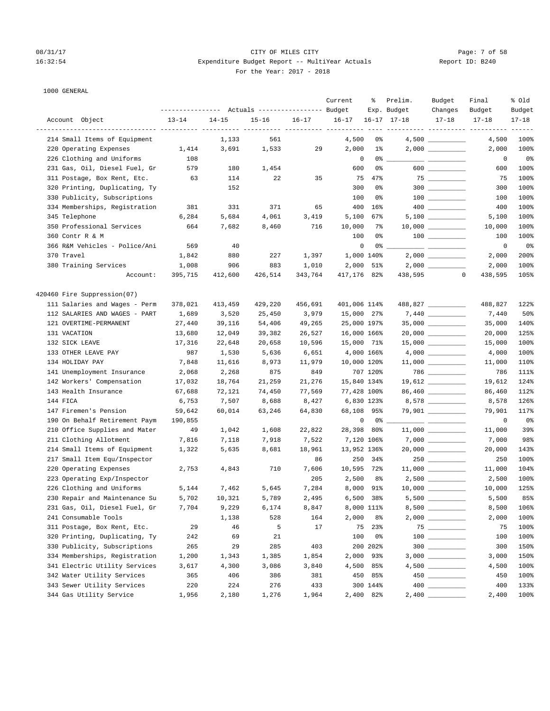|                               |           |           | Actuals ----------------- Budget |           | Current      | ႜ           | Prelim.<br>Exp. Budget | Budget<br>Changes                                                                  | Final<br>Budget                | % Old<br>Budget |
|-------------------------------|-----------|-----------|----------------------------------|-----------|--------------|-------------|------------------------|------------------------------------------------------------------------------------|--------------------------------|-----------------|
| Account Object                | $13 - 14$ | $14 - 15$ | $15 - 16$                        | $16 - 17$ | $16 - 17$    |             | $16 - 17$ $17 - 18$    | $17 - 18$                                                                          | $17 - 18$                      | $17 - 18$       |
|                               |           |           |                                  |           |              |             |                        |                                                                                    | --------- ---------- --------- | $- - - -$       |
| 214 Small Items of Equipment  |           | 1,133     | 561                              |           | 4,500        | 0%          |                        | $4,500$ __________                                                                 | 4,500                          | 100%            |
| 220 Operating Expenses        | 1,414     | 3,691     | 1,533                            | 29        | 2,000        | $1\%$       |                        | $2,000$ __________                                                                 | 2,000                          | 100%            |
| 226 Clothing and Uniforms     | 108       |           |                                  |           | 0            | 0%          |                        | $\overline{\phantom{a}}$ . The contract of $\overline{\phantom{a}}$                | 0                              | 0%              |
| 231 Gas, Oil, Diesel Fuel, Gr | 579       | 180       | 1,454                            |           | 600          | 0%          |                        | $600$                                                                              | 600                            | 100%            |
| 311 Postage, Box Rent, Etc.   | 63        | 114       | 22                               | 35        | 75           | 47%         |                        | $\begin{array}{c} 75 \end{array}$<br>$300$                                         | 75                             | 100%            |
| 320 Printing, Duplicating, Ty |           | 152       |                                  |           | 300          | 0%          |                        |                                                                                    | 300                            | 100%            |
| 330 Publicity, Subscriptions  |           |           |                                  |           | 100          | 0%          |                        |                                                                                    | 100                            | 100%            |
| 334 Memberships, Registration | 381       | 331       | 371                              | 65        | 400          | 16%         |                        |                                                                                    | 400                            | 100%            |
| 345 Telephone                 | 6,284     | 5,684     | 4,061                            | 3,419     | 5,100        | 67%         |                        |                                                                                    | 5,100                          | 100%            |
| 350 Professional Services     | 664       | 7,682     | 8,460                            | 716       | 10,000       | 7%          |                        |                                                                                    | 10,000                         | 100%            |
| 360 Contr R & M               |           |           |                                  |           | 100          | 0%          |                        | $100$ ________                                                                     | 100                            | 100%            |
| 366 R&M Vehicles - Police/Ani | 569       | 40        |                                  |           | 0            | 0%          |                        |                                                                                    | 0                              | 0%              |
| 370 Travel                    | 1,842     | 880       | 227                              | 1,397     |              | 1,000 140%  |                        |                                                                                    | 2,000                          | 200%            |
| 380 Training Services         | 1,008     | 906       | 883                              | 1,010     | 2,000        | 51%         |                        |                                                                                    | 2,000                          | 100%            |
| Account:                      | 395,715   | 412,600   | 426,514                          | 343,764   | 417,176 82%  |             | 438,595                |                                                                                    | 438,595<br>$\circ$             | 105%            |
| 420460 Fire Suppression(07)   |           |           |                                  |           |              |             |                        |                                                                                    |                                |                 |
| 111 Salaries and Wages - Perm | 378,021   | 413,459   | 429,220                          | 456,691   | 401,006 114% |             |                        | 488,827                                                                            | 488,827                        | 122%            |
| 112 SALARIES AND WAGES - PART | 1,689     | 3,520     | 25,450                           | 3,979     | 15,000 27%   |             |                        |                                                                                    | 7,440                          | 50%             |
| 121 OVERTIME-PERMANENT        | 27,440    | 39,116    | 54,406                           | 49,265    | 25,000 197%  |             |                        |                                                                                    | 35,000                         | 140%            |
| 131 VACATION                  | 13,680    | 12,049    | 39,382                           | 26,527    | 16,000 166%  |             |                        |                                                                                    | 20,000                         | 125%            |
| 132 SICK LEAVE                | 17,316    | 22,648    | 20,658                           | 10,596    | 15,000 71%   |             |                        | $15,000$ ________                                                                  | 15,000                         | 100%            |
| 133 OTHER LEAVE PAY           | 987       | 1,530     | 5,636                            | 6,651     |              | 4,000 166%  |                        |                                                                                    | 4,000                          | 100%            |
| 134 HOLIDAY PAY               | 7,848     | 11,616    | 8,973                            | 11,979    | 10,000 120%  |             |                        | $11,000$ _________                                                                 | 11,000                         | 110%            |
| 141 Unemployment Insurance    | 2,068     | 2,268     | 875                              | 849       |              | 707 120%    |                        | $786$ __________                                                                   | 786                            | 111%            |
| 142 Workers' Compensation     | 17,032    | 18,764    | 21,259                           | 21,276    | 15,840 134%  |             |                        | $19,612$ _________                                                                 | 19,612                         | 124%            |
| 143 Health Insurance          | 67,688    | 72,121    | 74,450                           | 77,569    | 77,428 100%  |             |                        | 86,460                                                                             | 86,460                         | 112%            |
| 144 FICA                      | 6,753     | 7,507     | 8,688                            | 8,427     |              | 6,830 123%  |                        | 8,578 _________                                                                    | 8,578                          | 126%            |
| 147 Firemen's Pension         | 59,642    | 60,014    | 63,246                           | 64,830    | 68,108 95%   |             |                        | 79,901 ________                                                                    | 79,901                         | 117%            |
| 190 On Behalf Retirement Paym | 190,855   |           |                                  |           | 0            |             | $0\%$ __               | $\overline{\phantom{a}}$ and $\overline{\phantom{a}}$ and $\overline{\phantom{a}}$ | 0                              | 0%              |
| 210 Office Supplies and Mater | 49        | 1,042     | 1,608                            | 22,822    | 28,398 80%   |             |                        |                                                                                    | 11,000                         | 39%             |
| 211 Clothing Allotment        | 7,816     | 7,118     | 7,918                            | 7,522     |              | 7,120 106%  |                        |                                                                                    | 7,000                          | 98%             |
| 214 Small Items of Equipment  | 1,322     | 5,635     | 8,681                            | 18,961    | 13,952 136%  |             |                        | $20,000$ _________                                                                 | 20,000                         | 143%            |
| 217 Small Item Equ/Inspector  |           |           |                                  | 86        |              | 250 34%     |                        | 250                                                                                | 250                            | 100%            |
| 220 Operating Expenses        | 2,753     | 4,843     | 710                              | 7,606     | 10,595 72%   |             |                        | $11,000$ __________                                                                | 11,000                         | 104%            |
| 223 Operating Exp/Inspector   |           |           |                                  | 205       | 2,500        | 8%          |                        | $2,500$ __________                                                                 | 2,500                          | 100%            |
| 226 Clothing and Uniforms     | 5,144     | 7,462     | 5,645                            | 7,284     |              | 8,000 91%   |                        | $10,000$ _________                                                                 | 10,000                         | 125%            |
| 230 Repair and Maintenance Su | 5,702     | 10,321    | 5,789                            | 2,495     |              | $6,500$ 38% |                        |                                                                                    | 5,500                          | 85%             |
| 231 Gas, Oil, Diesel Fuel, Gr | 7,704     | 9,229     | 6,174                            | 8,847     |              | 8,000 111%  |                        |                                                                                    | 8,500                          | 106%            |
| 241 Consumable Tools          |           | 1,138     | 528                              | 164       | 2,000        | 8%          |                        |                                                                                    | 2,000                          | 100%            |
| 311 Postage, Box Rent, Etc.   | 29        | 46        | 5                                | 17        |              | 75 23%      |                        | 75                                                                                 | 75                             | 100%            |
| 320 Printing, Duplicating, Ty | 242       | 69        | 21                               |           | 100          | 0%          |                        | $\begin{array}{c} 100 \\ - \end{array}$                                            | 100                            | 100%            |
| 330 Publicity, Subscriptions  | 265       | 29        | 285                              | 403       |              | 200 202%    |                        | $300$                                                                              | 300                            | 150%            |
| 334 Memberships, Registration | 1,200     | 1,343     | 1,385                            | 1,854     |              | 2,000 93%   |                        |                                                                                    | 3,000                          | 150%            |
| 341 Electric Utility Services | 3,617     | 4,300     | 3,086                            | 3,840     |              | 4,500 85%   |                        |                                                                                    | 4,500                          | 100%            |
| 342 Water Utility Services    | 365       | 406       | 386                              | 381       |              | 450 85%     |                        |                                                                                    | 450                            | 100%            |
| 343 Sewer Utility Services    | 220       | 224       | 276                              | 433       |              | 300 144%    |                        |                                                                                    | 400                            | 133%            |
| 344 Gas Utility Service       | 1,956     | 2,180     | 1,276                            | 1,964     |              | 2,400 82%   |                        |                                                                                    | 2,400                          | 100%            |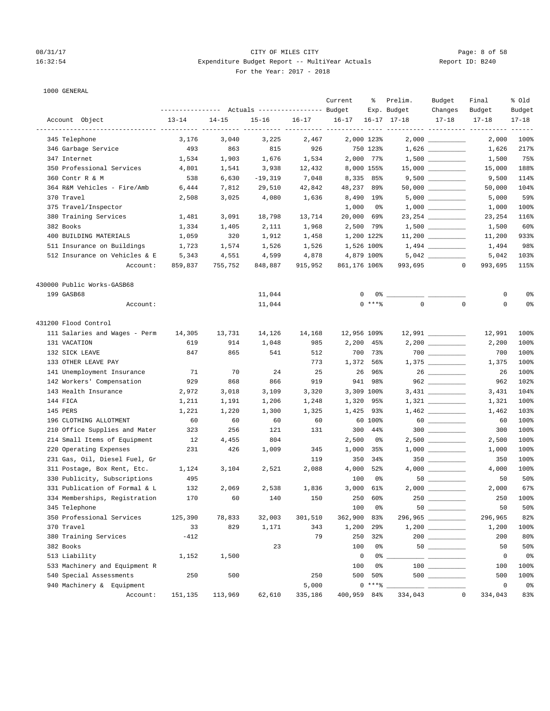### 08/31/17 Page: 8 of 58 16:32:54 Expenditure Budget Report -- MultiYear Actuals Report ID: B240 For the Year: 2017 - 2018

|                               |           |           | --------------- Actuals ---------------- Budget |           | Current      | ႜ                 | Prelim.<br>Exp. Budget | Budget<br>Changes                       | Final<br>Budget                          | % old<br>Budget |
|-------------------------------|-----------|-----------|-------------------------------------------------|-----------|--------------|-------------------|------------------------|-----------------------------------------|------------------------------------------|-----------------|
| Account Object                | $13 - 14$ | $14 - 15$ | $15 - 16$                                       | $16 - 17$ | $16 - 17$    |                   | $16 - 17$ $17 - 18$    | $17 - 18$                               | $17 - 18$                                | $17 - 18$       |
| 345 Telephone                 | 3,176     | 3,040     | 3,225                                           | 2,467     |              | 2,000 123%        |                        |                                         | ---------- ---------- ---------<br>2,000 | -----<br>100%   |
| 346 Garbage Service           | 493       | 863       | 815                                             | 926       |              | 750 123%          |                        |                                         | 1,626                                    | 217%            |
| 347 Internet                  | 1,534     | 1,903     | 1,676                                           | 1,534     |              | 2,000 77%         |                        |                                         | 1,500                                    | 75%             |
| 350 Professional Services     | 4,801     | 1,541     | 3,938                                           | 12,432    |              | 8,000 155%        |                        | $15,000$ __________                     | 15,000                                   | 188%            |
| 360 Contr R & M               | 538       | 6,630     | $-19,319$                                       | 7,048     |              | 8,335 85%         |                        | $9,500$ __________                      | 9,500                                    | 114%            |
| 364 R&M Vehicles - Fire/Amb   | 6,444     | 7,812     | 29,510                                          | 42,842    | 48,237 89%   |                   |                        | $50,000$ __________                     | 50,000                                   | 104%            |
| 370 Travel                    | 2,508     | 3,025     | 4,080                                           | 1,636     |              | 8,490 19%         |                        | $5,000$ __________                      | 5,000                                    | 59%             |
| 375 Travel/Inspector          |           |           |                                                 |           | 1,000        | - 0%              |                        |                                         | 1,000                                    | 100%            |
| 380 Training Services         | 1,481     | 3,091     | 18,798                                          | 13,714    | 20,000 69%   |                   |                        | 23, 254 __________                      | 23,254                                   | 116%            |
| 382 Books                     | 1,334     | 1,405     | 2,111                                           | 1,968     |              | 2,500 79%         |                        | $1,500$ _________                       | 1,500                                    | 60%             |
| 400 BUILDING MATERIALS        | 1,059     | 320       | 1,912                                           | 1,458     | 1,200 122%   |                   |                        | $11,200$ _________                      | 11,200                                   | 933%            |
| 511 Insurance on Buildings    | 1,723     | 1,574     | 1,526                                           | 1,526     | 1,526 100%   |                   |                        |                                         | 1,494                                    | 98%             |
| 512 Insurance on Vehicles & E | 5,343     | 4,551     | 4,599                                           | 4,878     |              | 4,879 100%        |                        | $5,042$                                 | 5,042                                    | 103%            |
| Account:                      | 859,837   | 755,752   | 848,887                                         | 915,952   | 861,176 106% |                   |                        | 993,695<br>$\mathbf{0}$                 | 993,695                                  | 115%            |
| 430000 Public Works-GASB68    |           |           |                                                 |           |              |                   |                        |                                         |                                          |                 |
| 199 GASB68                    |           |           | 11,044                                          |           | 0            |                   |                        |                                         | 0                                        | 0 <sup>°</sup>  |
| Account:                      |           |           | 11,044                                          |           |              | $0$ ****          | $\mathbf 0$            | $\mathbf{0}$                            | 0                                        | 0 <sup>°</sup>  |
| 431200 Flood Control          |           |           |                                                 |           |              |                   |                        |                                         |                                          |                 |
| 111 Salaries and Wages - Perm | 14,305    | 13,731    | 14,126                                          | 14,168    | 12,956 109%  |                   |                        | 12,991 _________                        | 12,991                                   | 100%            |
| 131 VACATION                  | 619       | 914       | 1,048                                           | 985       | 2,200        | 45%               |                        | $2,200$ _________                       | 2,200                                    | 100%            |
| 132 SICK LEAVE                | 847       | 865       | 541                                             | 512       |              | 700 73%           |                        | $700$ _________                         | 700                                      | 100%            |
| 133 OTHER LEAVE PAY           |           |           |                                                 | 773       |              | 1,372 56%         |                        |                                         | 1,375                                    | 100%            |
| 141 Unemployment Insurance    | 71        | 70        | 24                                              | 25        |              | 26 96%            |                        |                                         | 26                                       | 100%            |
| 142 Workers' Compensation     | 929       | 868       | 866                                             | 919       |              | 941 98%           |                        |                                         | 962                                      | 102%            |
| 143 Health Insurance          | 2,972     | 3,018     | 3,109                                           | 3,320     |              | 3,309 100%        |                        |                                         | 3,431                                    | 104%            |
| 144 FICA                      | 1,211     | 1,191     | 1,206                                           | 1,248     |              | 1,320 95%         |                        |                                         | 1,321                                    | 100%            |
| 145 PERS                      | 1,221     | 1,220     | 1,300                                           | 1,325     |              | 1,425 93%         |                        |                                         | 1,462                                    | 103%            |
| 196 CLOTHING ALLOTMENT        | 60        | 60        | 60                                              | 60        |              | 60 100%           |                        |                                         | 60                                       | 100%            |
| 210 Office Supplies and Mater | 323       | 256       | 121                                             | 131       |              | 300 44%           |                        |                                         | 300                                      | 100%            |
| 214 Small Items of Equipment  | 12        | 4,455     | 804                                             |           | 2,500        | 0%                |                        | $2,500$ __________                      | 2,500                                    | 100%            |
| 220 Operating Expenses        | 231       | 426       | 1,009                                           | 345       |              | 1,000 35%         |                        |                                         | 1,000                                    | 100%            |
| 231 Gas, Oil, Diesel Fuel, Gr |           |           |                                                 | 119       | 350          | 34%               |                        | $350$ _________                         | 350                                      | 100%            |
| 311 Postage, Box Rent, Etc.   | 1,124     | 3,104     | 2,521                                           | 2,088     |              | 4,000 52%         |                        |                                         | 4,000                                    | 100%            |
| 330 Publicity, Subscriptions  | 495       |           |                                                 |           | 100          | 0%                |                        |                                         | 50                                       | 50%             |
| 331 Publication of Formal & L | 132       | 2,069     | 2,538                                           | 1,836     |              | 3,000 61%         |                        | $2,000$ __________                      | 2,000                                    | 67%             |
| 334 Memberships, Registration | 170       | 60        | 140                                             | 150       | 250          | 60%               |                        | $250$ _________                         | 250                                      | 100%            |
| 345 Telephone                 |           |           |                                                 |           | 100          | 0 <sup>o</sup>    |                        |                                         | 50                                       | 50%             |
| 350 Professional Services     | 125,390   | 78,833    | 32,003                                          | 301,510   | 362,900      | 83%               |                        | 296,965                                 | 296,965                                  | 82%             |
| 370 Travel                    | 33        | 829       | 1,171                                           | 343       | 1,200        | $29$ <sup>8</sup> |                        |                                         | 1,200                                    | 100%            |
| 380 Training Services         | $-412$    |           |                                                 | 79        | 250          | 32%               |                        |                                         | 200                                      | 80%             |
| 382 Books                     |           |           | 23                                              |           | 100          | 0%                |                        |                                         | 50                                       | 50%             |
| 513 Liability                 | 1,152     | 1,500     |                                                 |           | $\mathbf 0$  | 0%                |                        |                                         | 0                                        | 0 <sup>°</sup>  |
| 533 Machinery and Equipment R |           |           |                                                 |           | 100          | 0%                |                        | $\begin{array}{c} 100 \\ - \end{array}$ | 100                                      | 100%            |
| 540 Special Assessments       | 250       | 500       |                                                 | 250       | 500          | 50%               |                        |                                         | 500                                      | 100%            |
| 940 Machinery & Equipment     |           |           |                                                 | 5,000     |              | $0***8$           |                        |                                         | $\mathsf 0$                              | 0 <sup>°</sup>  |
| Account:                      | 151,135   | 113,969   | 62,610                                          | 335,186   | 400,959 84%  |                   | 334,043                | $\mathbb O$                             | 334,043                                  | 83%             |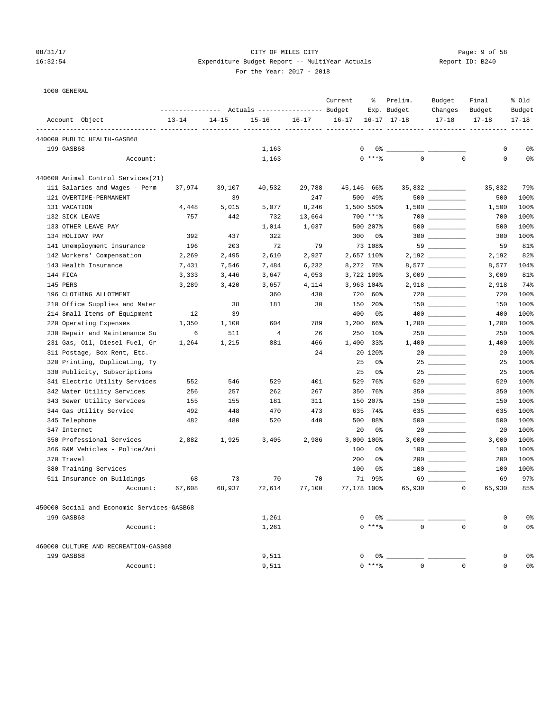### 08/31/17 Page: 9 of 58 16:32:54 Expenditure Budget Report -- MultiYear Actuals Report ID: B240 For the Year: 2017 - 2018

| 1000 GENERAL |
|--------------|
|--------------|

| TOOO ARMENT                                | ---------------    Actuals ----------------    Budget |           |           |           | Current          | ႜ               | Prelim.<br>Exp. Budget | Budget<br>Changes                       | Final<br>Budget | % Old<br>Budget |
|--------------------------------------------|-------------------------------------------------------|-----------|-----------|-----------|------------------|-----------------|------------------------|-----------------------------------------|-----------------|-----------------|
| Account Object                             | $13 - 14$                                             | $14 - 15$ | $15 - 16$ | $16 - 17$ | $16 - 17$        |                 | $16 - 17$ $17 - 18$    | $17 - 18$                               | $17 - 18$       | $17 - 18$       |
| 440000 PUBLIC HEALTH-GASB68                | __________________                                    |           | ----- --- |           | ----- ---------- |                 | ----------- ---------- |                                         |                 |                 |
| 199 GASB68                                 |                                                       |           | 1,163     |           | 0                |                 |                        |                                         | 0               | 0%              |
| Account:                                   |                                                       |           | 1,163     |           |                  | $0$ ****        | $\mathbf{0}$           | $\mathbf 0$                             | $\mathbf 0$     | 0%              |
| 440600 Animal Control Services(21)         |                                                       |           |           |           |                  |                 |                        |                                         |                 |                 |
| 111 Salaries and Wages - Perm              | 37,974                                                | 39,107    | 40,532    | 29,788    | 45,146           | 66%             |                        | 35,832                                  | 35,832          | 79%             |
| 121 OVERTIME-PERMANENT                     |                                                       | 39        |           | 247       | 500              | 49%             |                        |                                         | 500             | 100%            |
| 131 VACATION                               | 4,448                                                 | 5,015     | 5,077     | 8,246     | 1,500 550%       |                 |                        |                                         | 1,500           | 100%            |
| 132 SICK LEAVE                             | 757                                                   | 442       | 732       | 13,664    |                  | 700 ****        |                        | $700$ __________                        | 700             | 100%            |
| 133 OTHER LEAVE PAY                        |                                                       |           | 1,014     | 1,037     |                  | 500 207%        |                        |                                         | 500             | 100%            |
| 134 HOLIDAY PAY                            | 392                                                   | 437       | 322       |           | 300              | 0%              |                        |                                         | 300             | 100%            |
| 141 Unemployment Insurance                 | 196                                                   | 203       | 72        | 79        |                  | 73 108%         |                        |                                         | 59              | 81%             |
| 142 Workers' Compensation                  | 2,269                                                 | 2,495     | 2,610     | 2,927     |                  | 2,657 110%      |                        |                                         | 2,192           | 82%             |
| 143 Health Insurance                       | 7,431                                                 | 7,546     | 7,484     | 6,232     |                  | 8,272 75%       |                        | 8,577 __________                        | 8,577           | 104%            |
| 144 FICA                                   | 3,333                                                 | 3,446     | 3,647     | 4,053     |                  | 3,722 109%      |                        |                                         | 3,009           | 81%             |
| 145 PERS                                   | 3,289                                                 | 3,420     | 3,657     | 4,114     |                  | 3,963 104%      |                        |                                         | 2,918           | 74%             |
| 196 CLOTHING ALLOTMENT                     |                                                       |           | 360       | 430       | 720              | 60%             |                        |                                         | 720             | 100%            |
| 210 Office Supplies and Mater              |                                                       | 38        | 181       | 30        | 150              | 20 <sub>8</sub> |                        |                                         | 150             | 100%            |
| 214 Small Items of Equipment               | 12                                                    | 39        |           |           | 400              | 0%              |                        |                                         | 400             | 100%            |
| 220 Operating Expenses                     | 1,350                                                 | 1,100     | 604       | 789       | 1,200            | 66%             |                        |                                         | 1,200           | 100%            |
| 230 Repair and Maintenance Su              | 6                                                     | 511       | 4         | 26        | 250              | 10 <sub>8</sub> |                        |                                         | 250             | 100%            |
| 231 Gas, Oil, Diesel Fuel, Gr              | 1,264                                                 | 1,215     | 881       | 466       | 1,400            | 33%             |                        |                                         | 1,400           | 100%            |
| 311 Postage, Box Rent, Etc.                |                                                       |           |           | 24        |                  | 20 120%         |                        |                                         | 20              | 100%            |
| 320 Printing, Duplicating, Ty              |                                                       |           |           |           | 25               | 0%              |                        | $25 \ \ \underline{\hspace{1.5cm}}$     | 25              | 100%            |
| 330 Publicity, Subscriptions               |                                                       |           |           |           | 25               | 0%              |                        |                                         | 25              | 100%            |
| 341 Electric Utility Services              | 552                                                   | 546       | 529       | 401       | 529              | 76%             |                        | 529                                     | 529             | 100%            |
| 342 Water Utility Services                 | 256                                                   | 257       | 262       | 267       | 350              | 76%             |                        |                                         | 350             | 100%            |
| 343 Sewer Utility Services                 | 155                                                   | 155       | 181       | 311       |                  | 150 207%        |                        |                                         | 150             | 100%            |
| 344 Gas Utility Service                    | 492                                                   | 448       | 470       | 473       | 635              | 74%             |                        | $635$ __________                        | 635             | 100%            |
| 345 Telephone                              | 482                                                   | 480       | 520       | 440       | 500              | 88%             |                        |                                         | 500             | 100%            |
| 347 Internet                               |                                                       |           |           |           | 20               | 0%              |                        |                                         | 20              | 100%            |
| 350 Professional Services                  | 2,882                                                 | 1,925     | 3,405     | 2,986     |                  | 3,000 100%      |                        |                                         | 3,000           | 100%            |
| 366 R&M Vehicles - Police/Ani              |                                                       |           |           |           | 100              | 0%              |                        |                                         | 100             | 100%            |
| 370 Travel                                 |                                                       |           |           |           | 200              | 0%              |                        |                                         | 200             | 100%            |
| 380 Training Services                      |                                                       |           |           |           | 100              | 0%              |                        | $\begin{array}{c} 100 \\ - \end{array}$ | 100             | 100%            |
| 511 Insurance on Buildings                 | 68                                                    | 73        | 70        | 70        | 71               | 99%             |                        | 69                                      | 69              | 97%             |
| Account:                                   | 67,608                                                | 68,937    | 72,614    | 77,100    | 77,178 100%      |                 | 65,930                 | $\mathbf 0$                             | 65,930          | 85%             |
| 450000 Social and Economic Services-GASB68 |                                                       |           |           |           |                  |                 |                        |                                         |                 |                 |
| 199 GASB68                                 |                                                       |           | 1,261     |           |                  |                 |                        |                                         | 0               | 0 <sup>°</sup>  |
| Account:                                   |                                                       |           | 1,261     |           |                  |                 | $0 \; * * *$           | $\Omega$<br>$\Omega$                    | $\mathbf 0$     | 0 <sup>°</sup>  |
| 460000 CULTURE AND RECREATION-GASB68       |                                                       |           |           |           |                  |                 |                        |                                         |                 |                 |
| 199 GASB68                                 |                                                       |           | 9,511     |           |                  |                 |                        |                                         | 0               | 0%              |
| Account:                                   |                                                       |           | 9,511     |           |                  | $0***$          | $\Omega$               | $\Omega$                                | 0               | 0 <sup>8</sup>  |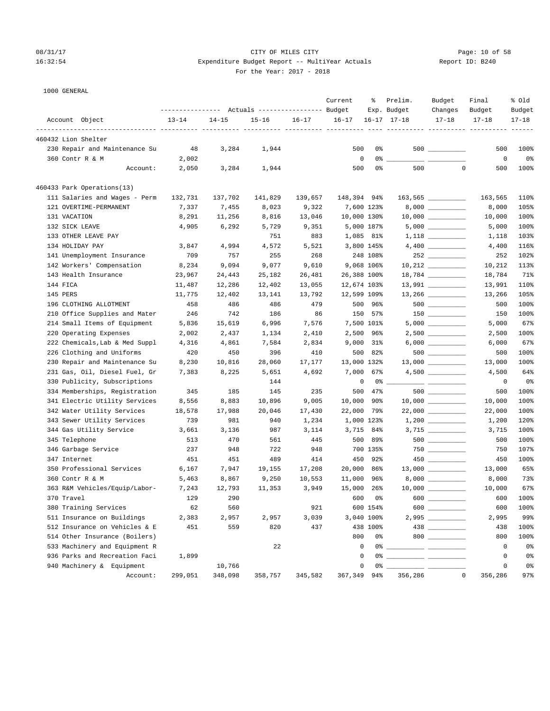# 08/31/17 Page: 10 of 58 16:32:54 Expenditure Budget Report -- MultiYear Actuals For the Year: 2017 - 2018

| Report ID: B240 |  |  |  |
|-----------------|--|--|--|
|-----------------|--|--|--|

|                                |           |           | Actuals ----------------- Budget |         | Current     | ႜ              | Prelim.<br>Exp. Budget           | Budget<br>Changes                  | Final<br>Budget | % old<br>Budget |
|--------------------------------|-----------|-----------|----------------------------------|---------|-------------|----------------|----------------------------------|------------------------------------|-----------------|-----------------|
| Account Object                 | $13 - 14$ | $14 - 15$ | $15 - 16$                        |         | $16 - 17$   |                | $16 - 17$ $17 - 18$              | $17 - 18$                          | $17 - 18$       | $17 - 18$       |
| 460432 Lion Shelter            |           |           |                                  |         |             |                | ----------- ---------- --------- |                                    |                 |                 |
| 230 Repair and Maintenance Su  | 48        | 3,284     | 1,944                            |         | 500         | 0%             |                                  |                                    | 500             | 100%            |
| 360 Contr R & M                | 2,002     |           |                                  |         | $\mathbf 0$ | $0\%$ $-$      |                                  |                                    | 0               | 0 <sup>°</sup>  |
| Account:                       | 2,050     | 3,284     | 1,944                            |         | 500         | 0%             | 500                              | $\mathbf 0$                        | 500             | 100%            |
| 460433 Park Operations(13)     |           |           |                                  |         |             |                |                                  |                                    |                 |                 |
| 111 Salaries and Wages - Perm  | 132,731   | 137,702   | 141,829                          | 139,657 | 148,394 94% |                |                                  | $163,565$ _________                | 163,565         | 110%            |
| 121 OVERTIME-PERMANENT         | 7,337     | 7,455     | 8,023                            | 9,322   | 7,600 123%  |                |                                  |                                    | 8,000           | 105%            |
| 131 VACATION                   | 8,291     | 11,256    | 8,816                            | 13,046  | 10,000 130% |                |                                  | $10,000$ __________                | 10,000          | 100%            |
| 132 SICK LEAVE                 | 4,905     | 6,292     | 5,729                            | 9,351   | 5,000 187%  |                |                                  |                                    | 5,000           | 100%            |
| 133 OTHER LEAVE PAY            |           |           | 751                              | 883     | 1,085 81%   |                |                                  | $1,118$ _________                  | 1,118           | 103%            |
| 134 HOLIDAY PAY                | 3,847     | 4,994     | 4,572                            | 5,521   | 3,800 145%  |                |                                  |                                    | 4,400           | 116%            |
| 141 Unemployment Insurance     | 709       | 757       | 255                              | 268     |             | 248 108%       |                                  |                                    | 252             | 102%            |
| 142 Workers' Compensation      | 8,234     | 9,094     | 9,077                            | 9,610   | 9,068 106%  |                |                                  | $10,212$ _________                 | 10,212          | 113%            |
| 143 Health Insurance           | 23,967    | 24,443    | 25,182                           | 26,481  | 26,388 100% |                |                                  |                                    | 18,784          | 71%             |
| 144 FICA                       | 11,487    | 12,286    | 12,402                           | 13,055  | 12,674 103% |                |                                  | $13,991$ _________                 | 13,991          | 110%            |
| 145 PERS                       | 11,775    | 12,402    | 13,141                           | 13,792  | 12,599 109% |                |                                  |                                    | 13,266          | 105%            |
| 196 CLOTHING ALLOTMENT         | 458       | 486       | 486                              | 479     |             | 500 96%        |                                  |                                    | 500             | 100%            |
| 210 Office Supplies and Mater  | 246       | 742       | 186                              | 86      |             | 150 57%        |                                  |                                    | 150             | 100%            |
| 214 Small Items of Equipment   | 5,836     | 15,619    | 6,996                            | 7,576   | 7,500 101%  |                |                                  |                                    | 5,000           | 67%             |
| 220 Operating Expenses         | 2,002     | 2,437     | 1,134                            | 2,410   | 2,500 96%   |                |                                  |                                    | 2,500           | 100%            |
| 222 Chemicals, Lab & Med Suppl | 4,316     | 4,861     | 7,584                            | 2,834   | $9,000$ 31% |                |                                  |                                    | 6,000           | 67%             |
| 226 Clothing and Uniforms      | 420       | 450       | 396                              | 410     | 500         | 82%            |                                  |                                    | 500             | 100%            |
| 230 Repair and Maintenance Su  | 8,230     | 10,816    | 28,060                           | 17,177  | 13,000 132% |                |                                  | $13,000$ __________                | 13,000          | 100%            |
| 231 Gas, Oil, Diesel Fuel, Gr  | 7,383     | 8,225     | 5,651                            | 4,692   | 7,000       | 67%            |                                  | $4,500$ __________                 | 4,500           | 64%             |
| 330 Publicity, Subscriptions   |           |           | 144                              |         | 0           | $0\degree$ $-$ |                                  | <u> 22 mars - Amerikaans III (</u> | 0               | 0%              |
| 334 Memberships, Registration  | 345       | 185       | 145                              | 235     | 500         | 47%            |                                  |                                    | 500             | 100%            |
| 341 Electric Utility Services  | 8,556     | 8,883     | 10,896                           | 9,005   | 10,000      | 90%            |                                  |                                    | 10,000          | 100%            |
| 342 Water Utility Services     | 18,578    | 17,988    | 20,046                           | 17,430  | 22,000      | 79%            |                                  | $22,000$ __________                | 22,000          | 100%            |
| 343 Sewer Utility Services     | 739       | 981       | 940                              | 1,234   | 1,000 123%  |                |                                  |                                    | 1,200           | 120%            |
| 344 Gas Utility Service        | 3,661     | 3,136     | 987                              | 3,114   | 3,715 84%   |                |                                  |                                    | 3,715           | 100%            |
| 345 Telephone                  | 513       | 470       | 561                              | 445     | 500         | 89%            |                                  | $500$ _________                    | 500             | 100%            |
| 346 Garbage Service            | 237       | 948       | 722                              | 948     |             | 700 135%       |                                  |                                    | 750             | 107%            |
| 347 Internet                   | 451       | 451       | 489                              | 414     | 450         | 92%            |                                  |                                    | 450             | 100%            |
| 350 Professional Services      | 6,167     | 7,947     | 19,155                           | 17,208  | 20,000      | 86%            |                                  | $13,000$ __________                | 13,000          | 65%             |
| 360 Contr R & M                | 5,463     | 8,867     | 9,250                            | 10,553  | 11,000      | 96%            |                                  |                                    | 8,000           | 73%             |
| 363 R&M Vehicles/Equip/Labor-  | 7,243     | 12,793    | 11,353                           | 3,949   | 15,000 26%  |                |                                  | $10,000$ __________                | 10,000          | 67%             |
| 370 Travel                     | 129       | 290       |                                  |         |             | 600 0%         |                                  | 600 000                            | 600             | 100%            |
| 380 Training Services          | 62        | 560       |                                  | 921     |             | 600 154%       |                                  | $600$                              | 600             | 100%            |
| 511 Insurance on Buildings     | 2,383     | 2,957     | 2,957                            | 3,039   | 3,040 100%  |                |                                  |                                    | 2,995           | 99%             |
| 512 Insurance on Vehicles & E  | 451       | 559       | 820                              | 437     |             | 438 100%       |                                  |                                    | 438             | 100%            |
| 514 Other Insurance (Boilers)  |           |           |                                  |         | 800         | 0%             |                                  | $800$                              | 800             | 100%            |
| 533 Machinery and Equipment R  |           |           | 22                               |         | 0           |                |                                  |                                    | 0               | 0 <sup>°</sup>  |
| 936 Parks and Recreation Faci  | 1,899     |           |                                  |         | $\mathbf 0$ | 0%             |                                  |                                    | 0               | 0 <sup>°</sup>  |
| 940 Machinery & Equipment      |           | 10,766    |                                  |         | 0           | 0%             |                                  |                                    | 0               | 0 <sup>°</sup>  |
| Account:                       | 299,051   | 348,098   | 358,757                          | 345,582 | 367,349 94% |                | 356,286                          | $\mathbb O$                        | 356,286         | 97%             |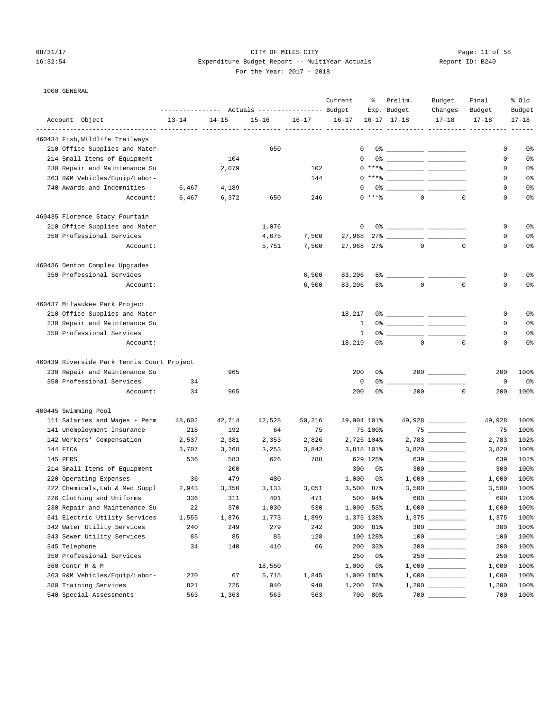# 08/31/17 Page: 11 of 58 16:32:54 Expenditure Budget Report -- MultiYear Actuals For the Year: 2017 - 2018

| Report ID: B240 |  |  |  |
|-----------------|--|--|--|
|-----------------|--|--|--|

|                                            |           |           |                                  |           | Current      | ៖              | Prelim.                                                                                                                                                                                                                                                                                                                  | Budget            | Final     | % old     |
|--------------------------------------------|-----------|-----------|----------------------------------|-----------|--------------|----------------|--------------------------------------------------------------------------------------------------------------------------------------------------------------------------------------------------------------------------------------------------------------------------------------------------------------------------|-------------------|-----------|-----------|
|                                            |           |           | Actuals ----------------- Budget |           |              |                | Exp. Budget                                                                                                                                                                                                                                                                                                              | Changes           | Budget    | Budget    |
| Account Object                             | $13 - 14$ | $14 - 15$ | $15 - 16$                        | $16 - 17$ | $16 - 17$    |                | $16 - 17$ $17 - 18$                                                                                                                                                                                                                                                                                                      | $17 - 18$         | $17 - 18$ | $17 - 18$ |
| 460434 Fish, Wildlife Trailways            |           |           |                                  |           |              |                |                                                                                                                                                                                                                                                                                                                          |                   |           |           |
| 210 Office Supplies and Mater              |           |           | $-650$                           |           |              | 0              |                                                                                                                                                                                                                                                                                                                          |                   | 0         | 0%        |
| 214 Small Items of Equipment               |           | 104       |                                  |           |              | $\mathbf 0$    |                                                                                                                                                                                                                                                                                                                          |                   | 0         | 0%        |
| 230 Repair and Maintenance Su              |           | 2,079     |                                  | 102       |              |                | $0***$ $\frac{1}{2}$ $\frac{1}{2}$ $\frac{1}{2}$ $\frac{1}{2}$ $\frac{1}{2}$ $\frac{1}{2}$ $\frac{1}{2}$ $\frac{1}{2}$ $\frac{1}{2}$ $\frac{1}{2}$ $\frac{1}{2}$ $\frac{1}{2}$ $\frac{1}{2}$ $\frac{1}{2}$ $\frac{1}{2}$ $\frac{1}{2}$ $\frac{1}{2}$ $\frac{1}{2}$ $\frac{1}{2}$ $\frac{1}{2}$ $\frac{1}{2}$ $\frac{1}{$ |                   | 0         | 0%        |
| 363 R&M Vehicles/Equip/Labor-              |           |           |                                  | 144       |              |                | $0***$ $\frac{20}{100}$                                                                                                                                                                                                                                                                                                  |                   | 0         | 0%        |
| 740 Awards and Indemnities                 | 6,467     | 4,189     |                                  |           |              |                | $0\,$ $\,$                                                                                                                                                                                                                                                                                                               |                   | 0         | 0%        |
| Account:                                   | 6,467     | 6,372     | $-650$                           | 246       |              | $0$ *** %      | $\Omega$                                                                                                                                                                                                                                                                                                                 | $\mathbf 0$       | 0         | 0%        |
| 460435 Florence Stacy Fountain             |           |           |                                  |           |              |                |                                                                                                                                                                                                                                                                                                                          |                   |           |           |
| 210 Office Supplies and Mater              |           |           | 1,076                            |           |              | 0              |                                                                                                                                                                                                                                                                                                                          |                   | 0         | 0%        |
| 350 Professional Services                  |           |           | 4,675                            | 7,500     | 27,968       |                | 27% ____________ ____                                                                                                                                                                                                                                                                                                    |                   | 0         | 0%        |
| Account:                                   |           |           | 5,751                            | 7,500     | 27,968       | 27%            | $\mathbf{0}$                                                                                                                                                                                                                                                                                                             | $\mathbf 0$       | 0         | 0%        |
| 460436 Denton Complex Upgrades             |           |           |                                  |           |              |                |                                                                                                                                                                                                                                                                                                                          |                   |           |           |
| 350 Professional Services                  |           |           |                                  | 6,500     | 83,206       | 8%             |                                                                                                                                                                                                                                                                                                                          |                   | 0         | 0%        |
| Account:                                   |           |           |                                  | 6,500     | 83,206       | 8%             | $\mathbf 0$                                                                                                                                                                                                                                                                                                              | $\mathbf{0}$      | 0         | 0%        |
| 460437 Milwaukee Park Project              |           |           |                                  |           |              |                |                                                                                                                                                                                                                                                                                                                          |                   |           |           |
| 210 Office Supplies and Mater              |           |           |                                  |           | 18,217       |                |                                                                                                                                                                                                                                                                                                                          |                   | 0         | 0%        |
| 230 Repair and Maintenance Su              |           |           |                                  |           | 1            |                |                                                                                                                                                                                                                                                                                                                          |                   | 0         | 0%        |
| 350 Professional Services                  |           |           |                                  |           | $\mathbf{1}$ |                | $0$ $\frac{1}{2}$ $\frac{1}{2}$ $\frac{1}{2}$ $\frac{1}{2}$ $\frac{1}{2}$ $\frac{1}{2}$ $\frac{1}{2}$ $\frac{1}{2}$ $\frac{1}{2}$ $\frac{1}{2}$ $\frac{1}{2}$ $\frac{1}{2}$ $\frac{1}{2}$ $\frac{1}{2}$ $\frac{1}{2}$ $\frac{1}{2}$ $\frac{1}{2}$ $\frac{1}{2}$ $\frac{1}{2}$ $\frac{1}{2}$ $\frac{1}{2}$ $\frac{1}{2$   |                   | 0         | 0%        |
| Account:                                   |           |           |                                  |           | 18,219       | 0 <sup>°</sup> | $\mathbf{0}$                                                                                                                                                                                                                                                                                                             | $\mathbf 0$       | 0         | 0%        |
| 460439 Riverside Park Tennis Court Project |           |           |                                  |           |              |                |                                                                                                                                                                                                                                                                                                                          |                   |           |           |
| 230 Repair and Maintenance Su              |           | 965       |                                  |           | 200          | 0%             |                                                                                                                                                                                                                                                                                                                          | 200               | 200       | 100%      |
| 350 Professional Services                  | 34        |           |                                  |           | $\mathsf 0$  | 0%             |                                                                                                                                                                                                                                                                                                                          |                   | 0         | 0%        |
| Account:                                   | 34        | 965       |                                  |           | 200          | 0 <sup>8</sup> | 200                                                                                                                                                                                                                                                                                                                      | $\mathbf 0$       | 200       | 100%      |
| 460445 Swimming Pool                       |           |           |                                  |           |              |                |                                                                                                                                                                                                                                                                                                                          |                   |           |           |
| 111 Salaries and Wages - Perm              | 48,602    | 42,714    | 42,528                           | 50,216    | 49,904 101%  |                |                                                                                                                                                                                                                                                                                                                          | 49,928 __________ | 49,928    | 100%      |
| 141 Unemployment Insurance                 | 218       | 192       | 64                               | 75        |              | 75 100%        |                                                                                                                                                                                                                                                                                                                          |                   | 75        | 100%      |
| 142 Workers' Compensation                  | 2,537     | 2,381     | 2,353                            | 2,826     |              | 2,725 104%     |                                                                                                                                                                                                                                                                                                                          |                   | 2,783     | 102%      |
| 144 FICA                                   | 3,707     | 3,268     | 3,253                            | 3,842     |              | 3,818 101%     |                                                                                                                                                                                                                                                                                                                          |                   | 3,820     | 100%      |
| 145 PERS                                   | 536       | 583       | 626                              | 788       |              | 629 125%       |                                                                                                                                                                                                                                                                                                                          | 639               | 639       | 102%      |
| 214 Small Items of Equipment               |           | 200       |                                  |           | 300          | 0%             |                                                                                                                                                                                                                                                                                                                          | $300$             | 300       | 100%      |
| 220 Operating Expenses                     | 36        | 479       | 480                              |           | 1,000        | 0%             |                                                                                                                                                                                                                                                                                                                          |                   | 1,000     | 100%      |
| 222 Chemicals, Lab & Med Suppl             | 2,943     | 3,350     | 3,133                            | 3,051     | 3,500        | 87%            |                                                                                                                                                                                                                                                                                                                          |                   | 3,500     | 100%      |
| 226 Clothing and Uniforms                  | 336       | 311       | 401                              | 471       | 500          | 94%            | 600                                                                                                                                                                                                                                                                                                                      |                   | 600       | 120%      |
| 230 Repair and Maintenance Su              | 22        | 370       | 1,030                            | 530       |              | 1,000 53%      |                                                                                                                                                                                                                                                                                                                          |                   | 1,000     | 100%      |
| 341 Electric Utility Services              | 1,555     | 1,876     | 1,773                            | 1,899     |              | 1,375 138%     |                                                                                                                                                                                                                                                                                                                          |                   | 1,375     | 100%      |
| 342 Water Utility Services                 | 240       | 249       | 279                              | 242       |              | 300 81%        |                                                                                                                                                                                                                                                                                                                          | $300$             | 300       | 100%      |
| 343 Sewer Utility Services                 | 85        | 85        | 85                               | 128       |              | 100 128%       |                                                                                                                                                                                                                                                                                                                          |                   | 100       | 100%      |
| 345 Telephone                              | 34        | 140       | 410                              | 66        | 200          | 33%            |                                                                                                                                                                                                                                                                                                                          |                   | 200       | 100%      |
| 350 Professional Services                  |           |           |                                  |           | 250          | 0%             |                                                                                                                                                                                                                                                                                                                          |                   | 250       | 100%      |
| 360 Contr R & M                            |           |           | 18,550                           |           | 1,000        | 0%             |                                                                                                                                                                                                                                                                                                                          |                   | 1,000     | 100%      |
| 363 R&M Vehicles/Equip/Labor-              | 270       | 67        | 5,715                            | 1,845     |              | 1,000 185%     |                                                                                                                                                                                                                                                                                                                          |                   | 1,000     | 100%      |
| 380 Training Services                      | 821       | 725       | 940                              | 940       | 1,200        | 78%            |                                                                                                                                                                                                                                                                                                                          |                   | 1,200     | 100%      |
| 540 Special Assessments                    | 563       | 1,363     | 563                              | 563       |              | 700 80%        |                                                                                                                                                                                                                                                                                                                          |                   | 700       | 100%      |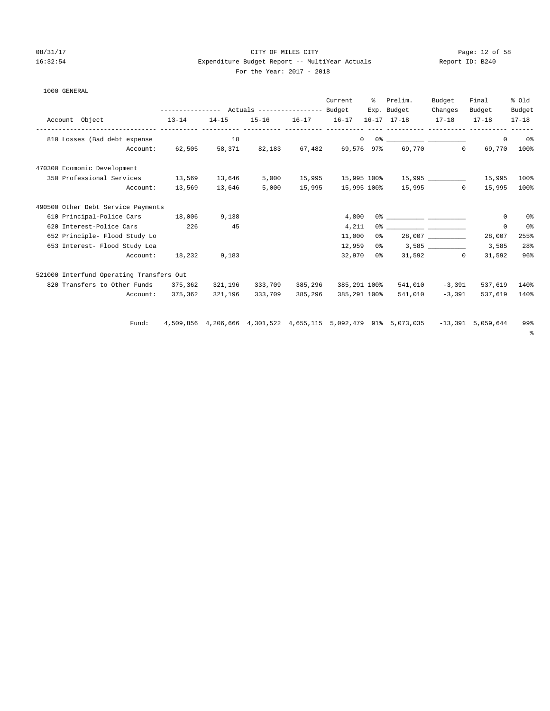1000 GENERAL

# 08/31/17 Page: 12 of 58 16:32:54 Expenditure Budget Report -- MultiYear Actuals Report ID: B240 For the Year: 2017 - 2018

| Account Object                           |          | $13 - 14$ | $14 - 15$ |         | 15-16    16-17    16-17    16-17    17-18 | Current      | % Prelim.<br>Exp. Budget                                                                                                                                                                                                                                                                                                                                           | Budget<br>Changes<br>$17 - 18$ | Final<br>Budget<br>$17 - 18$ | % old<br>Budget<br>$17 - 18$ |
|------------------------------------------|----------|-----------|-----------|---------|-------------------------------------------|--------------|--------------------------------------------------------------------------------------------------------------------------------------------------------------------------------------------------------------------------------------------------------------------------------------------------------------------------------------------------------------------|--------------------------------|------------------------------|------------------------------|
| 810 Losses (Bad debt expense             |          |           | 18        |         |                                           |              | $\begin{picture}(150,10) \put(0,0){\vector(1,0){100}} \put(15,0){\vector(1,0){100}} \put(15,0){\vector(1,0){100}} \put(15,0){\vector(1,0){100}} \put(15,0){\vector(1,0){100}} \put(15,0){\vector(1,0){100}} \put(15,0){\vector(1,0){100}} \put(15,0){\vector(1,0){100}} \put(15,0){\vector(1,0){100}} \put(15,0){\vector(1,0){100}} \put(15,0){\vector(1,0){100}}$ |                                | $\circ$                      | 0 <sup>o</sup>               |
|                                          |          |           |           |         |                                           |              | Account: 62,505 58,371 82,183 67,482 69,576 97% 69,770 0                                                                                                                                                                                                                                                                                                           |                                | 69,770                       | 100%                         |
| 470300 Ecomonic Development              |          |           |           |         |                                           |              |                                                                                                                                                                                                                                                                                                                                                                    |                                |                              |                              |
| 350 Professional Services 13,569 13,646  |          |           |           | 5,000   |                                           |              |                                                                                                                                                                                                                                                                                                                                                                    |                                |                              | 100%                         |
|                                          | Account: | 13,569    | 13,646    | 5,000   |                                           |              | 15,995    15,995    100%    15,995    0                                                                                                                                                                                                                                                                                                                            |                                | 15,995                       | 100%                         |
| 490500 Other Debt Service Payments       |          |           |           |         |                                           |              |                                                                                                                                                                                                                                                                                                                                                                    |                                |                              |                              |
| 610 Principal-Police Cars 18,006         |          |           | 9,138     |         |                                           | 4,800        |                                                                                                                                                                                                                                                                                                                                                                    |                                | $^{\circ}$                   | 0%                           |
| 620 Interest-Police Cars 226             |          |           | 45        |         |                                           | 4,211        | $0$ % and $0$ % and $0$ % and $0$ % and $0$ % and $0$ % and $0$ % and $0$ % and $0$ % and $0$ % and $0$ % and $0$ % and $0$ % and $0$ % and $0$ % and $0$ % and $0$ % and $0$ % and $0$ % and $0$ % and $0$ % and $0$ % and                                                                                                                                        |                                | $\mathbf 0$                  | 0 <sup>o</sup>               |
| 652 Principle- Flood Study Lo            |          |           |           |         |                                           | 11,000       | $0\%$ 28,007                                                                                                                                                                                                                                                                                                                                                       |                                | 28,007                       | 255%                         |
| 653 Interest- Flood Study Loa            |          |           |           |         |                                           | 12,959       | $0\frac{1}{6}$ 3,585                                                                                                                                                                                                                                                                                                                                               |                                | 3,585                        | 28%                          |
|                                          | Account: | 18,232    | 9,183     |         |                                           |              | 32,970 0% 31,592 0                                                                                                                                                                                                                                                                                                                                                 |                                | 31,592                       | 96%                          |
| 521000 Interfund Operating Transfers Out |          |           |           |         |                                           |              |                                                                                                                                                                                                                                                                                                                                                                    |                                |                              |                              |
| 820 Transfers to Other Funds 375,362     |          |           | 321,196   |         | 333,709 385,296                           | 385,291 100% |                                                                                                                                                                                                                                                                                                                                                                    | 541,010 -3,391                 | 537,619                      | 140%                         |
|                                          | Account: | 375,362   | 321,196   | 333,709 | 385,296                                   | 385,291 100% | 541,010                                                                                                                                                                                                                                                                                                                                                            | $-3.391$                       | 537,619                      | 140%                         |
|                                          | Fund:    |           |           |         |                                           |              | 4,509,856 4,206,666 4,301,522 4,655,115 5,092,479 91% 5,073,035 -13,391 5,059,644                                                                                                                                                                                                                                                                                  |                                |                              | 99%                          |
|                                          |          |           |           |         |                                           |              |                                                                                                                                                                                                                                                                                                                                                                    |                                |                              | ႜႜ                           |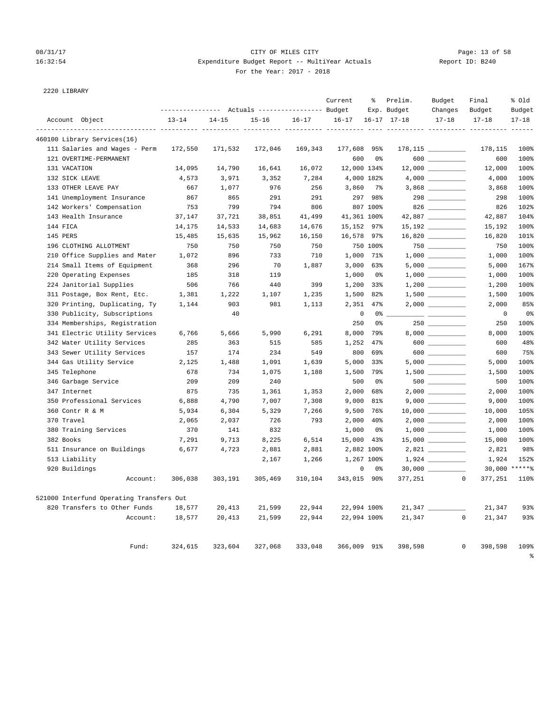# 08/31/17 Page: 13 of 58 16:32:54 Expenditure Budget Report -- MultiYear Actuals Report ID: B240 For the Year: 2017 - 2018

2220 LIBRARY

|                                                   | --------------- Actuals ---------------- Budget |                    |           |           | Current                    | ႜ                | Prelim.<br>Exp. Budget | Budget<br>Changes    | Final<br>Budget        | % old<br>Budget |
|---------------------------------------------------|-------------------------------------------------|--------------------|-----------|-----------|----------------------------|------------------|------------------------|----------------------|------------------------|-----------------|
| Account Object                                    | $13 - 14$                                       | $14 - 15$          | $15 - 16$ | $16 - 17$ | $16 - 17$                  |                  | $16 - 17$ $17 - 18$    | $17 - 18$            | $17 - 18$              | $17 - 18$       |
| -------------- ---<br>460100 Library Services(16) |                                                 | ------- ---------- |           |           |                            |                  |                        |                      |                        |                 |
| 111 Salaries and Wages - Perm                     | 172,550                                         | 171,532            | 172,046   | 169,343   | 177,608                    | 95%              |                        | $178,115$ __________ | 178,115                | 100%            |
| 121 OVERTIME-PERMANENT                            |                                                 |                    |           |           | 600                        | 0 <sup>°</sup>   |                        | $600$                | 600                    | 100%            |
| 131 VACATION                                      | 14,095                                          | 14,790             | 16,641    | 16,072    | 12,000 134%                |                  |                        | $12,000$ __________  | 12,000                 | 100%            |
| 132 SICK LEAVE                                    | 4,573                                           | 3,971              | 3,352     | 7,284     |                            | 4,000 182%       |                        |                      | 4,000                  | 100%            |
| 133 OTHER LEAVE PAY                               | 667                                             | 1,077              | 976       | 256       | 3,860                      | $7\%$            |                        |                      | 3,868                  | 100%            |
| 141 Unemployment Insurance                        | 867                                             | 865                | 291       | 291       |                            | 297 98%          |                        | 298                  | 298                    | 100%            |
| 142 Workers' Compensation                         | 753                                             | 799                | 794       | 806       |                            | 807 100%         |                        |                      | 826                    | 102%            |
| 143 Health Insurance                              | 37,147                                          | 37,721             | 38,851    | 41,499    | 41,361 100%                |                  |                        | 42,887               | 42,887                 | 104%            |
| 144 FICA                                          | 14,175                                          | 14,533             | 14,683    | 14,676    | 15,152 97%                 |                  |                        | $15,192$ _________   | 15,192                 | 100%            |
| 145 PERS                                          | 15,485                                          | 15,635             | 15,962    | 16,150    | 16,578 97%                 |                  |                        |                      | 16,820                 | 101%            |
| 196 CLOTHING ALLOTMENT                            | 750                                             | 750                | 750       | 750       |                            | 750 100%         |                        |                      | 750                    | 100%            |
| 210 Office Supplies and Mater                     | 1,072                                           | 896                | 733       | 710       | 1,000                      | 71%              |                        |                      | 1,000                  | 100%            |
| 214 Small Items of Equipment                      | 368                                             | 296                | 70        | 1,887     | 3,000                      | 63%              |                        |                      | 5,000                  | 167%            |
| 220 Operating Expenses                            | 185                                             | 318                | 119       |           | 1,000                      | 0%               |                        |                      | 1,000                  | 100%            |
| 224 Janitorial Supplies                           | 506                                             | 766                | 440       | 399       | 1,200                      | $33\%$           |                        |                      | 1,200                  | 100%            |
| 311 Postage, Box Rent, Etc.                       | 1,381                                           | 1,222              | 1,107     | 1,235     | 1,500                      | 82%              |                        |                      | 1,500                  | 100%            |
| 320 Printing, Duplicating, Ty                     | 1,144                                           | 903                | 981       | 1,113     | 2,351                      | 47%              |                        |                      | 2,000                  | 85%             |
| 330 Publicity, Subscriptions                      |                                                 | 40                 |           |           | $\mathbb O$                | 0%               |                        |                      | 0                      | $0\,$           |
| 334 Memberships, Registration                     |                                                 |                    |           |           | 250                        | 0 <sup>°</sup>   |                        |                      | 250                    | 100%            |
| 341 Electric Utility Services                     | 6,766                                           | 5,666              | 5,990     | 6,291     | 8,000                      | 79%              |                        |                      | 8,000                  | 100%            |
| 342 Water Utility Services                        | 285                                             | 363                | 515       | 585       | 1,252                      | 47%              |                        | $600$                | 600                    | 48%             |
| 343 Sewer Utility Services                        | 157                                             | 174                | 234       | 549       | 800                        | 69%              |                        | $600$                | 600                    | 75%             |
| 344 Gas Utility Service                           | 2,125                                           | 1,488              | 1,091     | 1,639     | 5,000                      | 33%              |                        |                      | 5,000                  | 100%            |
| 345 Telephone                                     | 678                                             | 734                | 1,075     | 1,188     | 1,500                      | 79%              |                        |                      | 1,500                  | 100%            |
| 346 Garbage Service                               | 209                                             | 209                | 240       |           | 500                        | 0 <sup>8</sup>   |                        |                      | 500                    | 100%            |
| 347 Internet                                      | 875                                             | 735                | 1,361     | 1,353     | 2,000                      | 68%              |                        |                      | 2,000                  | 100%            |
| 350 Professional Services                         | 6,888                                           | 4,790              | 7,007     | 7,308     | 9,000                      | 81%              |                        |                      | 9,000                  | 100%            |
| 360 Contr R & M                                   | 5,934                                           | 6,304              | 5,329     | 7,266     | 9,500                      | 76%              |                        |                      | 10,000                 | 105%            |
| 370 Travel                                        | 2,065                                           | 2,037              | 726       | 793       | 2,000                      | 40%              |                        |                      | 2,000                  | 100%            |
| 380 Training Services                             | 370                                             | 141                | 832       |           | 1,000                      | 0%               |                        |                      | 1,000                  | 100%            |
| 382 Books                                         | 7,291                                           | 9,713              | 8,225     | 6,514     | 15,000 43%                 |                  |                        | $15,000$ _________   | 15,000                 | 100%            |
| 511 Insurance on Buildings                        | 6,677                                           | 4,723              | 2,881     | 2,881     |                            | 2,882 100%       |                        |                      | 2,821                  | 98%<br>152%     |
| 513 Liability                                     |                                                 |                    | 2,167     | 1,266     |                            | 1,267 100%<br>0% |                        |                      | 1,924                  | 30,000 ******   |
| 920 Buildings<br>Account:                         | 306,038                                         | 303,191            | 305,469   | 310,104   | $\mathsf 0$<br>343,015 90% |                  | 377,251                |                      | $\mathbf 0$<br>377,251 | 110%            |
| 521000 Interfund Operating Transfers Out          |                                                 |                    |           |           |                            |                  |                        |                      |                        |                 |
| 820 Transfers to Other Funds                      | 18,577                                          | 20,413             | 21,599    | 22,944    |                            | 22,994 100%      | $21,347$ ___           |                      | 21,347                 | 93%             |
| Account:                                          | 18,577                                          | 20,413             | 21,599    | 22,944    | 22,994 100%                |                  | 21,347                 |                      | $\mathbf{0}$<br>21,347 | 93%             |
|                                                   |                                                 |                    |           |           |                            |                  |                        |                      |                        |                 |
| Fund:                                             | 324,615                                         | 323,604            | 327,068   | 333,048   | 366,009 91%                |                  | 398,598                |                      | 398,598<br>$\Omega$    | 109%            |

%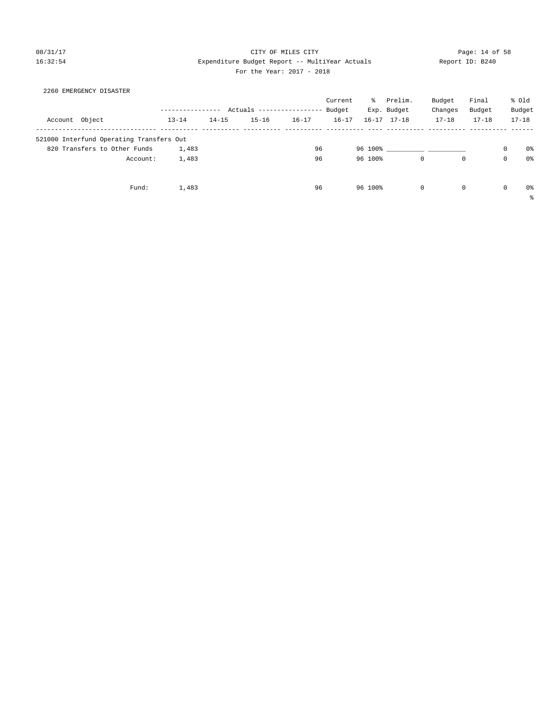### 08/31/17 Page: 14 of 58 16:32:54 Expenditure Budget Report -- MultiYear Actuals Report ID: B240 For the Year: 2017 - 2018

| 2260 EMERGENCY DISASTER                  |                  |           |                            |           |           |         |                     |              |           |             |           |
|------------------------------------------|------------------|-----------|----------------------------|-----------|-----------|---------|---------------------|--------------|-----------|-------------|-----------|
|                                          |                  |           |                            |           | Current   | ႜႜၟ     | Prelim.             | Budget       | Final     |             | % old     |
|                                          | ---------------- |           | Actuals ------------------ |           | Budget    |         | Exp. Budget         | Changes      | Budget    |             | Budget    |
| Account Object                           | $13 - 14$        | $14 - 15$ | $15 - 16$                  | $16 - 17$ | $16 - 17$ |         | $16 - 17$ $17 - 18$ | $17 - 18$    | $17 - 18$ |             | $17 - 18$ |
| 521000 Interfund Operating Transfers Out |                  |           |                            |           |           |         |                     |              |           |             |           |
| 820 Transfers to Other Funds             | 1,483            |           |                            | 96        |           | 96 100% |                     |              |           | 0           | 0%        |
| Account:                                 | 1,483            |           |                            | 96        |           | 96 100% | $\mathbf 0$         | $\mathbf{0}$ |           | $\mathbf 0$ | 0%        |
|                                          |                  |           |                            |           |           |         |                     |              |           |             |           |
| Fund:                                    | 1,483            |           |                            | 96        |           | 96 100% | $\Omega$            | $\Omega$     |           | $\Omega$    | 0%        |

%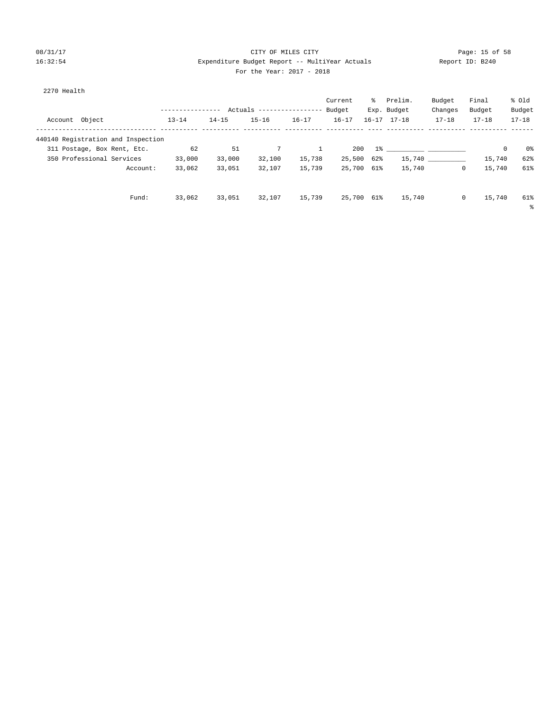## 08/31/17 Page: 15 of 58 16:32:54 Expenditure Budget Report -- MultiYear Actuals Report ID: B240 For the Year: 2017 - 2018

| 2270 Health                        |               |           |                            |           |            |     |                     |              |           |           |
|------------------------------------|---------------|-----------|----------------------------|-----------|------------|-----|---------------------|--------------|-----------|-----------|
|                                    |               |           |                            |           | Current    | ႜႜၟ | Prelim.             | Budget       | Final     | % old     |
|                                    | ------------- |           | Actuals ------------------ |           | Budget     |     | Exp. Budget         | Changes      | Budget    | Budget    |
| Object<br>Account                  | $13 - 14$     | $14 - 15$ | $15 - 16$                  | $16 - 17$ | $16 - 17$  |     | $16 - 17$ $17 - 18$ | $17 - 18$    | $17 - 18$ | $17 - 18$ |
| 440140 Registration and Inspection |               |           |                            |           |            |     |                     |              |           |           |
| 311 Postage, Box Rent, Etc.        | 62            | 51        | 7                          |           | 200        |     | $1\%$ and $1\%$     |              | 0         | 0%        |
| 350 Professional Services          | 33,000        | 33,000    | 32,100                     | 15,738    | 25,500     | 62% |                     | 15,740       | 15,740    | 62%       |
| Account:                           | 33,062        | 33,051    | 32,107                     | 15,739    | 25,700 61% |     | 15,740              | $\circ$      | 15,740    | 61%       |
|                                    |               |           |                            |           |            |     |                     |              |           |           |
| Fund:                              | 33,062        | 33,051    | 32,107                     | 15,739    | 25,700 61% |     | 15,740              | $\mathbf{0}$ | 15,740    | 61%       |
|                                    |               |           |                            |           |            |     |                     |              |           | ႜ         |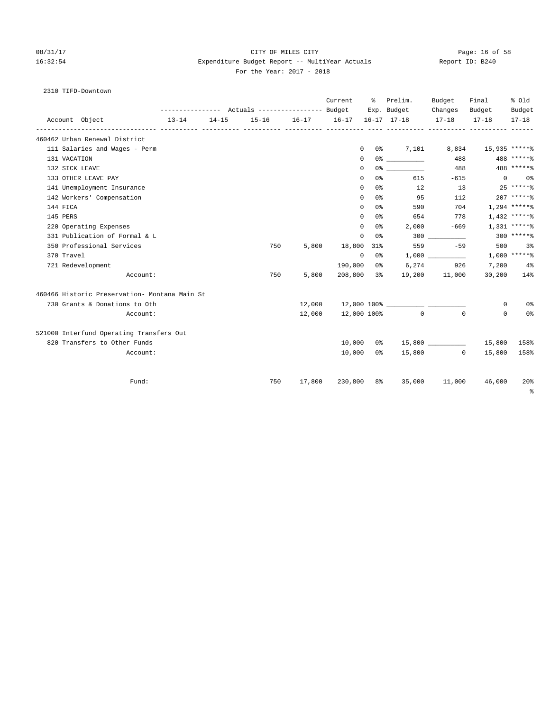# 08/31/17 Page: 16 of 58 16:32:54 Expenditure Budget Report -- MultiYear Actuals Report ID: B240 For the Year: 2017 - 2018

# 2310 TIFD-Downtown

|                                               |           |           |                                                              |           | Current        | ႜႜႜ      | Prelim.                            | Budget               | Final               | % old               |
|-----------------------------------------------|-----------|-----------|--------------------------------------------------------------|-----------|----------------|----------|------------------------------------|----------------------|---------------------|---------------------|
| Account Object                                | $13 - 14$ | $14 - 15$ | --------------- Actuals ---------------- Budget<br>$15 - 16$ | $16 - 17$ | $16 - 17$      |          | Exp. Budget<br>$16 - 17$ $17 - 18$ | Changes<br>$17 - 18$ | Budget<br>$17 - 18$ | Budget<br>$17 - 18$ |
| 460462 Urban Renewal District                 |           |           |                                                              |           |                |          |                                    |                      |                     |                     |
| 111 Salaries and Wages - Perm                 |           |           |                                                              |           |                | $\Omega$ | 0% 7,101                           | 8,834                | 15,935 *****%       |                     |
| 131 VACATION                                  |           |           |                                                              |           | $\Omega$       |          |                                    | 488                  |                     | 488 ******          |
| 132 SICK LEAVE                                |           |           |                                                              |           | 0              |          |                                    | 488                  |                     | 488 ******          |
| 133 OTHER LEAVE PAY                           |           |           |                                                              |           | 0              | 0%       | 615                                | $-615$               |                     | $0\qquad 0$ %       |
| 141 Unemployment Insurance                    |           |           |                                                              |           | $\Omega$       | 0 응      | 12                                 | 13                   | $25****8$           |                     |
| 142 Workers' Compensation                     |           |           |                                                              |           | 0              | 0 %      | 95                                 | 112                  |                     | $207$ ***** %       |
| 144 FICA                                      |           |           |                                                              |           | 0              | 0응       | 590                                | 704                  |                     | $1,294$ *****%      |
| 145 PERS                                      |           |           |                                                              |           | $\Omega$       | 0%       | 654                                | 778                  |                     | $1,432$ ******      |
| 220 Operating Expenses                        |           |           |                                                              |           | 0              | 0 %      | 2,000                              | $-669$               |                     | $1,331***$          |
| 331 Publication of Formal & L                 |           |           |                                                              |           | $\Omega$       | 0 %      |                                    | 300                  |                     | $300$ ******        |
| 350 Professional Services                     |           |           | 750                                                          | 5,800     | 18,800         | 31%      | 559                                | $-59$                | 500                 | 3%                  |
| 370 Travel                                    |           |           |                                                              |           | $\overline{0}$ | 0%       |                                    |                      |                     | $1,000$ *****%      |
| 721 Redevelopment                             |           |           |                                                              |           | 190,000        | 0 %      |                                    | 6,274 926            | 7,200               | $4\%$               |
| Account:                                      |           |           | 750                                                          | 5,800     | 208,800 3%     |          |                                    | 19,200 11,000        |                     | 30,200 14%          |
| 460466 Historic Preservation- Montana Main St |           |           |                                                              |           |                |          |                                    |                      |                     |                     |
| 730 Grants & Donations to Oth                 |           |           |                                                              |           |                |          |                                    |                      | 0                   | 0%                  |
| Account:                                      |           |           |                                                              | 12,000    |                |          | 12,000 100% 0                      | $\Omega$             | $\Omega$            | 0%                  |
| 521000 Interfund Operating Transfers Out      |           |           |                                                              |           |                |          |                                    |                      |                     |                     |
| 820 Transfers to Other Funds                  |           |           |                                                              |           | 10,000         |          |                                    |                      | 15,800              | 158%                |
| Account:                                      |           |           |                                                              |           | 10,000         | 0 %      |                                    | 15,800 0             | 15,800              | 158%                |
| Fund:                                         |           |           | 750                                                          | 17,800    | 230,800        | 8%       | 35,000                             | 11,000               | 46,000              | 20 <sup>8</sup>     |
|                                               |           |           |                                                              |           |                |          |                                    |                      |                     | $\epsilon$          |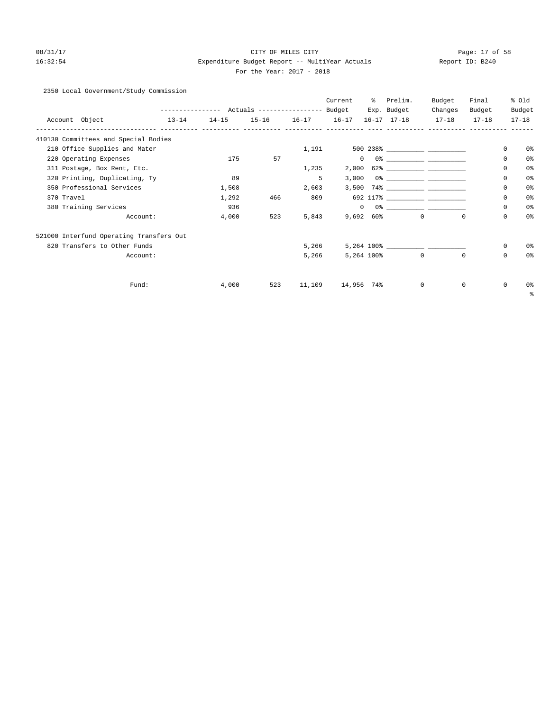# 08/31/17 Page: 17 of 58 16:32:54 Expenditure Budget Report -- MultiYear Actuals Report ID: B240 For the Year: 2017 - 2018

# 2350 Local Government/Study Commission

|                                          |           |           |                   |        | Current        | % Prelim.               | Budget  | Final        |            | % old          |
|------------------------------------------|-----------|-----------|-------------------|--------|----------------|-------------------------|---------|--------------|------------|----------------|
|                                          |           |           |                   |        |                | Exp. Budget             | Changes | Budget       |            | Budget         |
| Account Object                           | $13 - 14$ | $14 - 15$ | 15-16 16-17 16-17 |        |                | 16-17 17-18 17-18 17-18 |         |              |            | $17 - 18$      |
| 410130 Committees and Special Bodies     |           |           |                   |        |                |                         |         |              |            |                |
| 210 Office Supplies and Mater            |           |           |                   |        | 1,191          |                         |         |              | 0          | 0 <sup>o</sup> |
| 220 Operating Expenses                   |           | 175       | 57                |        | $\overline{0}$ |                         |         |              | $\Omega$   | 0%             |
| 311 Postage, Box Rent, Etc.              |           |           |                   | 1,235  | 2,000          |                         |         |              | 0          | 0%             |
| 320 Printing, Duplicating, Ty            |           | 89        |                   | 5      | 3,000          |                         |         |              | $\Omega$   | 0%             |
| 350 Professional Services                |           | 1,508     |                   | 2,603  |                |                         |         |              | 0          | 0%             |
| 370 Travel                               |           | 1,292     | 466               | 809    |                |                         |         |              | 0          | 0%             |
| 380 Training Services                    |           | 936       |                   |        | $\Omega$       |                         |         |              | $\Omega$   | 0%             |
| Account:                                 |           | 4,000     | 523               | 5,843  |                | $9,692$ 60% 0           |         | $\Omega$     | $\Omega$   | 0%             |
| 521000 Interfund Operating Transfers Out |           |           |                   |        |                |                         |         |              |            |                |
| 820 Transfers to Other Funds             |           |           |                   | 5,266  |                |                         |         |              | $^{\circ}$ | 0%             |
| Account:                                 |           |           |                   | 5,266  |                | 5,264 100% 0            |         | $\Omega$     | $\Omega$   | 0%             |
| Fund:                                    |           | 4,000     | 523               | 11,109 | 14,956 74%     | $\overline{0}$          |         | $\mathbf{0}$ | $^{\circ}$ | 0%             |
|                                          |           |           |                   |        |                |                         |         |              |            | ి              |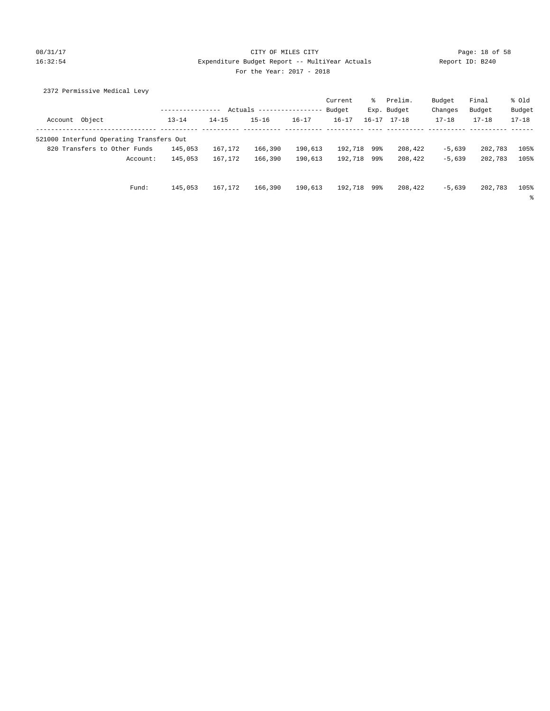### 08/31/17 Page: 18 of 58 16:32:54 Expenditure Budget Report -- MultiYear Actuals Report ID: B240 For the Year: 2017 - 2018

| 2372 Permissive Medical Levy             |                  |           |                           |           |             |           |             |           |           |           |
|------------------------------------------|------------------|-----------|---------------------------|-----------|-------------|-----------|-------------|-----------|-----------|-----------|
|                                          |                  |           |                           |           | Current     | ႜႜ        | Prelim.     | Budget    | Final     | % Old     |
|                                          | ---------------- |           | Actuals ----------------- |           | Budget      |           | Exp. Budget | Changes   | Budget    | Budget    |
| Account Object                           | $13 - 14$        | $14 - 15$ | $15 - 16$                 | $16 - 17$ | $16 - 17$   | $16 - 17$ | $17 - 18$   | $17 - 18$ | $17 - 18$ | $17 - 18$ |
| 521000 Interfund Operating Transfers Out |                  |           |                           |           |             |           |             |           |           |           |
| 820 Transfers to Other Funds             | 145,053          | 167,172   | 166,390                   | 190,613   | 192,718 99% |           | 208,422     | $-5,639$  | 202,783   | 105%      |
| Account:                                 | 145,053          | 167.172   | 166,390                   | 190,613   | 192,718 99% |           | 208,422     | $-5.639$  | 202,783   | 105%      |
|                                          |                  |           |                           |           |             |           |             |           |           |           |
| Fund:                                    | 145,053          | 167.172   | 166,390                   | 190,613   | 192,718     | 99%       | 208,422     | $-5.639$  | 202,783   | 105%      |
|                                          |                  |           |                           |           |             |           |             |           |           | ి         |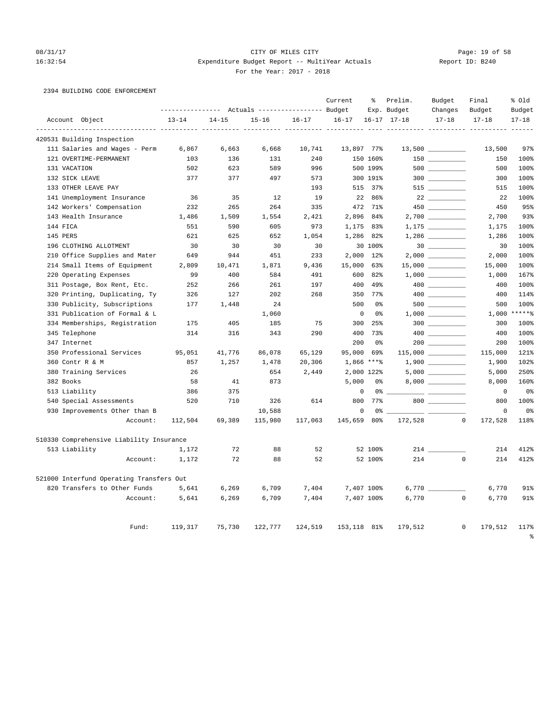### 08/31/17 Page: 19 of 58 16:32:54 Expenditure Budget Report -- MultiYear Actuals Report ID: B240 For the Year: 2017 - 2018

# 2394 BUILDING CODE ENFORCEMENT

|                                          |           |           | Actuals ----------------- Budget |           | Current      | နွ                            | Prelim.<br>Exp. Budget | Budget<br>Changes                                                                                                                                                                                                                                                                                                                                   | Final<br>Budget        | % old<br>Budget |
|------------------------------------------|-----------|-----------|----------------------------------|-----------|--------------|-------------------------------|------------------------|-----------------------------------------------------------------------------------------------------------------------------------------------------------------------------------------------------------------------------------------------------------------------------------------------------------------------------------------------------|------------------------|-----------------|
| Account Object                           | $13 - 14$ | $14 - 15$ | $15 - 16$                        | $16 - 17$ | $16 - 17$    |                               | $16 - 17$ $17 - 18$    | $17 - 18$                                                                                                                                                                                                                                                                                                                                           | $17 - 18$              | $17 - 18$       |
| 420531 Building Inspection               |           |           |                                  |           |              |                               |                        |                                                                                                                                                                                                                                                                                                                                                     |                        |                 |
| 111 Salaries and Wages - Perm            | 6,867     | 6,663     | 6,668                            | 10,741    |              | 13,897 77%                    |                        |                                                                                                                                                                                                                                                                                                                                                     | 13,500                 | 97%             |
| 121 OVERTIME-PERMANENT                   | 103       | 136       | 131                              | 240       |              | 150 160%                      |                        | 150 70                                                                                                                                                                                                                                                                                                                                              | 150                    | 100%            |
| 131 VACATION                             | 502       | 623       | 589                              | 996       |              | 500 199%                      |                        |                                                                                                                                                                                                                                                                                                                                                     | 500                    | 100%            |
| 132 SICK LEAVE                           | 377       | 377       | 497                              | 573       |              | 300 191%                      |                        | $300$                                                                                                                                                                                                                                                                                                                                               | 300                    | 100%            |
| 133 OTHER LEAVE PAY                      |           |           |                                  | 193       | 515          | $37\%$                        |                        | $515$ __________                                                                                                                                                                                                                                                                                                                                    | 515                    | 100%            |
| 141 Unemployment Insurance               | 36        | 35        | 12                               | 19        |              | 22 86%                        |                        | 22                                                                                                                                                                                                                                                                                                                                                  | 22                     | 100%            |
| 142 Workers' Compensation                | 232       | 265       | 264                              | 335       |              | 472 71%                       |                        | $450$ ________                                                                                                                                                                                                                                                                                                                                      | 450                    | 95%             |
| 143 Health Insurance                     | 1,486     | 1,509     | 1,554                            | 2,421     | 2,896        | 84%                           |                        |                                                                                                                                                                                                                                                                                                                                                     | 2,700                  | 93%             |
| 144 FICA                                 | 551       | 590       | 605                              | 973       |              | 1,175 83%                     |                        |                                                                                                                                                                                                                                                                                                                                                     | 1,175                  | 100%            |
| 145 PERS                                 | 621       | 625       | 652                              | 1,054     | 1,286        | 82%                           |                        |                                                                                                                                                                                                                                                                                                                                                     | 1,286                  | 100%            |
| 196 CLOTHING ALLOTMENT                   | 30        | 30        | 30                               | 30        |              | 30 100%                       |                        |                                                                                                                                                                                                                                                                                                                                                     | 30                     | 100%            |
| 210 Office Supplies and Mater            | 649       | 944       | 451                              | 233       | 2,000        | $12\%$                        |                        |                                                                                                                                                                                                                                                                                                                                                     | 2,000                  | 100%            |
| 214 Small Items of Equipment             | 2,809     | 10,471    | 1,871                            | 9,436     | 15,000       | 63%                           |                        | $15,000$ __________                                                                                                                                                                                                                                                                                                                                 | 15,000                 | 100%            |
| 220 Operating Expenses                   | 99        | 400       | 584                              | 491       | 600          | 82%                           |                        |                                                                                                                                                                                                                                                                                                                                                     | 1,000                  | 167%            |
| 311 Postage, Box Rent, Etc.              | 252       | 266       | 261                              | 197       | 400          | 49%                           |                        |                                                                                                                                                                                                                                                                                                                                                     | 400                    | 100%            |
| 320 Printing, Duplicating, Ty            | 326       | 127       | 202                              | 268       | 350          | $77$ $%$                      |                        | $\begin{picture}(20,20) \put(0,0){\line(1,0){10}} \put(15,0){\line(1,0){10}} \put(15,0){\line(1,0){10}} \put(15,0){\line(1,0){10}} \put(15,0){\line(1,0){10}} \put(15,0){\line(1,0){10}} \put(15,0){\line(1,0){10}} \put(15,0){\line(1,0){10}} \put(15,0){\line(1,0){10}} \put(15,0){\line(1,0){10}} \put(15,0){\line(1,0){10}} \put(15,0){\line(1$ | 400                    | 114%            |
| 330 Publicity, Subscriptions             | 177       | 1,448     | 24                               |           | 500          | 0 <sup>8</sup>                |                        |                                                                                                                                                                                                                                                                                                                                                     | 500                    | 100%            |
| 331 Publication of Formal & L            |           |           | 1,060                            |           |              | $\mathbf 0$<br>0 <sup>°</sup> |                        |                                                                                                                                                                                                                                                                                                                                                     | 1,000                  | $*****$         |
| 334 Memberships, Registration            | 175       | 405       | 185                              | 75        | 300          | 25%                           |                        | 300 000                                                                                                                                                                                                                                                                                                                                             | 300                    | 100%            |
| 345 Telephone                            | 314       | 316       | 343                              | 290       | 400          | 73%                           |                        |                                                                                                                                                                                                                                                                                                                                                     | 400                    | 100%            |
| 347 Internet                             |           |           |                                  |           | 200          | 0 <sup>°</sup>                |                        |                                                                                                                                                                                                                                                                                                                                                     | 200                    | 100%            |
| 350 Professional Services                | 95,051    | 41,776    | 86,078                           | 65,129    | 95,000       | 69%                           |                        |                                                                                                                                                                                                                                                                                                                                                     | 115,000                | 121%            |
| 360 Contr R & M                          | 857       | 1,257     | 1,478                            | 20,306    |              | $1,866$ ****                  |                        |                                                                                                                                                                                                                                                                                                                                                     | 1,900                  | 102%            |
| 380 Training Services                    | 26        |           | 654                              | 2,449     |              | 2,000 122%                    |                        |                                                                                                                                                                                                                                                                                                                                                     | 5,000                  | 250%            |
| 382 Books                                | 58        | 41        | 873                              |           | 5,000        | 0%                            |                        | 8,000                                                                                                                                                                                                                                                                                                                                               | 8,000                  | 160%            |
| 513 Liability                            | 386       | 375       |                                  |           |              | $\mathbf 0$<br>0 <sup>°</sup> |                        |                                                                                                                                                                                                                                                                                                                                                     | $\mathbf 0$            | 0 <sup>°</sup>  |
| 540 Special Assessments                  | 520       | 710       | 326                              | 614       | 800          | 77%                           |                        | 800                                                                                                                                                                                                                                                                                                                                                 | 800                    | 100%            |
| 930 Improvements Other than B            |           |           | 10,588                           |           |              | 0<br>0%                       | -- -                   |                                                                                                                                                                                                                                                                                                                                                     | 0                      | 0 <sup>8</sup>  |
| Account:                                 | 112,504   | 69,389    | 115,980                          | 117,063   | 145,659      | 80%                           | 172,528                |                                                                                                                                                                                                                                                                                                                                                     | $\circ$<br>172,528     | 118%            |
| 510330 Comprehensive Liability Insurance |           |           |                                  |           |              |                               |                        |                                                                                                                                                                                                                                                                                                                                                     |                        |                 |
| 513 Liability                            | 1,172     | 72        | 88                               | 52        |              | 52 100%                       |                        | $214$ $\qquad$                                                                                                                                                                                                                                                                                                                                      | 214                    | 412%            |
| Account:                                 | 1,172     | 72        | 88                               | 52        |              | 52 100%                       | 214                    |                                                                                                                                                                                                                                                                                                                                                     | $^{\circ}$<br>214      | 412%            |
| 521000 Interfund Operating Transfers Out |           |           |                                  |           |              |                               |                        |                                                                                                                                                                                                                                                                                                                                                     |                        |                 |
| 820 Transfers to Other Funds             | 5,641     | 6,269     | 6,709                            | 7,404     |              | 7,407 100%                    |                        |                                                                                                                                                                                                                                                                                                                                                     | 6,770                  | 91%             |
| Account:                                 | 5,641     | 6,269     | 6,709                            | 7,404     |              | 7,407 100%                    | 6,770                  |                                                                                                                                                                                                                                                                                                                                                     | $\mathbf 0$<br>6,770   | 91%             |
| Fund:                                    | 119,317   | 75,730    | 122,777                          | 124,519   | 153, 118 81% |                               | 179,512                |                                                                                                                                                                                                                                                                                                                                                     | $\mathbf 0$<br>179,512 | 117%            |

%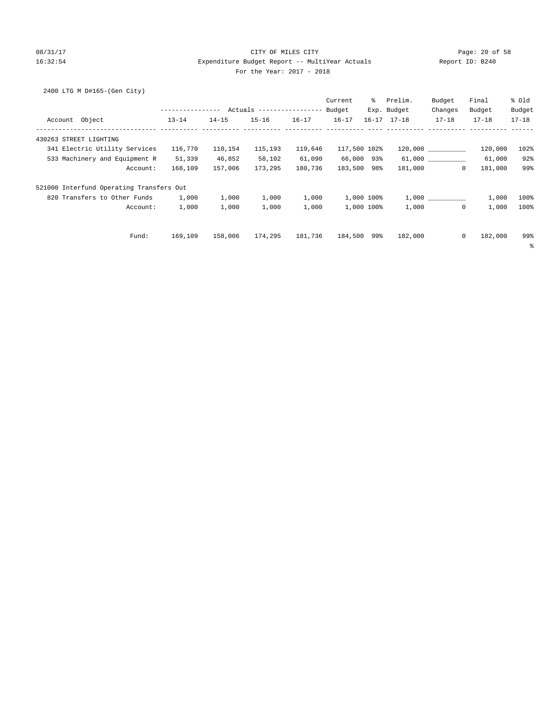### 08/31/17 Page: 20 of 58 16:32:54 Expenditure Budget Report -- MultiYear Actuals Report ID: B240 For the Year: 2017 - 2018

2400 LTG M D#165-(Gen City)

|                                          |                  |           |                           |           | Current      | ႜႜ         | Prelim.             | Budget       | Final     | % old     |
|------------------------------------------|------------------|-----------|---------------------------|-----------|--------------|------------|---------------------|--------------|-----------|-----------|
|                                          | ---------------- |           | Actuals ----------------- |           | Budget       |            | Exp. Budget         | Changes      | Budget    | Budget    |
| Account Object                           | $13 - 14$        | $14 - 15$ | $15 - 16$                 | $16 - 17$ | $16 - 17$    |            | $16 - 17$ $17 - 18$ | $17 - 18$    | $17 - 18$ | $17 - 18$ |
| 430263 STREET LIGHTING                   |                  |           |                           |           |              |            |                     |              |           |           |
| 341 Electric Utility Services            | 116,770          | 110,154   | 115,193                   | 119,646   | 117,500 102% |            |                     | 120,000      | 120,000   | 102%      |
| 533 Machinery and Equipment R            | 51,339           | 46,852    | 58,102                    | 61,090    | 66,000 93%   |            |                     | 61,000 000   | 61,000    | 92%       |
| Account:                                 | 168,109          | 157,006   | 173,295                   | 180,736   | 183,500 98%  |            | 181,000             | $\circ$      | 181,000   | 99%       |
| 521000 Interfund Operating Transfers Out |                  |           |                           |           |              |            |                     |              |           |           |
| 820 Transfers to Other Funds             | 1,000            | 1,000     | 1,000                     | 1,000     |              | 1,000 100% |                     | 1,000        | 1,000     | 100%      |
| Account:                                 | 1,000            | 1,000     | 1,000                     | 1,000     |              | 1,000 100% | 1,000               | $\mathbf{0}$ | 1,000     | 100%      |
| Fund:                                    | 169,109          | 158,006   | 174,295                   | 181,736   | 184,500 99%  |            | 182,000             | 0            | 182,000   | 99%       |
|                                          |                  |           |                           |           |              |            |                     |              |           | ႜ         |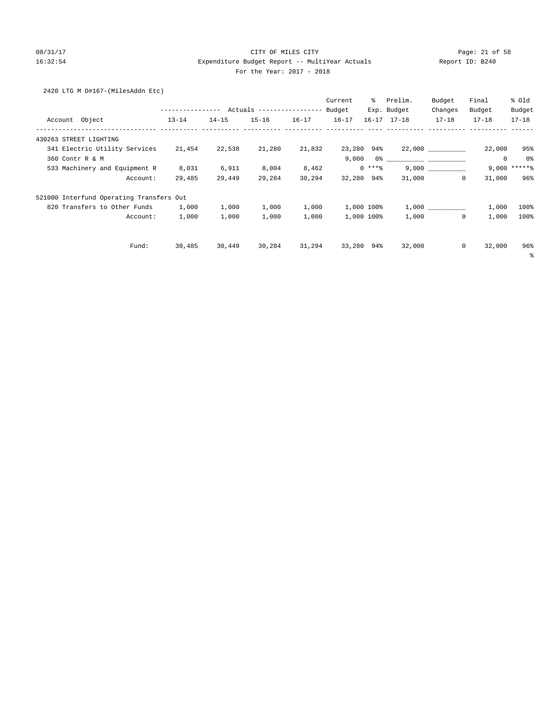### 08/31/17 Page: 21 of 58 16:32:54 Expenditure Budget Report -- MultiYear Actuals Report ID: B240 For the Year: 2017 - 2018

### 2420 LTG M D#167-(MilesAddn Etc)

|                                          |                  |           |                           |           | Current    | ႜႜႜ        | Prelim.             | Budget       | Final       | % old          |
|------------------------------------------|------------------|-----------|---------------------------|-----------|------------|------------|---------------------|--------------|-------------|----------------|
|                                          | ---------------- |           | Actuals ----------------- |           | Budget     |            | Exp. Budget         | Changes      | Budget      | Budget         |
| Account Object                           | $13 - 14$        | $14 - 15$ | $15 - 16$                 | $16 - 17$ | $16 - 17$  |            | $16 - 17$ $17 - 18$ | $17 - 18$    | $17 - 18$   | $17 - 18$      |
| 430263 STREET LIGHTING                   |                  |           |                           |           |            |            |                     |              |             |                |
| 341 Electric Utility Services            | 21,454           | 22,538    | 21,280                    | 21,832    | 23,280 94% |            |                     | 22,000       | 22,000      | 95%            |
| 360 Contr R & M                          |                  |           |                           |           | 9,000      | 0응         |                     |              | $\mathbf 0$ | 0%             |
| 533 Machinery and Equipment R            | 8,031            | 6,911     | 8,004                     | 8,462     |            | $0***8$    |                     | 9,000        |             | $9,000$ ****** |
| Account:                                 | 29,485           | 29,449    | 29,284                    | 30,294    | 32,280 94% |            | 31,000              | $\circ$      | 31,000      | 96%            |
| 521000 Interfund Operating Transfers Out |                  |           |                           |           |            |            |                     |              |             |                |
| 820 Transfers to Other Funds             | 1,000            | 1,000     | 1,000                     | 1,000     |            | 1,000 100% |                     | 1,000        | 1,000       | 100%           |
| Account:                                 | 1,000            | 1,000     | 1,000                     | 1,000     |            | 1,000 100% | 1,000               | $\mathbf{0}$ | 1,000       | 100%           |
| Fund:                                    | 30,485           | 30,449    | 30,284                    | 31,294    | 33,280     | 94%        | 32,000              | $\circ$      | 32,000      | 96%            |
|                                          |                  |           |                           |           |            |            |                     |              |             | နွ             |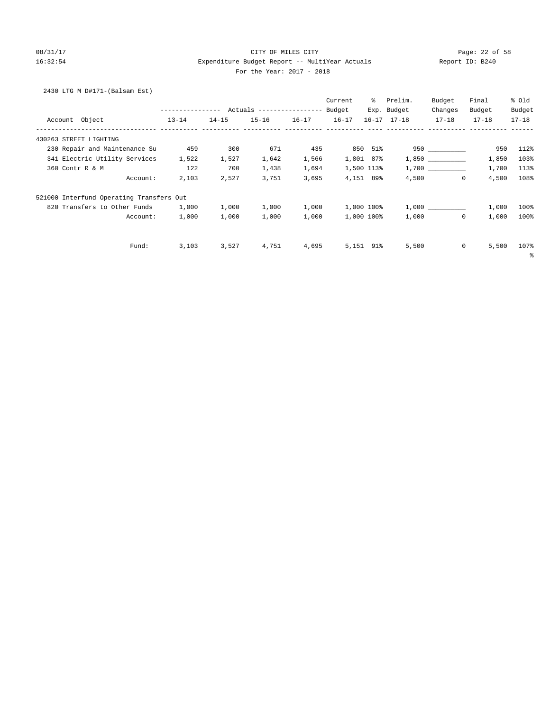### 08/31/17 Page: 22 of 58 16:32:54 Expenditure Budget Report -- MultiYear Actuals Report ID: B240 For the Year: 2017 - 2018

## 2430 LTG M D#171-(Balsam Est)

|                                          |                  |           |                           |           | Current   | ႜႜၟ        | Prelim.             | Budget    | Final     | % old     |
|------------------------------------------|------------------|-----------|---------------------------|-----------|-----------|------------|---------------------|-----------|-----------|-----------|
|                                          | ---------------- |           | Actuals ----------------- |           | Budget    |            | Exp. Budget         | Changes   | Budget    | Budget    |
| Account Object                           | $13 - 14$        | $14 - 15$ | $15 - 16$                 | $16 - 17$ | $16 - 17$ |            | $16 - 17$ $17 - 18$ | $17 - 18$ | $17 - 18$ | $17 - 18$ |
| 430263 STREET LIGHTING                   |                  |           |                           |           |           |            |                     |           |           |           |
| 230 Repair and Maintenance Su            | 459              | 300       | 671                       | 435       |           | 850 51%    |                     |           | 950       | 112%      |
| 341 Electric Utility Services            | 1,522            | 1,527     | 1,642                     | 1,566     | 1,801     | 87%        |                     | 1,850     | 1,850     | 103%      |
| 360 Contr R & M                          | 122              | 700       | 1,438                     | 1,694     |           | 1,500 113% |                     | 1,700     | 1,700     | 113%      |
| Account:                                 | 2,103            | 2,527     | 3,751                     | 3,695     |           | 4,151 89%  | 4,500               | $\circ$   | 4,500     | 108%      |
| 521000 Interfund Operating Transfers Out |                  |           |                           |           |           |            |                     |           |           |           |
| 820 Transfers to Other Funds             | 1,000            | 1,000     | 1,000                     | 1,000     |           | 1,000 100% |                     |           | 1,000     | 100%      |
| Account:                                 | 1,000            | 1,000     | 1,000                     | 1,000     |           | 1,000 100% | 1,000               | $\circ$   | 1,000     | 100%      |
| Fund:                                    | 3,103            | 3,527     | 4,751                     | 4,695     | 5,151     | 91%        | 5,500               | $\circ$   | 5,500     | 107%      |
|                                          |                  |           |                           |           |           |            |                     |           |           | နွ        |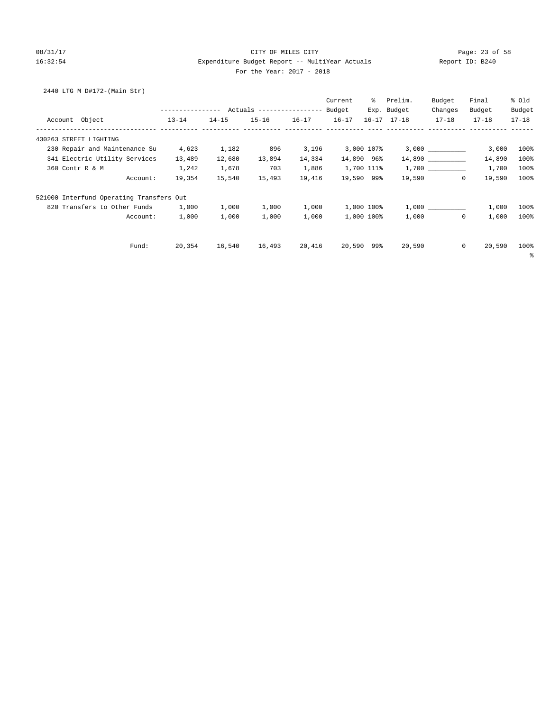### 08/31/17 Page: 23 of 58 16:32:54 Expenditure Budget Report -- MultiYear Actuals Report ID: B240 For the Year: 2017 - 2018

2440 LTG M D#172-(Main Str)

| ---------------- Actuals -----------------<br>$13 - 14$ | $14 - 15$                                |           |           | Budget    |                     |                                                                                         |                 |                                                                                                                          |
|---------------------------------------------------------|------------------------------------------|-----------|-----------|-----------|---------------------|-----------------------------------------------------------------------------------------|-----------------|--------------------------------------------------------------------------------------------------------------------------|
|                                                         |                                          |           |           |           | Exp. Budget         | Changes                                                                                 | Budget          | Budget                                                                                                                   |
|                                                         |                                          | $15 - 16$ | $16 - 17$ | $16 - 17$ | $16 - 17$ $17 - 18$ | $17 - 18$                                                                               | $17 - 18$       | $17 - 18$                                                                                                                |
|                                                         |                                          |           |           |           |                     |                                                                                         |                 |                                                                                                                          |
| 4,623                                                   | 1,182                                    | 896       | 3,196     |           |                     |                                                                                         |                 | 100%                                                                                                                     |
| 13,489                                                  | 12,680                                   | 13,894    | 14,334    |           |                     |                                                                                         |                 | 100%                                                                                                                     |
| 1,242                                                   | 1,678                                    | 703       | 1,886     |           |                     |                                                                                         |                 | 100%                                                                                                                     |
| 19,354                                                  | 15,540                                   | 15,493    | 19,416    |           |                     |                                                                                         |                 | 100%                                                                                                                     |
|                                                         |                                          |           |           |           |                     |                                                                                         |                 |                                                                                                                          |
| 1,000                                                   | 1,000                                    | 1,000     | 1,000     |           |                     |                                                                                         |                 | 100%                                                                                                                     |
| 1,000                                                   | 1,000                                    | 1,000     | 1,000     |           |                     |                                                                                         |                 | 100%                                                                                                                     |
| 20,354                                                  | 16,540                                   | 16,493    | 20,416    |           | 20,590              |                                                                                         |                 | 100%<br>နွ                                                                                                               |
|                                                         | 521000 Interfund Operating Transfers Out |           |           |           | 20,590              | 3,000 107%<br>14,890 96%<br>1,700 111%<br>19,590 99%<br>1,000 100%<br>1,000 100%<br>99% | 19,590<br>1,000 | $3,000$ __________<br>3,000<br>14,890<br>1,700<br>19,590<br>$\circ$<br>1,000<br>1,000<br>1,000<br>0<br>$\circ$<br>20,590 |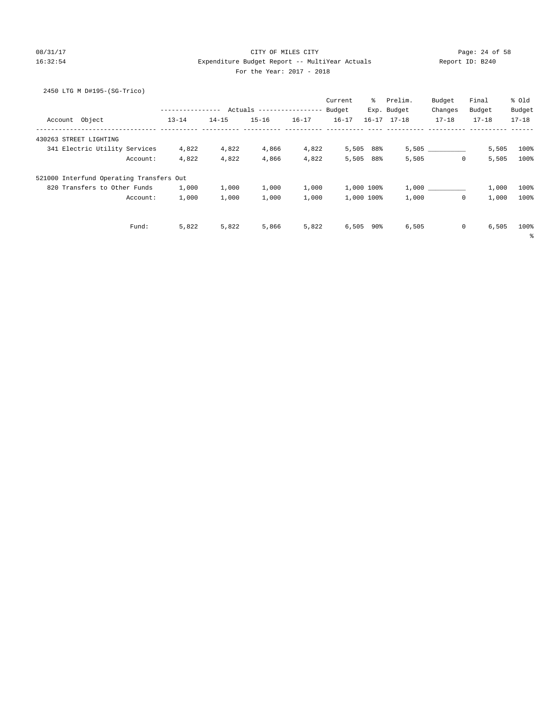### 08/31/17 Page: 24 of 58 16:32:54 Expenditure Budget Report -- MultiYear Actuals Report ID: B240 For the Year: 2017 - 2018

# 2450 LTG M D#195-(SG-Trico)

|                                          |                  |           |                            |           | Current   | ိ          | Prelim.             | Budget       | Final                 | % old     |
|------------------------------------------|------------------|-----------|----------------------------|-----------|-----------|------------|---------------------|--------------|-----------------------|-----------|
|                                          | ---------------- |           | Actuals ------------------ |           | Budget    |            | Exp. Budget         | Changes      | Budget                | Budget    |
| Account Object                           | $13 - 14$        | $14 - 15$ | $15 - 16$                  | $16 - 17$ | $16 - 17$ |            | $16 - 17$ $17 - 18$ | $17 - 18$    | $17 - 18$             | $17 - 18$ |
| 430263 STREET LIGHTING                   |                  |           |                            |           |           |            |                     |              |                       |           |
| 341 Electric Utility Services            | 4,822            | 4,822     | 4,866                      | 4,822     |           | 5,505 88%  |                     | 5,505        | 5,505                 | 100%      |
| Account:                                 | 4,822            | 4,822     | 4,866                      | 4,822     | 5,505     | 88%        | 5,505               | $\mathbf{0}$ | 5,505                 | 100%      |
| 521000 Interfund Operating Transfers Out |                  |           |                            |           |           |            |                     |              |                       |           |
| 820 Transfers to Other Funds             | 1,000            | 1,000     | 1,000                      | 1,000     |           | 1,000 100% |                     | 1,000        | 1,000                 | 100%      |
| Account:                                 | 1,000            | 1,000     | 1,000                      | 1,000     |           | 1,000 100% | 1,000               | $\mathbf 0$  | 1,000                 | 100%      |
| Fund:                                    | 5,822            | 5,822     | 5,866                      | 5,822     | 6,505     | 90%        | 6,505               |              | $\mathsf{O}$<br>6,505 | 100%      |
|                                          |                  |           |                            |           |           |            |                     |              |                       | နွ        |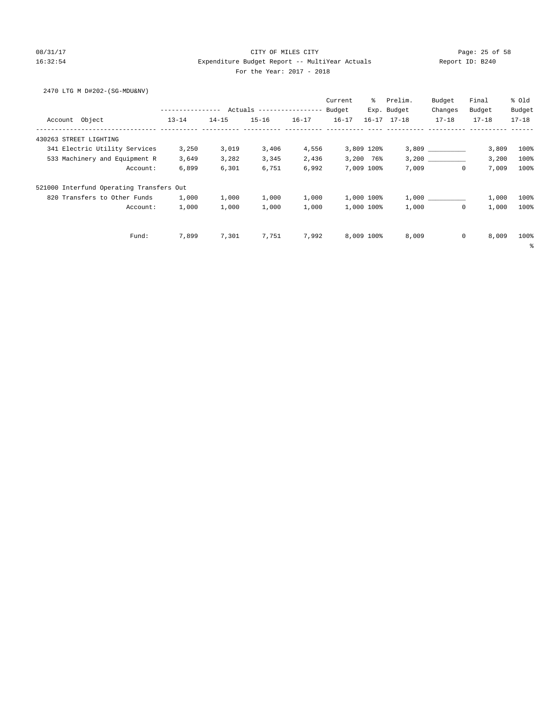### 08/31/17 Page: 25 of 58 16:32:54 Expenditure Budget Report -- MultiYear Actuals Report ID: B240 For the Year: 2017 - 2018

2470 LTG M D#202-(SG-MDU&NV)

|                                          |           |           |           |           | Current   | ႜႜ         | Prelim.             | Budget      | Final     | % Old     |
|------------------------------------------|-----------|-----------|-----------|-----------|-----------|------------|---------------------|-------------|-----------|-----------|
|                                          |           |           |           |           |           |            | Exp. Budget         | Changes     | Budget    | Budget    |
| Account Object                           | $13 - 14$ | $14 - 15$ | $15 - 16$ | $16 - 17$ | $16 - 17$ |            | $16 - 17$ $17 - 18$ | $17 - 18$   | $17 - 18$ | $17 - 18$ |
| 430263 STREET LIGHTING                   |           |           |           |           |           |            |                     |             |           |           |
| 341 Electric Utility Services            | 3,250     | 3,019     | 3,406     | 4,556     |           | 3,809 120% |                     | 3,809       | 3,809     | 100%      |
| 533 Machinery and Equipment R            | 3,649     | 3,282     | 3,345     | 2,436     |           | 3,200 76%  |                     | 3,200       | 3,200     | 100%      |
| Account:                                 | 6,899     | 6,301     | 6,751     | 6,992     |           | 7,009 100% | 7,009               | 0           | 7,009     | 100%      |
| 521000 Interfund Operating Transfers Out |           |           |           |           |           |            |                     |             |           |           |
| 820 Transfers to Other Funds             | 1,000     | 1,000     | 1,000     | 1,000     |           | 1,000 100% |                     | 1,000       | 1,000     | 100%      |
| Account:                                 | 1,000     | 1,000     | 1,000     | 1,000     |           | 1,000 100% | 1,000               | $\mathbf 0$ | 1,000     | 100%      |
|                                          |           |           |           |           |           |            |                     |             |           |           |
| Fund:                                    | 7,899     | 7,301     | 7,751     | 7,992     |           | 8,009 100% | 8,009               | 0           | 8,009     | 100%      |
|                                          |           |           |           |           |           |            |                     |             |           | ႜ         |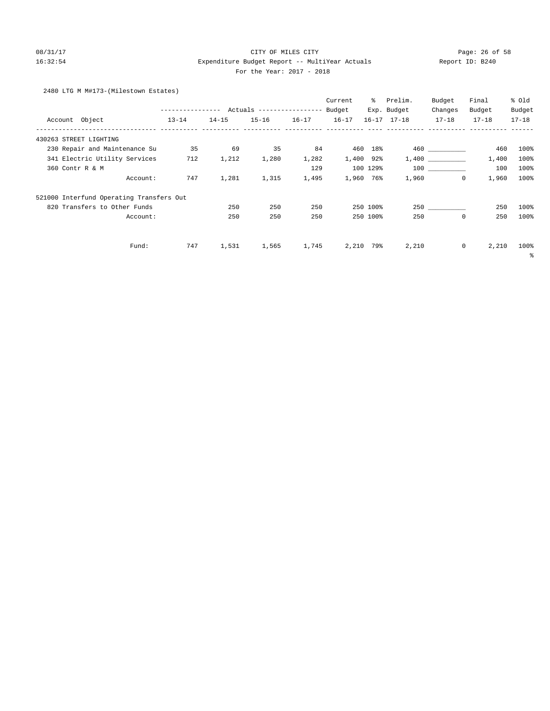### 08/31/17 Page: 26 of 58 16:32:54 Expenditure Budget Report -- MultiYear Actuals Report ID: B240 For the Year: 2017 - 2018

# 2480 LTG M M#173-(Milestown Estates)

|                                          |                  |           |                           |           | Current   | ⊱         | Prelim.             | Budget         | Final     | % Old     |
|------------------------------------------|------------------|-----------|---------------------------|-----------|-----------|-----------|---------------------|----------------|-----------|-----------|
|                                          | ---------------- |           | Actuals ----------------- |           | Budget    |           | Exp. Budget         | Changes        | Budget    | Budget    |
| Account Object                           | $13 - 14$        | $14 - 15$ | $15 - 16$                 | $16 - 17$ | $16 - 17$ |           | $16 - 17$ $17 - 18$ | $17 - 18$      | $17 - 18$ | $17 - 18$ |
| 430263 STREET LIGHTING                   |                  |           |                           |           |           |           |                     |                |           |           |
| 230 Repair and Maintenance Su            | 35               | 69        | 35                        | 84        | 460       | 18%       |                     | 460 and $\sim$ | 460       | 100%      |
| 341 Electric Utility Services            | 712              | 1,212     | 1,280                     | 1,282     | 1,400     | 92%       |                     | 1,400          | 1,400     | 100%      |
| 360 Contr R & M                          |                  |           |                           | 129       |           | 100 129%  |                     | 100 000        | 100       | 100%      |
| Account:                                 | 747              | 1,281     | 1,315                     | 1,495     |           | 1,960 76% | 1,960               | $\mathbf{0}$   | 1,960     | 100%      |
| 521000 Interfund Operating Transfers Out |                  |           |                           |           |           |           |                     |                |           |           |
| 820 Transfers to Other Funds             |                  | 250       | 250                       | 250       |           | 250 100%  |                     | 250            | 250       | 100%      |
| Account:                                 |                  | 250       | 250                       | 250       |           | 250 100%  | 250                 | $\mathbf{0}$   | 250       | 100%      |
| Fund:                                    | 747              | 1,531     | 1,565                     | 1,745     | 2,210     | 79%       | 2,210               | $\circ$        | 2,210     | 100%      |
|                                          |                  |           |                           |           |           |           |                     |                |           | နွ        |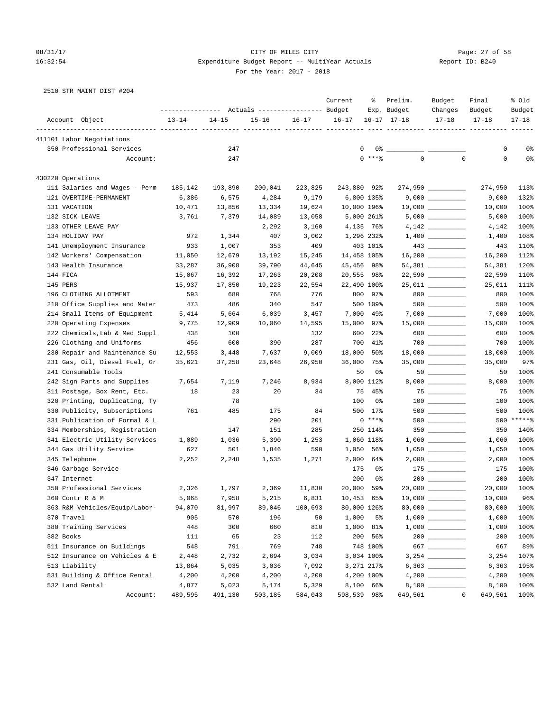### 08/31/17 Page: 27 of 58 16:32:54 Expenditure Budget Report -- MultiYear Actuals Report ID: B240 For the Year: 2017 - 2018

| 2510 STR MAINT DIST #204 |  |  |  |  |  |  |
|--------------------------|--|--|--|--|--|--|
|--------------------------|--|--|--|--|--|--|

|                                |           |                                                 |           |           | Current     | ႜ              | Prelim.             | Budget              | Final     | % Old     |
|--------------------------------|-----------|-------------------------------------------------|-----------|-----------|-------------|----------------|---------------------|---------------------|-----------|-----------|
|                                |           | --------------- Actuals ---------------- Budget |           |           |             |                | Exp. Budget         | Changes             | Budget    | Budget    |
| Account Object                 | $13 - 14$ | $14 - 15$                                       | $15 - 16$ | $16 - 17$ | $16 - 17$   |                | $16 - 17$ $17 - 18$ | $17 - 18$           | $17 - 18$ | $17 - 18$ |
| 411101 Labor Negotiations      |           |                                                 |           |           |             |                |                     |                     |           |           |
| 350 Professional Services      |           | 247                                             |           |           | 0           | $0\degree$ $-$ |                     |                     | 0         | 0%        |
| Account:                       |           | 247                                             |           |           |             | $0$ ****       | $\Omega$            | $\Omega$            | 0         | 0%        |
| 430220 Operations              |           |                                                 |           |           |             |                |                     |                     |           |           |
| 111 Salaries and Wages - Perm  | 185,142   | 193,890                                         | 200,041   | 223,825   | 243,880 92% |                |                     | 274,950             | 274,950   | 113%      |
| 121 OVERTIME-PERMANENT         | 6,386     | 6,575                                           | 4,284     | 9,179     |             | 6,800 135%     |                     |                     | 9,000     | 132%      |
| 131 VACATION                   | 10,471    | 13,856                                          | 13,334    | 19,624    | 10,000 196% |                |                     | $10,000$ _________  | 10,000    | 100%      |
| 132 SICK LEAVE                 | 3,761     | 7,379                                           | 14,089    | 13,058    |             | 5,000 261%     |                     |                     | 5,000     | 100%      |
| 133 OTHER LEAVE PAY            |           |                                                 | 2,292     | 3,160     |             | 4,135 76%      |                     |                     | 4,142     | 100%      |
| 134 HOLIDAY PAY                | 972       | 1,344                                           | 407       | 3,002     | 1,296 232%  |                |                     |                     | 1,400     | 108%      |
| 141 Unemployment Insurance     | 933       | 1,007                                           | 353       | 409       |             | 403 101%       |                     | $443$ ________      | 443       | 110%      |
| 142 Workers' Compensation      | 11,050    | 12,679                                          | 13,192    | 15,245    | 14,458 105% |                |                     | $16,200$ _________  | 16,200    | 112%      |
| 143 Health Insurance           | 33,287    | 36,908                                          | 39,790    | 44,645    | 45,456 98%  |                |                     |                     | 54,381    | 120%      |
| 144 FICA                       | 15,067    | 16,392                                          | 17,263    | 20,208    | 20,555      | 98%            |                     |                     | 22,590    | 110%      |
| 145 PERS                       | 15,937    | 17,850                                          | 19,223    | 22,554    | 22,490 100% |                |                     | $25,011$ _________  | 25,011    | 111%      |
| 196 CLOTHING ALLOTMENT         | 593       | 680                                             | 768       | 776       | 800         | 97%            |                     | $800$               | 800       | 100%      |
| 210 Office Supplies and Mater  | 473       | 486                                             | 340       | 547       |             | 500 109%       |                     | $500$ ________      | 500       | 100%      |
| 214 Small Items of Equipment   | 5,414     | 5,664                                           | 6,039     | 3,457     | 7,000       | 49%            |                     |                     | 7,000     | 100%      |
| 220 Operating Expenses         | 9,775     | 12,909                                          | 10,060    | 14,595    | 15,000      | 97%            |                     |                     | 15,000    | 100%      |
| 222 Chemicals, Lab & Med Suppl | 438       | 100                                             |           | 132       | 600         | $22$ $%$       |                     | $600$               | 600       | 100%      |
| 226 Clothing and Uniforms      | 456       | 600                                             | 390       | 287       | 700         | 41%            |                     |                     | 700       | 100%      |
| 230 Repair and Maintenance Su  | 12,553    | 3,448                                           | 7,637     | 9,009     | 18,000      | 50%            |                     | $18,000$ __________ | 18,000    | 100%      |
| 231 Gas, Oil, Diesel Fuel, Gr  | 35,621    | 37,258                                          | 23,648    | 26,950    | 36,000      | 75%            |                     | $35,000$ __________ | 35,000    | 97%       |
| 241 Consumable Tools           |           |                                                 |           |           | 50          | 0%             |                     | $50$                | 50        | 100%      |
| 242 Sign Parts and Supplies    | 7,654     | 7,119                                           | 7,246     | 8,934     |             | 8,000 112%     |                     |                     | 8,000     | 100%      |
| 311 Postage, Box Rent, Etc.    | 18        | 23                                              | 20        | 34        | 75          | 45%            |                     | $75$ _________      | 75        | 100%      |
| 320 Printing, Duplicating, Ty  |           | 78                                              |           |           | 100         | 0%             |                     | $100$ ________      | 100       | 100%      |
| 330 Publicity, Subscriptions   | 761       | 485                                             | 175       | 84        |             | 500 17%        |                     | $500$ _________     | 500       | 100%      |
| 331 Publication of Formal & L  |           |                                                 | 290       | 201       |             | $0***8$        |                     | $500$ _________     | 500       | $*****$   |
| 334 Memberships, Registration  |           | 147                                             | 151       | 285       |             | 250 114%       |                     |                     | 350       | 140%      |
| 341 Electric Utility Services  | 1,089     | 1,036                                           | 5,390     | 1,253     |             | 1,060 118%     |                     |                     | 1,060     | 100%      |
| 344 Gas Utility Service        | 627       | 501                                             | 1,846     | 590       | 1,050       | 56%            |                     |                     | 1,050     | 100%      |
| 345 Telephone                  | 2,252     | 2,248                                           | 1,535     | 1,271     | 2,000       | 64%            |                     | $2,000$ __________  | 2,000     | 100%      |
| 346 Garbage Service            |           |                                                 |           |           | 175         | 0%             |                     | $175$               | 175       | 100%      |
| 347 Internet                   |           |                                                 |           |           | 200         | 0%             |                     |                     | 200       | 100%      |
| 350 Professional Services      | 2,326     | 1,797                                           | 2,369     | 11,830    | 20,000      | 59%            |                     | $20,000$ __________ | 20,000    | 100%      |
| 360 Contr R & M                | 5,068     | 7,958                                           | 5,215     | 6,831     | 10,453      | 65%            |                     |                     | 10,000    | 96%       |
| 363 R&M Vehicles/Equip/Labor-  | 94,070    | 81,997                                          | 89,046    | 100,693   | 80,000 126% |                |                     |                     | 80,000    | 100%      |
| 370 Travel                     | 905       | 570                                             | 196       | 50        | 1,000       | 5 <sup>°</sup> |                     |                     | 1,000     | 100%      |
| 380 Training Services          | 448       | 300                                             | 660       | 810       |             | 1,000 81%      |                     |                     | 1,000     | 100%      |
| 382 Books                      | 111       | 65                                              | 23        | 112       |             | 200 56%        |                     | $200$ ________      | 200       | 100%      |
| 511 Insurance on Buildings     | 548       | 791                                             | 769       | 748       |             | 748 100%       |                     | 667                 | 667       | 89%       |
| 512 Insurance on Vehicles & E  | 2,448     | 2,732                                           | 2,694     | 3,034     |             | 3,034 100%     |                     |                     | 3,254     | 107%      |
| 513 Liability                  | 13,864    | 5,035                                           | 3,036     | 7,092     |             | 3,271 217%     |                     |                     | 6,363     | 195%      |
| 531 Building & Office Rental   | 4,200     | 4,200                                           | 4,200     | 4,200     |             | 4,200 100%     |                     |                     | 4,200     | 100%      |
| 532 Land Rental                | 4,877     | 5,023                                           | 5,174     | 5,329     |             | 8,100 66%      |                     |                     | 8,100     | 100%      |
| Account:                       | 489,595   | 491,130                                         | 503,185   | 584,043   | 598,539 98% |                | 649,561             | $\mathbf{0}$        | 649,561   | 109%      |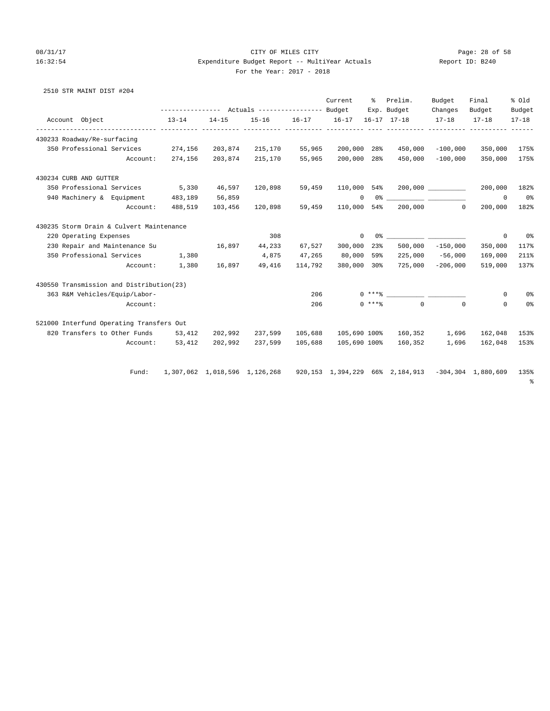# 08/31/17 Page: 28 of 58 16:32:54 Expenditure Budget Report -- MultiYear Actuals For the Year: 2017 - 2018

| Report ID: B240 |  |  |  |
|-----------------|--|--|--|
|-----------------|--|--|--|

|  |  | 2510 STR MAINT DIST #204 |  |  |
|--|--|--------------------------|--|--|
|--|--|--------------------------|--|--|

|                             |                                          |                 |           |                                                                                  |                 | Current      | ႜၟ | Prelim.                            | Budget             | Final              | % Old          |
|-----------------------------|------------------------------------------|-----------------|-----------|----------------------------------------------------------------------------------|-----------------|--------------|----|------------------------------------|--------------------|--------------------|----------------|
|                             |                                          |                 |           |                                                                                  |                 |              |    | Exp. Budget                        | Changes            | Budget             | Budget         |
| Account Object              |                                          | $13 - 14$       | $14 - 15$ | $15 - 16$                                                                        | $16-17$ $16-17$ |              |    | $16 - 17$ $17 - 18$                | $17 - 18$          | $17 - 18$          | $17 - 18$      |
| 430233 Roadway/Re-surfacing |                                          |                 |           |                                                                                  |                 |              |    |                                    |                    |                    |                |
|                             | 350 Professional Services 274,156        |                 |           | 203,874 215,170                                                                  | 55,965          | 200,000 28%  |    | 450,000                            |                    | $-100,000$ 350,000 | 175%           |
|                             | Account:                                 | 274,156         |           | 203,874 215,170                                                                  | 55,965          | 200,000 28%  |    | 450,000                            |                    | $-100,000$ 350,000 | 175%           |
| 430234 CURB AND GUTTER      |                                          |                 |           |                                                                                  |                 |              |    |                                    |                    |                    |                |
|                             | 350 Professional Services 5,330          |                 |           | 46,597 120,898                                                                   | 59,459          |              |    |                                    |                    | 200,000            | 182%           |
|                             | 940 Machinery & Equipment 483,189        |                 | 56,859    |                                                                                  |                 | $\mathbf{0}$ |    |                                    |                    | $\mathbf{0}$       | 0 <sup>8</sup> |
|                             | Account:                                 | 488,519         | 103,456   | 120,898                                                                          | 59,459          |              |    | 110,000 54% 200,000                | $\circ$            | 200,000            | 182%           |
|                             | 430235 Storm Drain & Culvert Maintenance |                 |           |                                                                                  |                 |              |    |                                    |                    |                    |                |
| 220 Operating Expenses      |                                          |                 |           | 308                                                                              |                 | $\mathbf 0$  |    |                                    |                    | 0                  | 0%             |
|                             | 230 Repair and Maintenance Su            |                 | 16,897    | 44,233                                                                           | 67,527          | 300,000 23%  |    |                                    | $500,000 -150,000$ | 350,000            | 117%           |
| 350 Professional Services   |                                          | 1,380           |           | 4,875                                                                            | 47,265          | 80,000 59%   |    | 225,000                            | $-56,000$          | 169,000            | 211%           |
|                             | Account:                                 | 1,380           | 16,897    | 49,416                                                                           | 114,792         | 380,000 30%  |    | 725,000                            | $-206,000$         | 519,000            | 137%           |
|                             | 430550 Transmission and Distribution(23) |                 |           |                                                                                  |                 |              |    |                                    |                    |                    |                |
|                             | 363 R&M Vehicles/Equip/Labor-            |                 |           |                                                                                  | 206             |              |    | $0***$ $1***$                      |                    | 0                  | 0%             |
|                             | Account:                                 |                 |           |                                                                                  | 206             |              |    | $0 \star \star \star$ $\uparrow$ 0 | $\Omega$           | $\Omega$           | 0%             |
|                             | 521000 Interfund Operating Transfers Out |                 |           |                                                                                  |                 |              |    |                                    |                    |                    |                |
|                             | 820 Transfers to Other Funds 53,412      |                 |           | 202,992 237,599 105,688                                                          |                 |              |    | 105,690 100% 160,352 1,696 162,048 |                    |                    | 153%           |
|                             |                                          | Account: 53,412 | 202,992   | 237,599                                                                          | 105,688         | 105,690 100% |    | 160,352                            | 1,696              | 162,048            | 153%           |
|                             | Fund:                                    |                 |           | 1,307,062 1,018,596 1,126,268 920,153 1,394,229 66% 2,184,913 -304,304 1,880,609 |                 |              |    |                                    |                    |                    | 135%           |
|                             |                                          |                 |           |                                                                                  |                 |              |    |                                    |                    |                    | နွ             |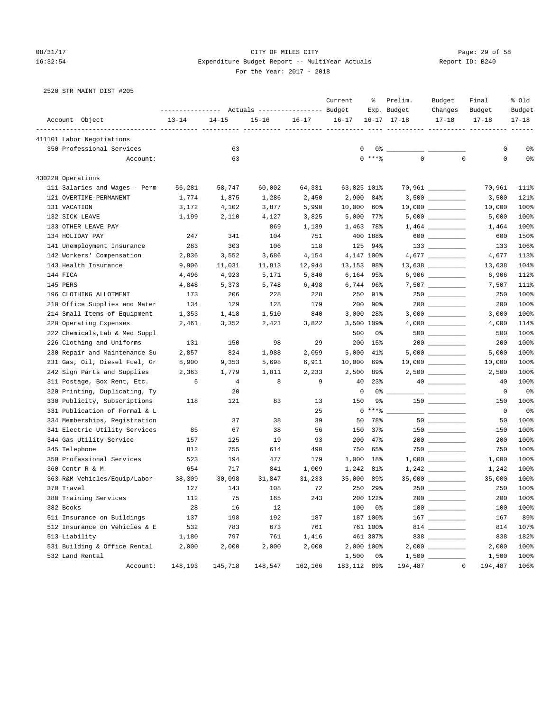### 08/31/17 Page: 29 of 58 16:32:54 Expenditure Budget Report -- MultiYear Actuals Report ID: B240 For the Year: 2017 - 2018

| 2520 STR MAINT DIST #205 |  |  |  |
|--------------------------|--|--|--|
|--------------------------|--|--|--|

|                                |           |                | Actuals ----------------- Budget |           | Current      | ႜ              | Prelim.<br>Exp. Budget | Budget<br>Changes                      | Final<br>Budget | % old<br>Budget |
|--------------------------------|-----------|----------------|----------------------------------|-----------|--------------|----------------|------------------------|----------------------------------------|-----------------|-----------------|
| Account Object                 | $13 - 14$ | $14 - 15$      | $15 - 16$                        | $16 - 17$ | $16 - 17$    |                | $16 - 17$ $17 - 18$    | $17 - 18$                              | $17 - 18$       | $17 - 18$       |
| 411101 Labor Negotiations      |           |                |                                  |           |              |                |                        |                                        |                 |                 |
| 350 Professional Services      |           | 63             |                                  |           | 0            | 0%             |                        |                                        | 0               | 0%              |
| Account:                       |           | 63             |                                  |           |              | $0$ ****       | $\mathbf 0$            | $\mathbf 0$                            | $\mathbf 0$     | 0 <sup>°</sup>  |
|                                |           |                |                                  |           |              |                |                        |                                        |                 |                 |
| 430220 Operations              |           |                |                                  |           |              |                |                        |                                        |                 |                 |
| 111 Salaries and Wages - Perm  | 56,281    | 58,747         | 60,002                           | 64,331    | 63,825 101%  |                |                        | $70,961$ _________                     | 70,961          | 111%            |
| 121 OVERTIME-PERMANENT         | 1,774     | 1,875          | 1,286                            | 2,450     | 2,900        | 84%            |                        | $3,500$ __________                     | 3,500           | 121%            |
| 131 VACATION                   | 3,172     | 4,102          | 3,877                            | 5,990     | 10,000       | 60%            |                        | $10,000$ __________                    | 10,000          | 100%            |
| 132 SICK LEAVE                 | 1,199     | 2,110          | 4,127                            | 3,825     | 5,000        | 77%            |                        | $5,000$                                | 5,000           | 100%            |
| 133 OTHER LEAVE PAY            |           |                | 869                              | 1,139     | 1,463        | 78%            |                        |                                        | 1,464           | 100%            |
| 134 HOLIDAY PAY                | 247       | 341            | 104                              | 751       |              | 400 188%       |                        | $600$                                  | 600             | 150%            |
| 141 Unemployment Insurance     | 283       | 303            | 106                              | 118       | 125          | 94%            |                        |                                        | 133             | 106%            |
| 142 Workers' Compensation      | 2,836     | 3,552          | 3,686                            | 4,154     |              | 4,147 100%     |                        |                                        | 4,677           | 113%            |
| 143 Health Insurance           | 9,906     | 11,031         | 11,813                           | 12,944    | 13,153 98%   |                |                        | $13,638$ ___________                   | 13,638          | 104%            |
| 144 FICA                       | 4,496     | 4,923          | 5,171                            | 5,840     | 6,164 95%    |                |                        |                                        | 6,906           | 112%            |
| 145 PERS                       | 4,848     | 5,373          | 5,748                            | 6,498     | 6,744 96%    |                |                        |                                        | 7,507           | 111%            |
| 196 CLOTHING ALLOTMENT         | 173       | 206            | 228                              | 228       | 250          | 91%            |                        | $250$ ________                         | 250             | 100%            |
| 210 Office Supplies and Mater  | 134       | 129            | 128                              | 179       | 200          | 90%            |                        |                                        | 200             | 100%            |
| 214 Small Items of Equipment   | 1,353     | 1,418          | 1,510                            | 840       | 3,000        | 28%            |                        |                                        | 3,000           | 100%            |
| 220 Operating Expenses         | 2,461     | 3,352          | 2,421                            | 3,822     | 3,500 109%   |                |                        |                                        | 4,000           | 114%            |
| 222 Chemicals, Lab & Med Suppl |           |                |                                  |           | 500          | 0%             |                        | $500$ _________                        | 500             | 100%            |
| 226 Clothing and Uniforms      | 131       | 150            | 98                               | 29        | 200          | 15%            |                        | $200$ _________                        | 200             | 100%            |
| 230 Repair and Maintenance Su  | 2,857     | 824            | 1,988                            | 2,059     | 5,000        | 41%            |                        |                                        | 5,000           | 100%            |
| 231 Gas, Oil, Diesel Fuel, Gr  | 8,900     | 9,353          | 5,698                            | 6,911     | 10,000       | 69%            |                        | $10,000$ __________                    | 10,000          | 100%            |
| 242 Sign Parts and Supplies    | 2,363     | 1,779          | 1,811                            | 2,233     | 2,500        | 89%            |                        |                                        | 2,500           | 100%            |
| 311 Postage, Box Rent, Etc.    | 5         | $\overline{4}$ | 8                                | 9         | 40           | 23%            |                        |                                        | 40              | 100%            |
| 320 Printing, Duplicating, Ty  |           | 20             |                                  |           | 0            | 0%             |                        |                                        | 0               | 0 <sup>°</sup>  |
| 330 Publicity, Subscriptions   | 118       | 121            | 83                               | 13        | 150          | 9%             |                        |                                        | 150             | 100%            |
| 331 Publication of Formal & L  |           |                |                                  | 25        |              | $0***8$        |                        |                                        | 0               | 0 <sup>o</sup>  |
| 334 Memberships, Registration  |           | 37             | 38                               | 39        | 50           | 78%            |                        |                                        | 50              | 100%            |
| 341 Electric Utility Services  | 85        | 67             | 38                               | 56        | 150          | 37%            |                        |                                        | 150             | 100%            |
| 344 Gas Utility Service        | 157       | 125            | 19                               | 93        | 200          | 47%            |                        | $200$ _________                        | 200             | 100%            |
| 345 Telephone                  | 812       | 755            | 614                              | 490       | 750          | 65%            |                        |                                        | 750             | 100%            |
| 350 Professional Services      | 523       | 194            | 477                              | 179       | 1,000        | 18%            |                        |                                        | 1,000           | 100%            |
| 360 Contr R & M                | 654       | 717            | 841                              | 1,009     | 1,242        | 81%            |                        |                                        | 1,242           | 100%            |
| 363 R&M Vehicles/Equip/Labor-  | 38,309    | 30,098         | 31,847                           | 31,233    | 35,000       | 89%            |                        | $35,000$ _________                     | 35,000          | 100%            |
| 370 Travel                     | 127       | 143            | 108                              | 72        | 250          | 29%            |                        | 250                                    | 250             | 100%            |
| 380 Training Services          | 112       | 75             | 165                              | 243       |              | 200 122%       | 200                    |                                        | 200             | 100%            |
| 382 Books                      | 28        | 16             | 12                               |           | 100          | 0 <sup>o</sup> |                        | $\begin{tabular}{c} 100 \end{tabular}$ | 100             | 100%            |
| 511 Insurance on Buildings     | 137       | 198            | 192                              | 187       |              | 187 100%       |                        |                                        | 167             | 89%             |
| 512 Insurance on Vehicles & E  | 532       | 783            | 673                              | 761       |              | 761 100%       |                        |                                        | 814             | 107%            |
| 513 Liability                  | 1,180     | 797            | 761                              | 1,416     |              | 461 307%       |                        |                                        | 838             | 182%            |
| 531 Building & Office Rental   | 2,000     | 2,000          | 2,000                            | 2,000     |              | 2,000 100%     |                        |                                        | 2,000           | 100%            |
| 532 Land Rental                |           |                |                                  |           | 1,500        | 0%             |                        |                                        | 1,500           | 100%            |
| Account:                       | 148,193   | 145,718        | 148,547                          | 162,166   | 183, 112 89% |                | 194,487                | $\mathbf 0$                            | 194,487         | 106%            |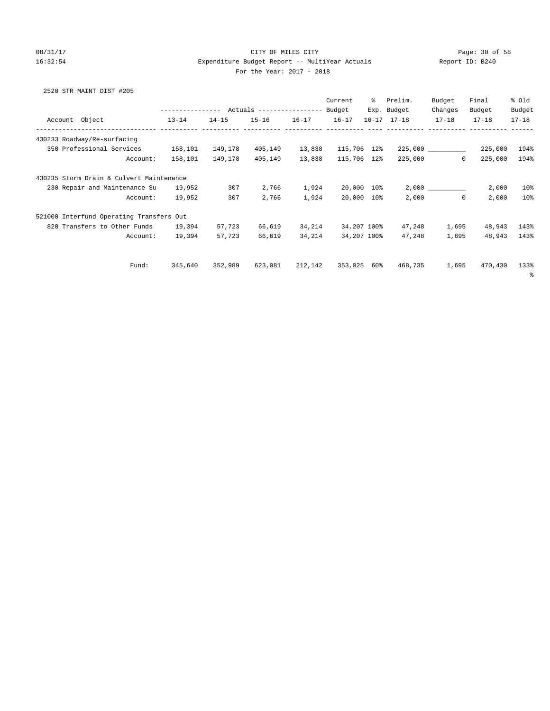### 08/31/17 Page: 30 of 58 16:32:54 Expenditure Budget Report -- MultiYear Actuals Report ID: B240 For the Year: 2017 - 2018

# 2520 STR MAINT DIST #205

|                                                     |                                                 |           |           |           | Current     | ႜႜႜ | Prelim.             | Budget    | Final     | % Old     |
|-----------------------------------------------------|-------------------------------------------------|-----------|-----------|-----------|-------------|-----|---------------------|-----------|-----------|-----------|
|                                                     | --------------- Actuals ---------------- Budget |           |           |           |             |     | Exp. Budget         | Changes   | Budget    | Budget    |
| Account Object                                      | $13 - 14$                                       | $14 - 15$ | $15 - 16$ | $16 - 17$ | $16 - 17$   |     | $16 - 17$ $17 - 18$ | $17 - 18$ | $17 - 18$ | $17 - 18$ |
| --------------------<br>430233 Roadway/Re-surfacing |                                                 |           |           |           |             |     |                     |           |           |           |
| 350 Professional Services                           | 158,101                                         | 149,178   | 405,149   | 13,838    | 115,706 12% |     |                     | 225,000   | 225,000   | 194%      |
| Account:                                            | 158,101                                         | 149,178   | 405,149   | 13,838    | 115,706 12% |     | 225,000             | $\Omega$  | 225,000   | 194%      |
| 430235 Storm Drain & Culvert Maintenance            |                                                 |           |           |           |             |     |                     |           |           |           |
| 230 Repair and Maintenance Su                       | 19,952                                          | 307       | 2,766     | 1,924     | 20,000 10%  |     |                     | 2,000     | 2,000     | 10%       |
| Account:                                            | 19,952                                          | 307       | 2,766     | 1,924     | 20,000 10%  |     | 2,000               | $\circ$   | 2,000     | 10%       |
| 521000 Interfund Operating Transfers Out            |                                                 |           |           |           |             |     |                     |           |           |           |
| 820 Transfers to Other Funds                        | 19,394                                          | 57,723    | 66,619    | 34,214    | 34,207 100% |     | 47,248              | 1,695     | 48,943    | 143%      |
| Account:                                            | 19,394                                          | 57,723    | 66,619    | 34,214    | 34,207 100% |     | 47,248              | 1,695     | 48,943    | 143%      |
|                                                     |                                                 |           |           |           |             |     |                     |           |           |           |
| Fund:                                               | 345,640                                         | 352,989   | 623,081   | 212,142   | 353,025     | 60% | 468,735             | 1,695     | 470,430   | 133%      |
|                                                     |                                                 |           |           |           |             |     |                     |           |           | ႜ         |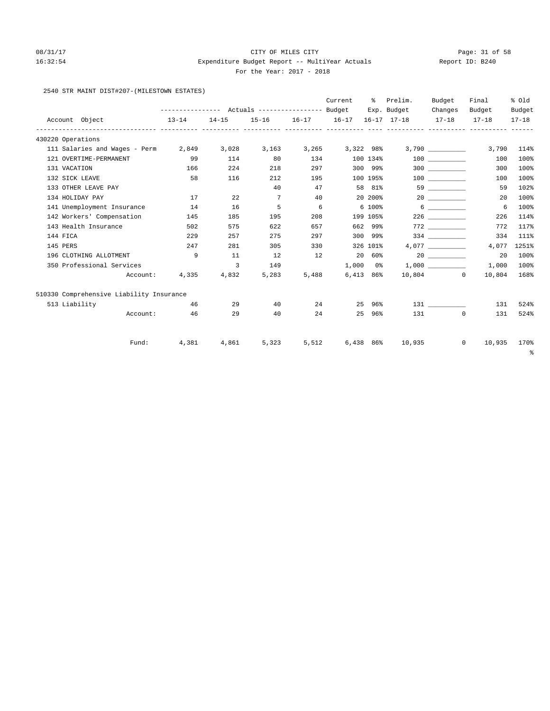### 08/31/17 Page: 31 of 58 16:32:54 Expenditure Budget Report -- MultiYear Actuals Report ID: B240 For the Year: 2017 - 2018

## 2540 STR MAINT DIST#207-(MILESTOWN ESTATES)

|                                          |                                                 |                |             |       | Current           | ႜၟ             | Prelim.           | Budget          | Final                  | % Old     |
|------------------------------------------|-------------------------------------------------|----------------|-------------|-------|-------------------|----------------|-------------------|-----------------|------------------------|-----------|
|                                          | --------------- Actuals ---------------- Budget |                |             |       |                   |                | Exp. Budget       | Changes         | Budget                 | Budget    |
| Account Object                           | $13 - 14$                                       | $14 - 15$      |             |       | 15-16 16-17 16-17 |                | 16-17 17-18 17-18 |                 | $17 - 18$              | $17 - 18$ |
| 430220 Operations                        |                                                 |                |             |       |                   |                |                   |                 |                        |           |
| 111 Salaries and Wages - Perm 2,849      |                                                 | 3,028          | 3,163       |       | 3,265 3,322 98%   |                |                   | 3,790           | 3,790                  | 114%      |
| 121 OVERTIME-PERMANENT                   | 99                                              | 114            | 80          | 134   |                   | 100 134%       |                   | 100 000         | 100                    | 100%      |
| 131 VACATION                             | 166                                             | 224            | 218         | 297   |                   | 300 99%        |                   |                 | 300                    | 100%      |
| 132 SICK LEAVE                           | 58                                              | 116            | 212         | 195   |                   | 100 195%       |                   | 100 000         | 100                    | 100%      |
| 133 OTHER LEAVE PAY                      |                                                 |                | 40          | 47    |                   | 58 81%         |                   |                 | 59                     | 102%      |
| 134 HOLIDAY PAY                          | 17                                              | 22             | $7^{\circ}$ | 40    |                   | 20 200%        |                   | 20              | 20                     | 100%      |
| 141 Unemployment Insurance               | 14                                              | 16             | 5           | 6     |                   | 6 100%         |                   | $6\overline{6}$ | 6                      | 100%      |
| 142 Workers' Compensation                | 145                                             | 185            | 195         | 208   |                   | 199 105%       |                   | 226             | 226                    | 114%      |
| 143 Health Insurance                     | 502                                             | 575            | 622         | 657   |                   | 662 99%        |                   |                 | 772                    | 117%      |
| 144 FICA                                 | 229                                             | 257            | 275         | 297   |                   | 300 99%        |                   | 334             | 334                    | 111%      |
| 145 PERS                                 | 247                                             | 281            | 305         | 330   |                   | 326 101%       |                   | 4,077           | 4,077                  | 1251%     |
| 196 CLOTHING ALLOTMENT                   | 9                                               | 11             | 12          | 12    |                   | 20 60%         |                   |                 | 20                     | 100%      |
| 350 Professional Services                |                                                 | $\overline{3}$ | 149         |       |                   | $1,000$ $0\%$  |                   | 1,000           | 1,000                  | $100\%$   |
| Account:                                 | 4,335                                           | 4,832          | 5,283       | 5,488 |                   | 6,413 86%      |                   | 10,804 0        | 10,804                 | 168%      |
| 510330 Comprehensive Liability Insurance |                                                 |                |             |       |                   |                |                   |                 |                        |           |
| 513 Liability                            | 46                                              | 29             | 40          | 24    |                   | 25 96%         |                   |                 | 131                    | 524%      |
| Account:                                 | 46                                              | 29             | 40          | 24    | 25                | 96%            |                   | 131 \           | 131<br>$\Omega$        | 524%      |
| Fund:                                    | 4,381                                           | 4,861          | 5,323       | 5,512 |                   | $6,438$ $86\%$ | 10,935            |                 | $\mathbf{0}$<br>10,935 | 170%      |
|                                          |                                                 |                |             |       |                   |                |                   |                 |                        | နွ        |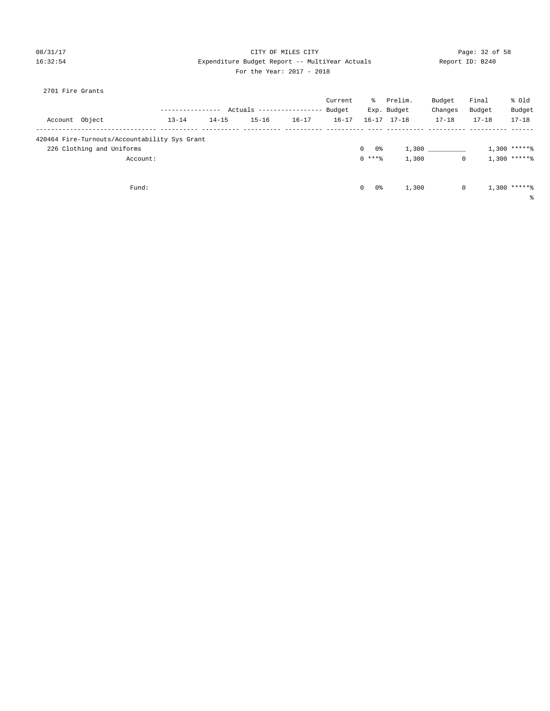### 08/31/17 Page: 32 of 58 16:32:54 Expenditure Budget Report -- MultiYear Actuals Report ID: B240 For the Year: 2017 - 2018

|  | 2701 Fire Grants |  |
|--|------------------|--|
|  |                  |  |

|                                               |           |           |               |            | Current   | ႜႜၟ                | Prelim.             | Budget    | Final     | % old          |
|-----------------------------------------------|-----------|-----------|---------------|------------|-----------|--------------------|---------------------|-----------|-----------|----------------|
|                                               |           |           | Actuals ----- | ---------- | Budget    |                    | Exp. Budget         | Changes   | Budget    | Budget         |
| Account Object                                | $13 - 14$ | $14 - 15$ | $15 - 16$     | $16 - 17$  | $16 - 17$ |                    | $16 - 17$ $17 - 18$ | $17 - 18$ | $17 - 18$ | $17 - 18$      |
| 420464 Fire-Turnouts/Accountability Sys Grant |           |           |               |            |           |                    |                     |           |           |                |
| 226 Clothing and Uniforms                     |           |           |               |            |           | $\mathbf{0}$<br>0% | 1,300               |           |           | $1,300$ *****% |
| Account:                                      |           |           |               |            |           | $0$ ****           | 1,300               | 0         |           | $1,300$ *****% |
| Fund:                                         |           |           |               |            |           | $\mathbf{0}$<br>0% | 1,300               | 0         |           | $1,300$ *****% |
|                                               |           |           |               |            |           |                    |                     |           |           | ႜ              |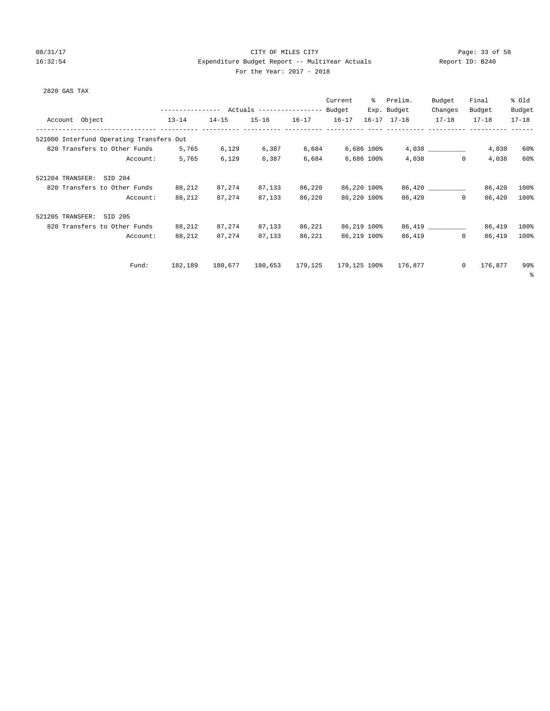# 08/31/17 Page: 33 of 58 16:32:54 Expenditure Budget Report -- MultiYear Actuals Report ID: B240 For the Year: 2017 - 2018

| 2820 GAS TAX                             |                                                 |           |                   |        |                              |                     |                      |           |           |
|------------------------------------------|-------------------------------------------------|-----------|-------------------|--------|------------------------------|---------------------|----------------------|-----------|-----------|
|                                          |                                                 |           |                   |        | Current                      | % Prelim.           | Budget               | Final     | % Old     |
|                                          | --------------- Actuals ---------------- Budget |           |                   |        |                              | Exp. Budget         | Changes              | Budget    | Budget    |
| Account Object                           | $13 - 14$                                       | $14 - 15$ | 15-16 16-17 16-17 |        |                              | $16 - 17$ $17 - 18$ | $17 - 18$            | $17 - 18$ | $17 - 18$ |
| 521000 Interfund Operating Transfers Out |                                                 |           |                   |        |                              |                     |                      |           |           |
| 820 Transfers to Other Funds             | 5,765                                           | 6,129     |                   |        | 6,387 6,684 6,686 100%       |                     |                      | 4,038     | 60%       |
| Account:                                 | 5,765                                           | 6,129     | 6,387             | 6,684  | 6,686 100%                   |                     | 4,038<br>$\Omega$    | 4,038     | 60%       |
| 521204 TRANSFER: SID 204                 |                                                 |           |                   |        |                              |                     |                      |           |           |
| 820 Transfers to Other Funds             | 88,212                                          | 87,274    | 87,133            | 86,220 | 86,220 100%                  |                     | 86,420               | 86,420    | 100%      |
| Account:                                 | 88,212                                          | 87,274    | 87,133            | 86,220 | 86,220 100%                  |                     | 86,420<br>$^{\circ}$ | 86,420    | 100%      |
| 521205 TRANSFER:<br>SID 205              |                                                 |           |                   |        |                              |                     |                      |           |           |
| 820 Transfers to Other Funds             | 88,212                                          | 87,274    | 87.133            | 86,221 | 86,219 100%                  |                     | 86,419               | 86,419    | 100%      |
| Account:                                 | 88,212                                          | 87,274    | 87,133            | 86,221 | 86,219 100%                  | 86,419              | $\Omega$             | 86,419    | 100%      |
|                                          |                                                 |           |                   |        |                              |                     |                      |           |           |
| Fund:                                    | 182,189                                         | 180,677   |                   |        | 180,653 179,125 179,125 100% | 176,877             | $\circ$              | 176,877   | 99%<br>နွ |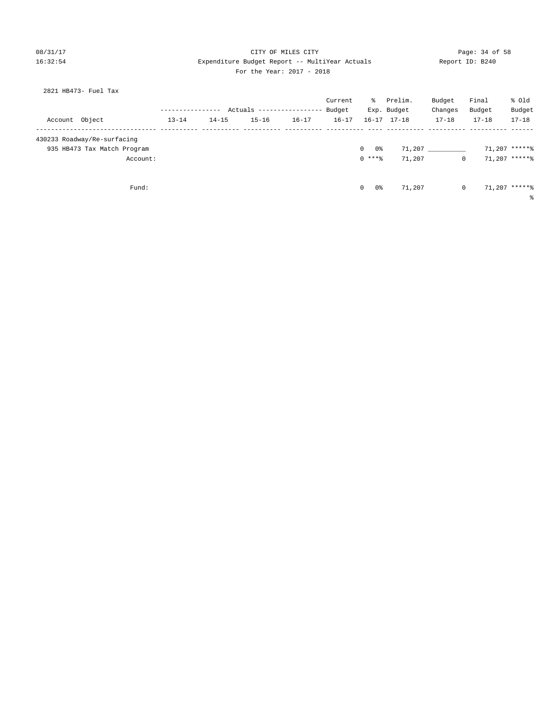### 08/31/17 Page: 34 of 58 16:32:54 Expenditure Budget Report -- MultiYear Actuals Report ID: B240 For the Year: 2017 - 2018

|                             |           |           | Actuals ---------------- |           | Budget    |          | Exp. Budget         | Changes   | Budget    | Budget        |
|-----------------------------|-----------|-----------|--------------------------|-----------|-----------|----------|---------------------|-----------|-----------|---------------|
| Account Object              | $13 - 14$ | $14 - 15$ | $15 - 16$                | $16 - 17$ | $16 - 17$ |          | $16 - 17$ $17 - 18$ | $17 - 18$ | $17 - 18$ | $17 - 18$     |
|                             |           |           |                          |           |           |          |                     |           |           |               |
| 430233 Roadway/Re-surfacing |           |           |                          |           |           |          |                     |           |           |               |
| 935 HB473 Tax Match Program |           |           |                          |           |           | 0%<br>0  | 71,207              |           |           | 71,207 *****% |
| Account:                    |           |           |                          |           |           | $0$ **** | 71,207              |           |           | 71,207 *****% |

Fund:  $0 \t 0 \t 0 \t 71,207$   $0 \t 71,207$   $0 \t 71,207$ 

%

2821 HB473- Fuel Tax

| L'UL LIIL ILAI : 2017            | -4949   |    |                        |                   |                 |                 |
|----------------------------------|---------|----|------------------------|-------------------|-----------------|-----------------|
| Actuals ----------------- Budget | Current | ွေ | Prelim.<br>Exp. Budget | Budget<br>Changes | Final<br>Budget | % Old<br>Budget |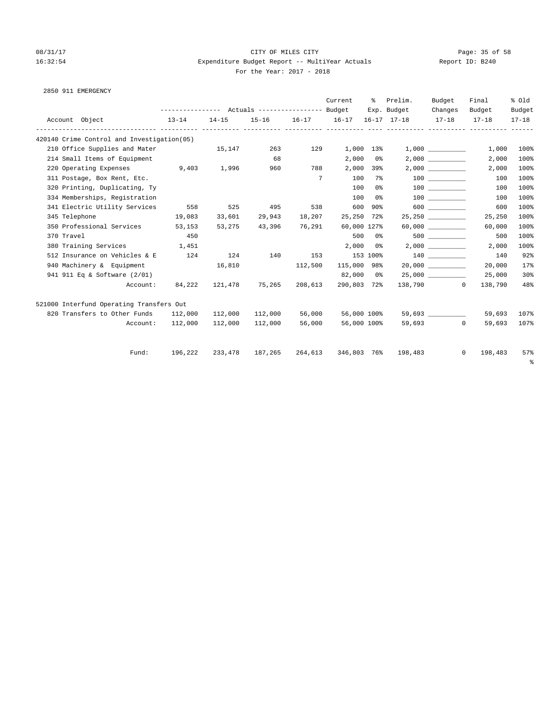2850 911 EMERGENCY

# 08/31/17 Page: 35 of 58 16:32:54 Expenditure Budget Report -- MultiYear Actuals Report ID: B240 For the Year: 2017 - 2018

|                                             |                                                                     |                                    |               |               | Current                   |            | % Prelim.                                               | Budget     | Final   | % old       |
|---------------------------------------------|---------------------------------------------------------------------|------------------------------------|---------------|---------------|---------------------------|------------|---------------------------------------------------------|------------|---------|-------------|
|                                             | --------------- Actuals ---------------- Budget                     |                                    |               |               |                           |            | Exp. Budget Changes Budget                              |            |         | Budget      |
| Account Object<br>$13 - 14$                 |                                                                     |                                    |               |               |                           |            | $14-15$ 15-16 16-17 16-17 16-17 17-18 17-18 17-18 17-18 |            |         |             |
| 420140 Crime Control and Investigation (05) |                                                                     |                                    |               |               |                           |            |                                                         |            |         |             |
| 210 Office Supplies and Mater               |                                                                     | 15,147 263 129                     |               |               | 1,000 13%                 |            |                                                         | 1,000      | 1,000   | 100%        |
| 214 Small Items of Equipment                |                                                                     |                                    | 68            |               |                           | $2,000$ 0% |                                                         | 2,000      | 2,000   | 100%        |
| 220 Operating Expenses 5,403 1,996 960 788  |                                                                     |                                    |               |               |                           | 2,000 39%  |                                                         | 2,000      | 2,000   | 100%        |
| 311 Postage, Box Rent, Etc.                 |                                                                     |                                    |               |               | $7\overline{ }$<br>100 7% |            |                                                         | 100 000    | 100     | 100%        |
| 320 Printing, Duplicating, Ty               |                                                                     |                                    |               |               | 100                       | 0 %        |                                                         | 100 000    | 100     | 100%        |
| 334 Memberships, Registration               |                                                                     |                                    |               |               |                           | 100 0%     |                                                         | 100 000    | 100     | 100%        |
| 341 Electric Utility Services               | 558                                                                 | 525                                | 495           | 538           |                           | 600 90%    |                                                         | 600 000    | 600     | 100%        |
| 345 Telephone                               | 19,083                                                              | 33,601                             | 29,943 18,207 |               | 25,250 72%                |            |                                                         | 25,250     | 25,250  | 100%        |
| 350 Professional Services 53,153            |                                                                     | 53,275                             |               | 43,396 76,291 | 60,000 127%               |            |                                                         | 60,000 000 | 60,000  | 100%        |
| 370 Travel                                  | 450                                                                 |                                    |               |               |                           | 500 0%     |                                                         | 500 000    | 500     | 100%        |
| 380 Training Services                       | 1,451                                                               |                                    |               |               |                           | $2,000$ 0% |                                                         | 2,000      | 2,000   | 100%        |
| 512 Insurance on Vehicles & E               | 124                                                                 |                                    | 124 140 153   |               | 153 100%                  |            |                                                         | 140        | 140     | 92%         |
| 940 Machinery & Equipment                   | 16,810                                                              |                                    | 112,500       |               | 115,000 98%               |            |                                                         | 20,000     | 20,000  | 17%         |
| 941 911 Eq & Software (2/01)                |                                                                     |                                    |               |               | 82,000 0%                 |            |                                                         | 25,000     | 25,000  | 30%         |
| Account:                                    | 84,222                                                              | 121,478 75,265 208,613 290,803 72% |               |               |                           |            |                                                         | 138,790 0  | 138,790 | 48%         |
| 521000 Interfund Operating Transfers Out    |                                                                     |                                    |               |               |                           |            |                                                         |            |         |             |
| 820 Transfers to Other Funds 112,000        |                                                                     | 112,000                            | 112,000       | 56,000        | 56,000 100%               |            |                                                         | 59,693     |         | 59,693 107% |
|                                             | Account: 112,000                                                    | 112,000                            | 112,000       | 56,000        | 56,000 100%               |            |                                                         | 59,693 0   | 59,693  | 107%        |
|                                             | Fund: 196,222 233,478 187,265 264,613 346,803 76% 198,483 0 198,483 |                                    |               |               |                           |            |                                                         |            |         | 57%         |
|                                             |                                                                     |                                    |               |               |                           |            |                                                         |            |         |             |

%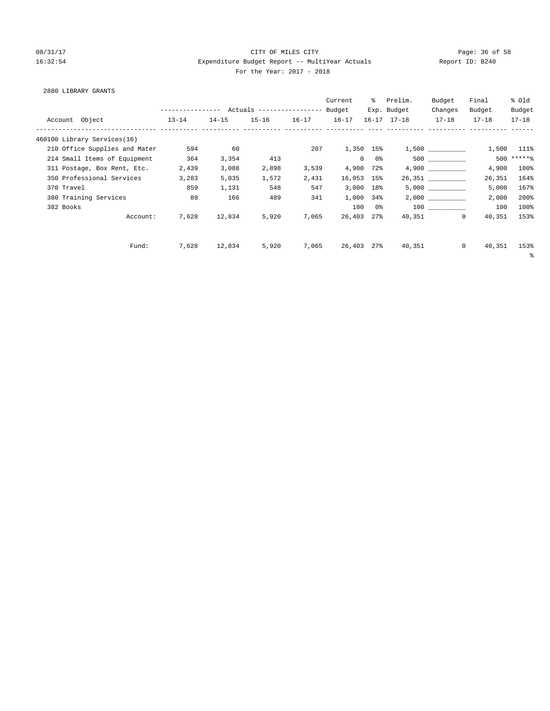### 08/31/17 Page: 36 of 58 16:32:54 Expenditure Budget Report -- MultiYear Actuals Report ID: B240 For the Year: 2017 - 2018

### 2880 LIBRARY GRANTS

|                                                         |           |           |           |           | Current        |        | % Prelim.<br>Exp. Budget | Budget<br>Changes | Final<br>Budget | % old<br>Budget |
|---------------------------------------------------------|-----------|-----------|-----------|-----------|----------------|--------|--------------------------|-------------------|-----------------|-----------------|
| Account Object<br>---------------------------- -------- | $13 - 14$ | $14 - 15$ | $15 - 16$ | $16 - 17$ | $16 - 17$      |        | $16 - 17$ $17 - 18$      | $17 - 18$         | $17 - 18$       | $17 - 18$       |
| 460100 Library Services(16)                             |           |           |           |           |                |        |                          |                   |                 |                 |
| 210 Office Supplies and Mater                           | 594       | 60        |           | 207       | 1,350 15%      |        |                          |                   | 1,500           | 111%            |
| 214 Small Items of Equipment                            | 364       | 3,354     | 413       |           | $\overline{0}$ | 0 %    |                          | 500 000           |                 | $500$ ***** \   |
| 311 Postage, Box Rent, Etc.                             | 2,439     | 3,088     | 2,898     | 3,539     | 4,900 72%      |        |                          |                   | 4,900           | 100%            |
| 350 Professional Services                               | 3,283     | 5,035     | 1,572     | 2,431     | 16,053 15%     |        |                          | 26,351            | 26,351          | 164%            |
| 370 Travel                                              | 859       | 1,131     | 548       | 547       | 3,000          | 18%    |                          | 5,000             | 5,000           | 167%            |
| 380 Training Services                                   | 89        | 166       | 489       | 341       | 1,000          | 34%    |                          | 2,000             | 2,000           | 200%            |
| 382 Books                                               |           |           |           |           |                | 100 0% |                          | 100 000           | 100             | 100%            |
| Account:                                                | 7,628     | 12,834    | 5,920     | 7,065     | 26,403 27%     |        |                          | 40,351<br>$\circ$ | 40,351          | 153%            |
|                                                         |           |           |           |           |                |        |                          |                   |                 |                 |
| Fund:                                                   | 7,628     | 12,834    | 5,920     | 7,065     | 26,403 27%     |        | 40,351                   | $\circ$           | 40,351          | 153%            |
|                                                         |           |           |           |           |                |        |                          |                   |                 | နွ              |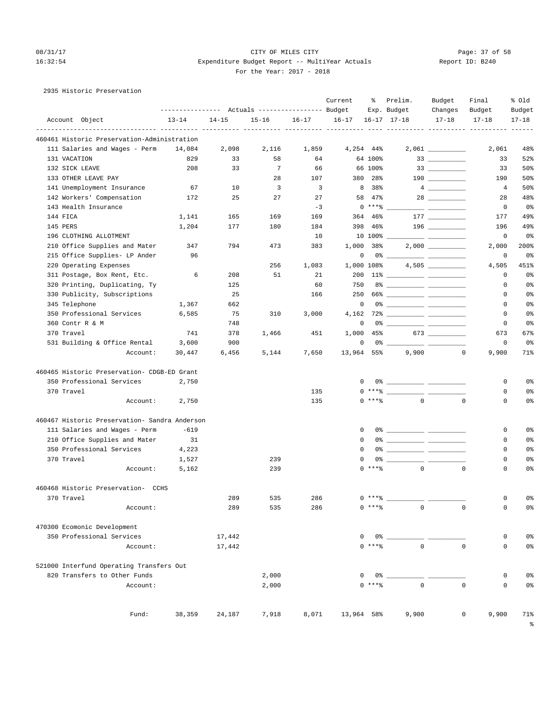# 08/31/17 Page: 37 of 58 16:32:54 Expenditure Budget Report -- MultiYear Actuals Report ID: B240 For the Year: 2017 - 2018

|  |  |  | 2935 Historic Preservation |
|--|--|--|----------------------------|
|--|--|--|----------------------------|

|                                               |                                                 |            |            |                         | Current    | ႜ             | Prelim.                 | Budget                            | Final                                        | % old          |
|-----------------------------------------------|-------------------------------------------------|------------|------------|-------------------------|------------|---------------|-------------------------|-----------------------------------|----------------------------------------------|----------------|
|                                               | --------------- Actuals ---------------- Budget |            |            |                         |            |               | Exp. Budget             | Changes                           | Budget                                       | Budget         |
| Account Object                                | $13 - 14$                                       | $14 - 15$  | $15 - 16$  | $16 - 17$               | $16 - 17$  |               | $16 - 17$ $17 - 18$     | $17 - 18$                         | $17 - 18$<br>---------- ---------- --------- | $17 - 18$      |
| 460461 Historic Preservation-Administration   |                                                 |            |            |                         |            |               |                         |                                   |                                              |                |
| 111 Salaries and Wages - Perm                 | 14,084                                          | 2,098      | 2,116      | 1,859                   | 4,254 44%  |               |                         |                                   | 2,061                                        | 48%            |
| 131 VACATION                                  | 829                                             | 33         | 58         | 64                      |            | 64 100%       |                         |                                   | 33                                           | 52%            |
| 132 SICK LEAVE                                | 208                                             | 33         | 7          | 66                      |            | 66 100%       |                         | $\begin{array}{c} 33 \end{array}$ | 33                                           | 50%            |
| 133 OTHER LEAVE PAY                           |                                                 |            | 28         | 107                     | 380        | 28%           |                         |                                   | 190                                          | 50%            |
| 141 Unemployment Insurance                    | 67                                              | 10         | 3          | $\overline{\mathbf{3}}$ | 8          | 38%           |                         |                                   | 4                                            | 50%            |
| 142 Workers' Compensation                     | 172                                             | 25         | 27         | 27                      | 58         | 47%           |                         |                                   | 28                                           | 48%            |
| 143 Health Insurance                          |                                                 |            |            | $-3$                    |            | $0***$ $*$    |                         |                                   | 0                                            | 0%             |
| 144 FICA                                      | 1,141                                           | 165        | 169        | 169                     | 364        | 46%           |                         |                                   | 177                                          | 49%            |
| 145 PERS                                      | 1,204                                           | 177        | 180        | 184                     | 398        | 46%           |                         |                                   | 196                                          | 49%            |
| 196 CLOTHING ALLOTMENT                        |                                                 |            |            | 10                      |            | $10,100$ % __ |                         |                                   | 0                                            | 0 <sup>8</sup> |
| 210 Office Supplies and Mater                 | 347                                             | 794        | 473        | 383                     | 1,000      | 38%           |                         |                                   | 2,000                                        | 200%           |
| 215 Office Supplies- LP Ander                 | 96                                              |            |            |                         | 0          |               |                         |                                   | 0                                            | 0%             |
| 220 Operating Expenses                        |                                                 |            | 256        | 1,083                   | 1,000 108% |               |                         |                                   | 4,505                                        | 451%           |
| 311 Postage, Box Rent, Etc.                   | 6                                               | 208        | 51         | 21                      | 200        |               |                         |                                   | 0                                            | 0 <sup>°</sup> |
| 320 Printing, Duplicating, Ty                 |                                                 | 125        |            | 60                      | 750        |               |                         |                                   | 0                                            | 0%             |
| 330 Publicity, Subscriptions                  |                                                 | 25         |            | 166                     | 250        |               |                         |                                   | $\mathbf 0$                                  | 0%             |
| 345 Telephone                                 | 1,367                                           | 662        |            |                         | 0          |               |                         |                                   | 0                                            | 0%             |
| 350 Professional Services                     | 6,585                                           | 75         | 310        | 3,000                   | 4,162      |               |                         |                                   | 0                                            | 0%             |
| 360 Contr R & M                               |                                                 | 748        |            |                         | 0          |               |                         |                                   | 0                                            | 0%             |
| 370 Travel                                    | 741                                             | 378        | 1,466      | 451                     | 1,000      | 45%           |                         |                                   | 673                                          | 67%            |
| 531 Building & Office Rental                  | 3,600                                           | 900        |            |                         | 0          |               |                         |                                   | 0                                            | 0 <sup>8</sup> |
| Account:                                      | 30,447                                          | 6,456      | 5,144      | 7,650                   | 13,964 55% |               | 9,900                   | $\mathbf 0$                       | 9,900                                        | 71%            |
| 460465 Historic Preservation- CDGB-ED Grant   |                                                 |            |            |                         |            |               |                         |                                   |                                              |                |
| 350 Professional Services                     | 2,750                                           |            |            |                         | 0          |               |                         |                                   | 0                                            | 0%             |
| 370 Travel                                    |                                                 |            |            | 135                     |            |               | $0***$ $\frac{20}{100}$ |                                   | 0                                            | 0%             |
| Account:                                      | 2,750                                           |            |            | 135                     |            | $0$ *** $%$   | $\circ$                 | $\mathbf 0$                       | $\mathbf 0$                                  | 0%             |
| 460467 Historic Preservation- Sandra Anderson |                                                 |            |            |                         |            |               |                         |                                   |                                              |                |
| 111 Salaries and Wages - Perm                 | $-619$                                          |            |            |                         | 0          |               |                         |                                   | 0                                            | 0%             |
| 210 Office Supplies and Mater                 | 31                                              |            |            |                         | 0          |               |                         |                                   | 0                                            | 0%             |
| 350 Professional Services                     | 4,223                                           |            |            |                         | $\Omega$   |               |                         |                                   | 0                                            | 0%             |
| 370 Travel                                    | 1,527                                           |            | 239        |                         | 0          |               |                         |                                   | 0                                            | 0%             |
| Account:                                      | 5,162                                           |            | 239        |                         |            | $0***8$       | $\circ$                 | $\circ$                           | $\mathbf 0$                                  | 0%             |
|                                               |                                                 |            |            |                         |            |               |                         |                                   |                                              |                |
| 460468 Historic Preservation- CCHS            |                                                 |            |            |                         |            | $0***8$       |                         |                                   |                                              |                |
| 370 Travel<br>Account:                        |                                                 | 289<br>289 | 535<br>535 | 286<br>286              |            | $0***8$       | $\mathsf 0$             |                                   | 0<br>$\mathbf 0$<br>$\mathsf{O}\xspace$      | 0%<br>0%       |
|                                               |                                                 |            |            |                         |            |               |                         |                                   |                                              |                |
| 470300 Ecomonic Development                   |                                                 |            |            |                         |            |               |                         |                                   |                                              |                |
| 350 Professional Services                     |                                                 | 17,442     |            |                         | 0          |               | $0$ %                   |                                   | $\mathbf 0$                                  | 0%             |
| Account:                                      |                                                 | 17,442     |            |                         |            | $0$ *** $%$   | $\Omega$                |                                   | $\mathbf 0$<br>$\mathsf{O}$                  | 0 <sup>°</sup> |
| 521000 Interfund Operating Transfers Out      |                                                 |            |            |                         |            |               |                         |                                   |                                              |                |
| 820 Transfers to Other Funds                  |                                                 |            | 2,000      |                         | 0          | 0%            |                         |                                   | 0                                            | 0%             |
| Account:                                      |                                                 |            | 2,000      |                         |            | $0$ *** %     | $\Omega$                |                                   | $\Omega$<br>$\circ$                          | 0 <sup>°</sup> |
|                                               |                                                 |            |            |                         |            |               |                         |                                   |                                              |                |
| Fund:                                         | 38,359                                          | 24,187     | 7,918      | 8,071                   | 13,964 58% |               | 9,900                   |                                   | 0<br>9,900                                   | 71%            |

%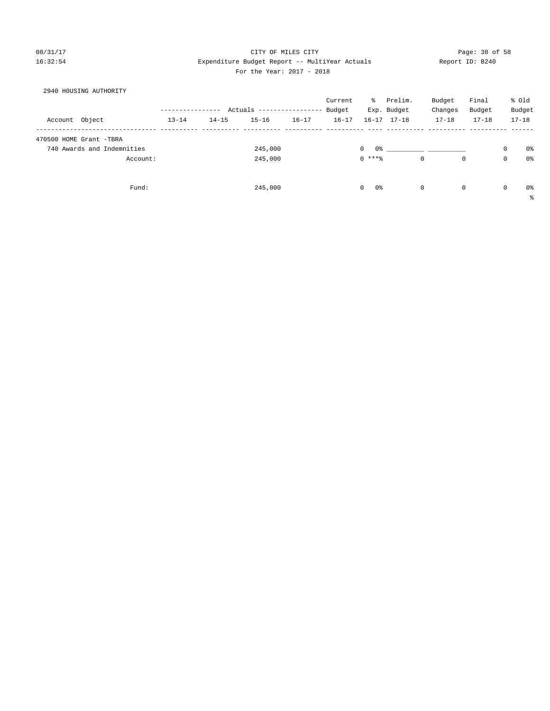### 08/31/17 Page: 38 of 58 16:32:54 Expenditure Budget Report -- MultiYear Actuals Report ID: B240 For the Year: 2017 - 2018

| 2940 HOUSING AUTHORITY     |                  |           |                                  |           |           |                                |                     |             |             |           |             |           |
|----------------------------|------------------|-----------|----------------------------------|-----------|-----------|--------------------------------|---------------------|-------------|-------------|-----------|-------------|-----------|
|                            |                  |           |                                  |           | Current   | ႜႜႜၟ                           | Prelim.             |             | Budget      | Final     |             | % old     |
|                            | ---------------- |           | Actuals ----------------- Budget |           |           |                                | Exp. Budget         |             | Changes     | Budget    |             | Budget    |
| Account Object             | $13 - 14$        | $14 - 15$ | $15 - 16$                        | $16 - 17$ | $16 - 17$ |                                | $16 - 17$ $17 - 18$ |             | $17 - 18$   | $17 - 18$ |             | $17 - 18$ |
| 470500 HOME Grant -TBRA    |                  |           |                                  |           |           |                                |                     |             |             |           |             |           |
| 740 Awards and Indemnities |                  |           | 245,000                          |           |           | $\mathbf{0}$<br>0 <sup>°</sup> |                     |             |             |           | 0           | 0%        |
| Account:                   |                  |           | 245,000                          |           |           | $0$ ****                       |                     | $\mathbf 0$ | $\mathbf 0$ |           | 0           | 0%        |
|                            |                  |           |                                  |           |           |                                |                     |             |             |           |             |           |
| Fund:                      |                  |           | 245,000                          |           |           | 0%<br>$\circ$                  |                     | $\mathbf 0$ | $\mathbf 0$ |           | $\mathbf 0$ | 0%        |
|                            |                  |           |                                  |           |           |                                |                     |             |             |           |             |           |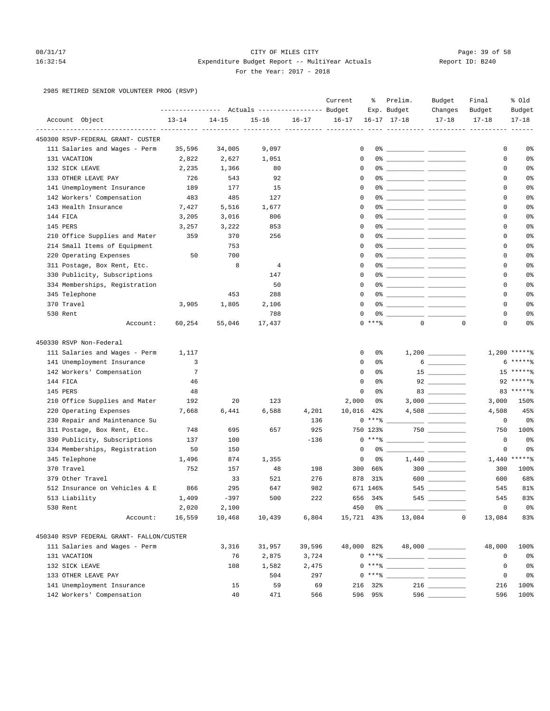### 08/31/17 Page: 39 of 58 16:32:54 Expenditure Budget Report -- MultiYear Actuals Report ID: B240 For the Year: 2017 - 2018

2985 RETIRED SENIOR VOLUNTEER PROG (RSVP)

|            |                                          |                |                                                                    |                |           | Current     | ៖        | Prelim.                                                                                                                                                                                                                                                                                                                                             | Budget               | Final                            | % old          |
|------------|------------------------------------------|----------------|--------------------------------------------------------------------|----------------|-----------|-------------|----------|-----------------------------------------------------------------------------------------------------------------------------------------------------------------------------------------------------------------------------------------------------------------------------------------------------------------------------------------------------|----------------------|----------------------------------|----------------|
|            |                                          |                | ---------------    Actuals ----------------    Budget<br>$14 - 15$ |                |           | $16 - 17$   |          | Exp. Budget<br>$16 - 17$ $17 - 18$                                                                                                                                                                                                                                                                                                                  | Changes<br>$17 - 18$ | Budget<br>$17 - 18$              | Budget         |
|            | Account Object                           | $13 - 14$      |                                                                    | $15 - 16$      | $16 - 17$ |             |          |                                                                                                                                                                                                                                                                                                                                                     |                      | ----------- ---------- --------- | $17 - 18$      |
|            | 450300 RSVP-FEDERAL GRANT- CUSTER        |                |                                                                    |                |           |             |          |                                                                                                                                                                                                                                                                                                                                                     |                      |                                  |                |
|            | 111 Salaries and Wages - Perm            | 35,596         | 34,005                                                             | 9,097          |           | 0           |          |                                                                                                                                                                                                                                                                                                                                                     |                      | 0                                | 0%             |
|            | 131 VACATION                             | 2,822          | 2,627                                                              | 1,051          |           | 0           |          |                                                                                                                                                                                                                                                                                                                                                     |                      | 0                                | 0%             |
|            | 132 SICK LEAVE                           | 2,235          | 1,366                                                              | 80             |           | $\mathbf 0$ |          |                                                                                                                                                                                                                                                                                                                                                     |                      | 0                                | 0%             |
|            | 133 OTHER LEAVE PAY                      | 726            | 543                                                                | 92             |           | $\mathbf 0$ |          |                                                                                                                                                                                                                                                                                                                                                     |                      | 0                                | 0%             |
|            | 141 Unemployment Insurance               | 189            | 177                                                                | 15             |           | 0           |          | 0% _____________ _____________                                                                                                                                                                                                                                                                                                                      |                      | 0                                | 0%             |
|            | 142 Workers' Compensation                | 483            | 485                                                                | 127            |           | $\Omega$    |          |                                                                                                                                                                                                                                                                                                                                                     |                      | $\mathbf 0$                      | 0%             |
|            | 143 Health Insurance                     | 7,427          | 5,516                                                              | 1,677          |           | 0           |          | 0% ____________ ______________                                                                                                                                                                                                                                                                                                                      |                      | 0                                | 0%             |
| 144 FICA   |                                          | 3,205          | 3,016                                                              | 806            |           | $\mathbf 0$ |          |                                                                                                                                                                                                                                                                                                                                                     |                      | 0                                | 0%             |
| 145 PERS   |                                          | 3,257          | 3,222                                                              | 853            |           | 0           |          |                                                                                                                                                                                                                                                                                                                                                     |                      | 0                                | 0%             |
|            | 210 Office Supplies and Mater            | 359            | 370                                                                | 256            |           | 0           |          | 0% _____________ _____________                                                                                                                                                                                                                                                                                                                      |                      | 0                                | 0%             |
|            | 214 Small Items of Equipment             |                | 753                                                                |                |           | $\Omega$    |          |                                                                                                                                                                                                                                                                                                                                                     |                      | 0                                | 0%             |
|            | 220 Operating Expenses                   | 50             | 700                                                                |                |           | $\mathbf 0$ |          |                                                                                                                                                                                                                                                                                                                                                     |                      | 0                                | 0%             |
|            | 311 Postage, Box Rent, Etc.              |                | 8                                                                  | $\overline{4}$ |           | $\mathbf 0$ |          |                                                                                                                                                                                                                                                                                                                                                     |                      | 0                                | 0%             |
|            | 330 Publicity, Subscriptions             |                |                                                                    | 147            |           | $\mathbf 0$ |          |                                                                                                                                                                                                                                                                                                                                                     |                      | 0                                | 0%             |
|            | 334 Memberships, Registration            |                |                                                                    | 50             |           | 0           |          | 0% _____________ ____________                                                                                                                                                                                                                                                                                                                       |                      | 0                                | 0%             |
|            | 345 Telephone                            |                | 453                                                                | 288            |           | $\Omega$    |          |                                                                                                                                                                                                                                                                                                                                                     |                      | 0                                | 0%             |
| 370 Travel |                                          | 3,905          | 1,805                                                              | 2,106          |           | 0           |          |                                                                                                                                                                                                                                                                                                                                                     |                      | 0                                | 0%             |
| 530 Rent   |                                          |                |                                                                    | 788            |           | 0           |          |                                                                                                                                                                                                                                                                                                                                                     |                      | 0                                | 0%             |
|            | Account:                                 | 60,254         | 55,046                                                             | 17,437         |           |             | $0$ **** | $\mathbf{0}$                                                                                                                                                                                                                                                                                                                                        |                      | $\mathbf 0$<br>0                 | 0%             |
|            |                                          |                |                                                                    |                |           |             |          |                                                                                                                                                                                                                                                                                                                                                     |                      |                                  |                |
|            | 450330 RSVP Non-Federal                  |                |                                                                    |                |           |             |          |                                                                                                                                                                                                                                                                                                                                                     |                      |                                  |                |
|            | 111 Salaries and Wages - Perm            | 1,117          |                                                                    |                |           | 0           | 0%       |                                                                                                                                                                                                                                                                                                                                                     |                      |                                  | $1,200$ ****** |
|            | 141 Unemployment Insurance               | 3              |                                                                    |                |           | 0           | 0%       |                                                                                                                                                                                                                                                                                                                                                     | $6 \hspace{0.1cm}$   |                                  | $*****2$       |
|            | 142 Workers' Compensation                | $\overline{7}$ |                                                                    |                |           | $\mathbf 0$ | 0%       |                                                                                                                                                                                                                                                                                                                                                     |                      |                                  | $15*****$      |
| 144 FICA   |                                          | 46             |                                                                    |                |           | 0           | 0%       |                                                                                                                                                                                                                                                                                                                                                     |                      |                                  | $92*****$      |
| 145 PERS   |                                          | 48             |                                                                    |                |           | 0           | 0%       |                                                                                                                                                                                                                                                                                                                                                     |                      |                                  | 83 ******      |
|            | 210 Office Supplies and Mater            | 192            | 20                                                                 | 123            |           | 2,000       | 0%       |                                                                                                                                                                                                                                                                                                                                                     |                      | 3,000                            | 150%           |
|            | 220 Operating Expenses                   | 7,668          | 6,441                                                              | 6,588          | 4,201     | 10,016      | 42%      |                                                                                                                                                                                                                                                                                                                                                     |                      | 4,508                            | 45%            |
|            | 230 Repair and Maintenance Su            |                |                                                                    |                | 136       |             | $0***8$  |                                                                                                                                                                                                                                                                                                                                                     |                      | 0                                | 0 <sup>8</sup> |
|            | 311 Postage, Box Rent, Etc.              | 748            | 695                                                                | 657            | 925       |             | 750 123% |                                                                                                                                                                                                                                                                                                                                                     |                      | 750                              | 100%           |
|            | 330 Publicity, Subscriptions             | 137            | 100                                                                |                | $-136$    |             | $0***8$  |                                                                                                                                                                                                                                                                                                                                                     |                      | $\mathbf 0$                      | 0%             |
|            | 334 Memberships, Registration            | 50             | 150                                                                |                |           | 0           | 0%       |                                                                                                                                                                                                                                                                                                                                                     |                      | 0                                | 0 <sup>°</sup> |
|            | 345 Telephone                            | 1,496          | 874                                                                | 1,355          |           | 0           | 0%       |                                                                                                                                                                                                                                                                                                                                                     |                      |                                  | $1,440$ *****% |
| 370 Travel |                                          | 752            | 157                                                                | 48             | 198       | 300         | 66%      |                                                                                                                                                                                                                                                                                                                                                     | $300$                | 300                              | 100%           |
|            | 379 Other Travel                         |                | 33                                                                 | 521            | 276       | 878         | 31%      |                                                                                                                                                                                                                                                                                                                                                     | $600$                | 600                              | 68%            |
|            | 512 Insurance on Vehicles & E            | 866            | 295                                                                | 647            | 982       |             | 671 146% |                                                                                                                                                                                                                                                                                                                                                     | 545                  | 545                              | 81%            |
|            | 513 Liability                            | 1,409          | $-397$                                                             | 500            | 222       |             | 656 34%  | 545                                                                                                                                                                                                                                                                                                                                                 |                      | 545                              | 83%            |
| 530 Rent   |                                          | 2,020          | 2,100                                                              |                |           | 450         |          | $0\%$ _                                                                                                                                                                                                                                                                                                                                             |                      | 0                                | 0 <sup>°</sup> |
|            | Account:                                 | 16,559         | 10,468                                                             | 10,439         | 6,804     | 15,721 43%  |          | 13,084                                                                                                                                                                                                                                                                                                                                              |                      | $\mathbf 0$<br>13,084            | 83%            |
|            | 450340 RSVP FEDERAL GRANT- FALLON/CUSTER |                |                                                                    |                |           |             |          |                                                                                                                                                                                                                                                                                                                                                     |                      |                                  |                |
|            | 111 Salaries and Wages - Perm            |                | 3,316                                                              | 31,957         | 39,596    | 48,000 82%  |          |                                                                                                                                                                                                                                                                                                                                                     | 48,000 _________     | 48,000                           | 100%           |
|            | 131 VACATION                             |                | 76                                                                 | 2,875          | 3,724     |             |          | $0***$ $\frac{20}{100}$                                                                                                                                                                                                                                                                                                                             |                      | 0                                | 0 <sup>°</sup> |
|            | 132 SICK LEAVE                           |                | 108                                                                | 1,582          | 2,475     |             |          | $0***$ $\frac{1}{1}$                                                                                                                                                                                                                                                                                                                                |                      | 0                                | 0%             |
|            | 133 OTHER LEAVE PAY                      |                |                                                                    | 504            | 297       |             |          | $\begin{picture}(150,10) \put(0,0){\line(1,0){10}} \put(15,0){\line(1,0){10}} \put(15,0){\line(1,0){10}} \put(15,0){\line(1,0){10}} \put(15,0){\line(1,0){10}} \put(15,0){\line(1,0){10}} \put(15,0){\line(1,0){10}} \put(15,0){\line(1,0){10}} \put(15,0){\line(1,0){10}} \put(15,0){\line(1,0){10}} \put(15,0){\line(1,0){10}} \put(15,0){\line($ |                      | 0                                | 0%             |
|            | 141 Unemployment Insurance               |                | 15                                                                 | 59             | 69        |             | 216 32%  |                                                                                                                                                                                                                                                                                                                                                     | $216$ ________       | 216                              | 100%           |
|            | 142 Workers' Compensation                |                | 40                                                                 | 471            | 566       |             | 596 95%  |                                                                                                                                                                                                                                                                                                                                                     | 596                  | 596                              | 100%           |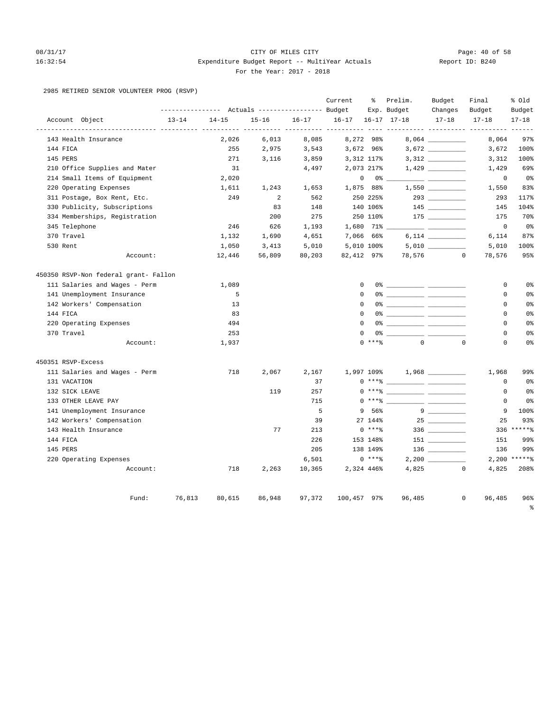# 08/31/17 Page: 40 of 58 16:32:54 Expenditure Budget Report -- MultiYear Actuals Report ID: B240 For the Year: 2017 - 2018

### 2985 RETIRED SENIOR VOLUNTEER PROG (RSVP)

|                                       |                  |           |                                  |           | Current                       | ႜ                | Prelim.                                                                                                                                                                                                                                                                                                                  | Budget                                                                                                                                                                                                                                                                                                                                                                                                                                                                          | Final                  | % Old                  |
|---------------------------------------|------------------|-----------|----------------------------------|-----------|-------------------------------|------------------|--------------------------------------------------------------------------------------------------------------------------------------------------------------------------------------------------------------------------------------------------------------------------------------------------------------------------|---------------------------------------------------------------------------------------------------------------------------------------------------------------------------------------------------------------------------------------------------------------------------------------------------------------------------------------------------------------------------------------------------------------------------------------------------------------------------------|------------------------|------------------------|
|                                       | ---------------- |           | Actuals ----------------- Budget |           |                               |                  | Exp. Budget                                                                                                                                                                                                                                                                                                              | Changes                                                                                                                                                                                                                                                                                                                                                                                                                                                                         | Budget                 | Budget                 |
| Account Object                        | $13 - 14$        | $14 - 15$ | $15 - 16$                        | $16 - 17$ | $16 - 17$<br>----- ---------- |                  | $16 - 17$ $17 - 18$                                                                                                                                                                                                                                                                                                      | $17 - 18$                                                                                                                                                                                                                                                                                                                                                                                                                                                                       | $17 - 18$              | $17 - 18$<br>$- - - -$ |
| 143 Health Insurance                  |                  | 2,026     | 6,013                            | 8,085     |                               | 8,272 98%        |                                                                                                                                                                                                                                                                                                                          |                                                                                                                                                                                                                                                                                                                                                                                                                                                                                 | 8,064                  | 97%                    |
| 144 FICA                              |                  | 255       | 2,975                            | 3,543     |                               | 3,672 96%        |                                                                                                                                                                                                                                                                                                                          | 3,672                                                                                                                                                                                                                                                                                                                                                                                                                                                                           | 3,672                  | 100%                   |
| 145 PERS                              |                  | 271       | 3,116                            | 3,859     |                               | 3,312 117%       |                                                                                                                                                                                                                                                                                                                          |                                                                                                                                                                                                                                                                                                                                                                                                                                                                                 | 3,312                  | 100%                   |
| 210 Office Supplies and Mater         |                  | 31        |                                  | 4,497     |                               | 2,073 217%       |                                                                                                                                                                                                                                                                                                                          |                                                                                                                                                                                                                                                                                                                                                                                                                                                                                 | 1,429                  | 69%                    |
| 214 Small Items of Equipment          |                  | 2,020     |                                  |           |                               | $\mathbf 0$      | $0\,$ %                                                                                                                                                                                                                                                                                                                  |                                                                                                                                                                                                                                                                                                                                                                                                                                                                                 | $\mathsf 0$            | $0\,$                  |
| 220 Operating Expenses                |                  | 1,611     | 1,243                            | 1,653     |                               | 1,875 88%        |                                                                                                                                                                                                                                                                                                                          | 1,550                                                                                                                                                                                                                                                                                                                                                                                                                                                                           | 1,550                  | 83%                    |
| 311 Postage, Box Rent, Etc.           |                  | 249       | 2                                | 562       |                               | 250 225%         |                                                                                                                                                                                                                                                                                                                          |                                                                                                                                                                                                                                                                                                                                                                                                                                                                                 | 293                    | 117%                   |
| 330 Publicity, Subscriptions          |                  |           | 83                               | 148       |                               | 140 106%         |                                                                                                                                                                                                                                                                                                                          |                                                                                                                                                                                                                                                                                                                                                                                                                                                                                 | 145                    | 104%                   |
| 334 Memberships, Registration         |                  |           | 200                              | 275       |                               | 250 110%         |                                                                                                                                                                                                                                                                                                                          |                                                                                                                                                                                                                                                                                                                                                                                                                                                                                 | 175                    | 70%                    |
| 345 Telephone                         |                  | 246       | 626                              | 1,193     |                               | $1,680$ 71% $\_$ |                                                                                                                                                                                                                                                                                                                          |                                                                                                                                                                                                                                                                                                                                                                                                                                                                                 | $\mathsf{O}\xspace$    | $0\,$                  |
| 370 Travel                            |                  | 1,132     | 1,690                            | 4,651     |                               | 7,066 66%        |                                                                                                                                                                                                                                                                                                                          |                                                                                                                                                                                                                                                                                                                                                                                                                                                                                 | 6,114                  | 87%                    |
| 530 Rent                              |                  | 1,050     | 3,413                            | 5,010     |                               | 5,010 100%       |                                                                                                                                                                                                                                                                                                                          | 5,010                                                                                                                                                                                                                                                                                                                                                                                                                                                                           | 5,010                  | 100%                   |
| Account:                              |                  | 12,446    | 56,809                           | 80,203    | 82,412 97%                    |                  | 78,576                                                                                                                                                                                                                                                                                                                   |                                                                                                                                                                                                                                                                                                                                                                                                                                                                                 | $\Omega$<br>78,576     | 95%                    |
| 450350 RSVP-Non federal grant- Fallon |                  |           |                                  |           |                               |                  |                                                                                                                                                                                                                                                                                                                          |                                                                                                                                                                                                                                                                                                                                                                                                                                                                                 |                        |                        |
| 111 Salaries and Wages - Perm         |                  | 1,089     |                                  |           |                               | $\mathbf 0$      |                                                                                                                                                                                                                                                                                                                          |                                                                                                                                                                                                                                                                                                                                                                                                                                                                                 | 0                      | 0 <sup>°</sup>         |
| 141 Unemployment Insurance            |                  | 5         |                                  |           |                               | $\Omega$         |                                                                                                                                                                                                                                                                                                                          |                                                                                                                                                                                                                                                                                                                                                                                                                                                                                 | 0                      | 0 <sup>8</sup>         |
| 142 Workers' Compensation             |                  | 13        |                                  |           |                               | $\Omega$         |                                                                                                                                                                                                                                                                                                                          |                                                                                                                                                                                                                                                                                                                                                                                                                                                                                 | 0                      | 0%                     |
| 144 FICA                              |                  | 83        |                                  |           |                               | $\Omega$         |                                                                                                                                                                                                                                                                                                                          |                                                                                                                                                                                                                                                                                                                                                                                                                                                                                 | 0                      | 0 <sup>°</sup>         |
| 220 Operating Expenses                |                  | 494       |                                  |           |                               | $\Omega$         |                                                                                                                                                                                                                                                                                                                          |                                                                                                                                                                                                                                                                                                                                                                                                                                                                                 | $\mathbf 0$            | 0 <sup>°</sup>         |
| 370 Travel                            |                  | 253       |                                  |           |                               | $\mathbf 0$      |                                                                                                                                                                                                                                                                                                                          |                                                                                                                                                                                                                                                                                                                                                                                                                                                                                 | $\mathbf 0$            | 0 <sup>°</sup>         |
| Account:                              |                  | 1,937     |                                  |           |                               | $0$ ****         | $\Omega$                                                                                                                                                                                                                                                                                                                 | $\Omega$                                                                                                                                                                                                                                                                                                                                                                                                                                                                        | $\Omega$               | 0 <sup>°</sup>         |
| 450351 RSVP-Excess                    |                  |           |                                  |           |                               |                  |                                                                                                                                                                                                                                                                                                                          |                                                                                                                                                                                                                                                                                                                                                                                                                                                                                 |                        |                        |
| 111 Salaries and Wages - Perm         |                  | 718       | 2,067                            | 2,167     |                               | 1,997 109%       |                                                                                                                                                                                                                                                                                                                          |                                                                                                                                                                                                                                                                                                                                                                                                                                                                                 | 1,968                  | 99%                    |
| 131 VACATION                          |                  |           |                                  | 37        |                               |                  | $0***$ $\frac{1}{2}$ $\frac{1}{2}$ $\frac{1}{2}$ $\frac{1}{2}$ $\frac{1}{2}$ $\frac{1}{2}$ $\frac{1}{2}$ $\frac{1}{2}$ $\frac{1}{2}$ $\frac{1}{2}$ $\frac{1}{2}$ $\frac{1}{2}$ $\frac{1}{2}$ $\frac{1}{2}$ $\frac{1}{2}$ $\frac{1}{2}$ $\frac{1}{2}$ $\frac{1}{2}$ $\frac{1}{2}$ $\frac{1}{2}$ $\frac{1}{2}$ $\frac{1}{$ |                                                                                                                                                                                                                                                                                                                                                                                                                                                                                 | 0                      | 0 <sup>°</sup>         |
| 132 SICK LEAVE                        |                  |           | 119                              | 257       |                               |                  |                                                                                                                                                                                                                                                                                                                          |                                                                                                                                                                                                                                                                                                                                                                                                                                                                                 | 0                      | 0 <sup>°</sup>         |
| 133 OTHER LEAVE PAY                   |                  |           |                                  | 715       |                               | $0$ *** $8$      |                                                                                                                                                                                                                                                                                                                          | <u> 1999 - Jan Barbara Barbara, prima prima prima prima prima prima prima prima prima prima prima prima prima pri</u>                                                                                                                                                                                                                                                                                                                                                           | $\mathbf 0$            | 0 <sup>°</sup>         |
| 141 Unemployment Insurance            |                  |           |                                  | 5         |                               | 9 56%            |                                                                                                                                                                                                                                                                                                                          | $9 \quad \qquad \overbrace{\qquad \qquad }$                                                                                                                                                                                                                                                                                                                                                                                                                                     | 9                      | 100%                   |
| 142 Workers' Compensation             |                  |           |                                  | 39        |                               | 27 144%          |                                                                                                                                                                                                                                                                                                                          |                                                                                                                                                                                                                                                                                                                                                                                                                                                                                 | 25                     | 93%                    |
| 143 Health Insurance                  |                  |           | 77                               | 213       |                               | $0***$ $*$       |                                                                                                                                                                                                                                                                                                                          | $336 \begin{tabular}{c} \multicolumn{1}{c}{} \multicolumn{1}{c}{} \multicolumn{1}{c}{} \multicolumn{1}{c}{} \multicolumn{1}{c}{} \multicolumn{1}{c}{} \multicolumn{1}{c}{} \multicolumn{1}{c}{} \multicolumn{1}{c}{} \multicolumn{1}{c}{} \multicolumn{1}{c}{} \multicolumn{1}{c}{} \multicolumn{1}{c}{} \multicolumn{1}{c}{} \multicolumn{1}{c}{} \multicolumn{1}{c}{} \multicolumn{1}{c}{} \multicolumn{1}{c}{} \multicolumn{1}{c}{} \multicolumn{1}{c}{} \multicolumn{1}{c}$ |                        | 336 ******             |
| 144 FICA                              |                  |           |                                  | 226       |                               | 153 148%         |                                                                                                                                                                                                                                                                                                                          |                                                                                                                                                                                                                                                                                                                                                                                                                                                                                 | 151                    | 99%                    |
| 145 PERS                              |                  |           |                                  | 205       |                               | 138 149%         |                                                                                                                                                                                                                                                                                                                          |                                                                                                                                                                                                                                                                                                                                                                                                                                                                                 | 136                    | 99%                    |
| 220 Operating Expenses                |                  |           |                                  | 6,501     |                               | $0***8$          |                                                                                                                                                                                                                                                                                                                          |                                                                                                                                                                                                                                                                                                                                                                                                                                                                                 |                        | $2,200$ *****%         |
| Account:                              |                  | 718       | 2,263                            | 10,365    |                               | 2,324 446%       |                                                                                                                                                                                                                                                                                                                          | 4,825                                                                                                                                                                                                                                                                                                                                                                                                                                                                           | $\circ$<br>4,825       | 208%                   |
| Fund:                                 | 76,813           | 80,615    | 86,948                           | 97,372    | 100,457 97%                   |                  | 96,485                                                                                                                                                                                                                                                                                                                   |                                                                                                                                                                                                                                                                                                                                                                                                                                                                                 | 96,485<br>$\mathbf{0}$ | 96%                    |
|                                       |                  |           |                                  |           |                               |                  |                                                                                                                                                                                                                                                                                                                          |                                                                                                                                                                                                                                                                                                                                                                                                                                                                                 |                        | $\approx$              |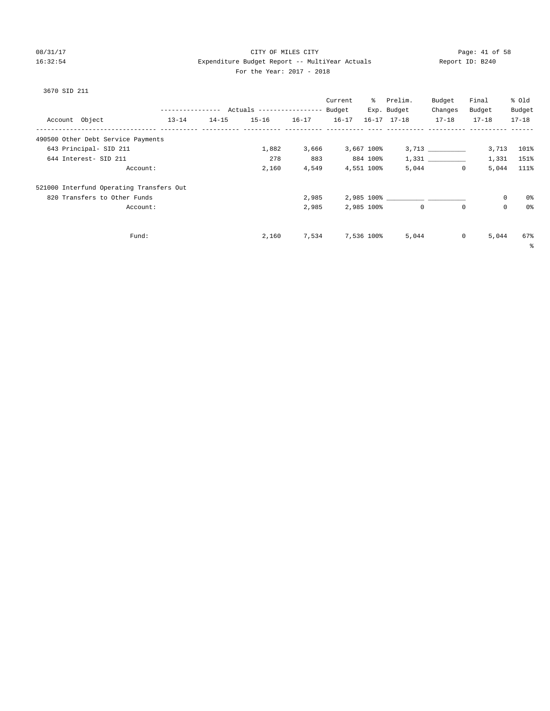# 08/31/17 Page: 41 of 58 16:32:54 Expenditure Budget Report -- MultiYear Actuals Report ID: B240 For the Year: 2017 - 2018

# 3670 SID 211

|                                          |                  |           |                                  |           | Current   | ႜႜၟ        | Prelim.             | Budget    | Final     | % old     |
|------------------------------------------|------------------|-----------|----------------------------------|-----------|-----------|------------|---------------------|-----------|-----------|-----------|
|                                          | ---------------- |           | Actuals ----------------- Budget |           |           |            | Exp. Budget         | Changes   | Budget    | Budget    |
| Account Object                           | $13 - 14$        | $14 - 15$ | $15 - 16$                        | $16 - 17$ | $16 - 17$ |            | $16 - 17$ $17 - 18$ | $17 - 18$ | $17 - 18$ | $17 - 18$ |
| 490500 Other Debt Service Payments       |                  |           |                                  |           |           |            |                     |           |           |           |
| 643 Principal- SID 211                   |                  |           | 1,882                            | 3,666     |           | 3,667 100% |                     | 3,713     | 3,713     | 101%      |
| 644 Interest- SID 211                    |                  |           | 278                              | 883       |           | 884 100%   |                     | 1,331     | 1,331     | 151%      |
| Account:                                 |                  |           | 2,160                            | 4,549     |           | 4,551 100% | 5,044               | $\circ$   | 5,044     | 111%      |
| 521000 Interfund Operating Transfers Out |                  |           |                                  |           |           |            |                     |           |           |           |
| 820 Transfers to Other Funds             |                  |           |                                  | 2,985     |           |            |                     |           | 0         | 0%        |
| Account:                                 |                  |           |                                  | 2,985     |           | 2,985 100% | $\mathbf 0$         | $\Omega$  | 0         | 0%        |
|                                          |                  |           |                                  |           |           |            |                     |           |           |           |
| Fund:                                    |                  |           | 2,160                            | 7,534     |           | 7,536 100% | 5,044               | $\circ$   | 5,044     | 67%       |

%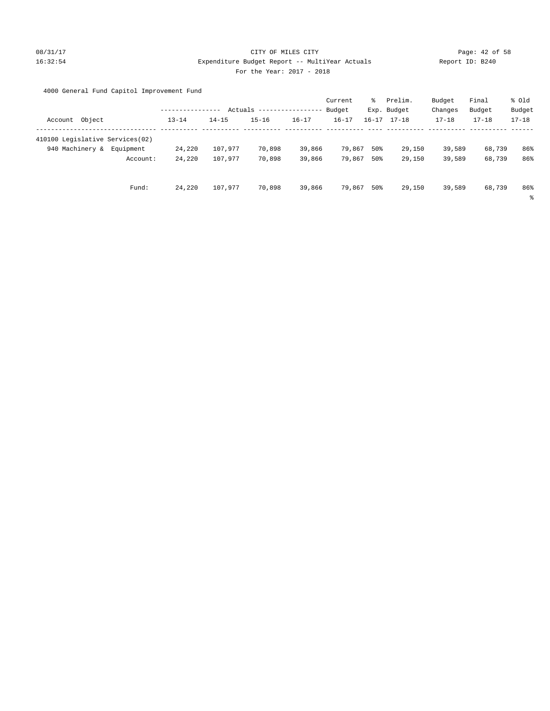# 08/31/17 Page: 42 of 58 16:32:54 Expenditure Budget Report -- MultiYear Actuals Report ID: B240 For the Year: 2017 - 2018

# 4000 General Fund Capitol Improvement Fund

|                 |                                 |           |           |           |           | Current   | ႜွ        | Prelim.     | Budget    | Final     | % Old     |
|-----------------|---------------------------------|-----------|-----------|-----------|-----------|-----------|-----------|-------------|-----------|-----------|-----------|
|                 |                                 |           | Actuals   |           |           | Budget    |           | Exp. Budget | Changes   | Budget    | Budget    |
| Account Object  |                                 | $13 - 14$ | $14 - 15$ | $15 - 16$ | $16 - 17$ | $16 - 17$ | $16 - 17$ | $17 - 18$   | $17 - 18$ | $17 - 18$ | $17 - 18$ |
|                 |                                 |           |           |           |           |           |           |             |           |           |           |
|                 | 410100 Legislative Services(02) |           |           |           |           |           |           |             |           |           |           |
| 940 Machinery & | Equipment                       | 24,220    | 107,977   | 70,898    | 39,866    | 79,867    | 50%       | 29,150      | 39,589    | 68,739    | 86%       |
|                 | Account:                        | 24,220    | 107,977   | 70,898    | 39,866    | 79,867    | 50%       | 29,150      | 39,589    | 68,739    | 86%       |
|                 |                                 |           |           |           |           |           |           |             |           |           |           |
|                 |                                 |           |           |           |           |           |           |             |           |           |           |
|                 | Fund:                           | 24,220    | 107,977   | 70,898    | 39,866    | 79,867    | 50%       | 29,150      | 39,589    | 68,739    | 86%       |
|                 |                                 |           |           |           |           |           |           |             |           |           | နွ        |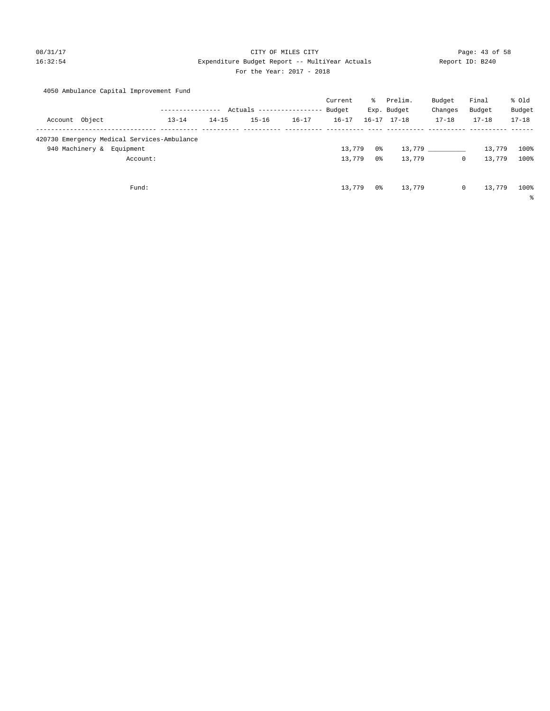### 08/31/17 Page: 43 of 58 16:32:54 Expenditure Budget Report -- MultiYear Actuals Report ID: B240 For the Year: 2017 - 2018

|  |  |  | 4050 Ambulance Capital Improvement Fund |  |
|--|--|--|-----------------------------------------|--|
|--|--|--|-----------------------------------------|--|

|                                             |           |           |                            |           | Current   | ႜႜႜ | Prelim.             | Budget    | Final     | % Old      |
|---------------------------------------------|-----------|-----------|----------------------------|-----------|-----------|-----|---------------------|-----------|-----------|------------|
|                                             |           |           | Actuals ------------------ |           | Budget    |     | Exp. Budget         | Changes   | Budget    | Budget     |
| Account Object                              | $13 - 14$ | $14 - 15$ | $15 - 16$                  | $16 - 17$ | $16 - 17$ |     | $16 - 17$ $17 - 18$ | $17 - 18$ | $17 - 18$ | $17 - 18$  |
| 420730 Emergency Medical Services-Ambulance |           |           |                            |           |           |     |                     |           |           |            |
| 940 Machinery & Equipment                   |           |           |                            |           | 13,779    | 0%  | 13,779              |           | 13,779    | 100%       |
| Account:                                    |           |           |                            |           | 13,779    | 0%  | 13,779              | $\circ$   | 13,779    | 100%       |
| Fund:                                       |           |           |                            |           | 13,779    | 0%  | 13,779              | $\circ$   | 13,779    | 100%<br>နွ |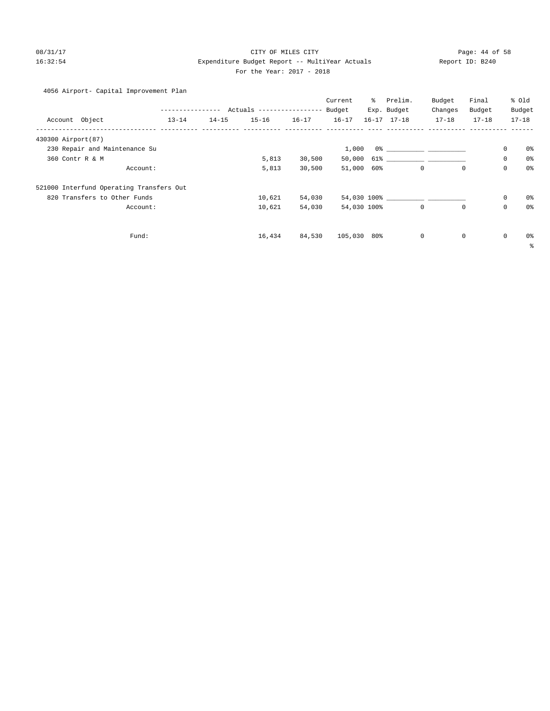# 08/31/17 Page: 44 of 58 16:32:54 Expenditure Budget Report -- MultiYear Actuals Report ID: B240 For the Year: 2017 - 2018

4056 Airport- Capital Improvement Plan

|                                          |                  |           |                           |           | Current     | ႜႜႜ | Prelim.             | Budget    | Final        |             | % Old          |
|------------------------------------------|------------------|-----------|---------------------------|-----------|-------------|-----|---------------------|-----------|--------------|-------------|----------------|
|                                          | ---------------- |           | Actuals ----------------- |           | Budget      |     | Exp. Budget         | Changes   | Budget       |             | Budget         |
| Account Object                           | $13 - 14$        | $14 - 15$ | $15 - 16$                 | $16 - 17$ | $16 - 17$   |     | $16 - 17$ $17 - 18$ | $17 - 18$ | $17 - 18$    |             | $17 - 18$      |
| 430300 Airport (87)                      |                  |           |                           |           |             |     |                     |           |              |             |                |
| 230 Repair and Maintenance Su            |                  |           |                           |           | 1,000       |     |                     |           |              | $\mathbf 0$ | 0%             |
| 360 Contr R & M                          |                  |           | 5,813                     | 30,500    |             |     |                     |           |              | $\mathbf 0$ | 0 <sup>°</sup> |
|                                          | Account:         |           | 5,813                     | 30,500    | 51,000 60%  |     | $\mathbf 0$         |           | $\mathbf{0}$ | $\mathbf 0$ | 0%             |
| 521000 Interfund Operating Transfers Out |                  |           |                           |           |             |     |                     |           |              |             |                |
| 820 Transfers to Other Funds             |                  |           | 10,621                    | 54,030    |             |     |                     |           |              | $\mathbf 0$ | 0%             |
|                                          | Account:         |           | 10,621                    | 54,030    | 54,030 100% |     | $\circ$             |           | $\mathbf 0$  | $\mathbf 0$ | 0%             |
|                                          |                  |           |                           |           |             |     |                     |           |              |             |                |
|                                          | Fund:            |           | 16,434                    | 84,530    | 105,030 80% |     | $\mathbf 0$         |           | 0            | $\mathbf 0$ | 0%             |
|                                          |                  |           |                           |           |             |     |                     |           |              |             | နွ             |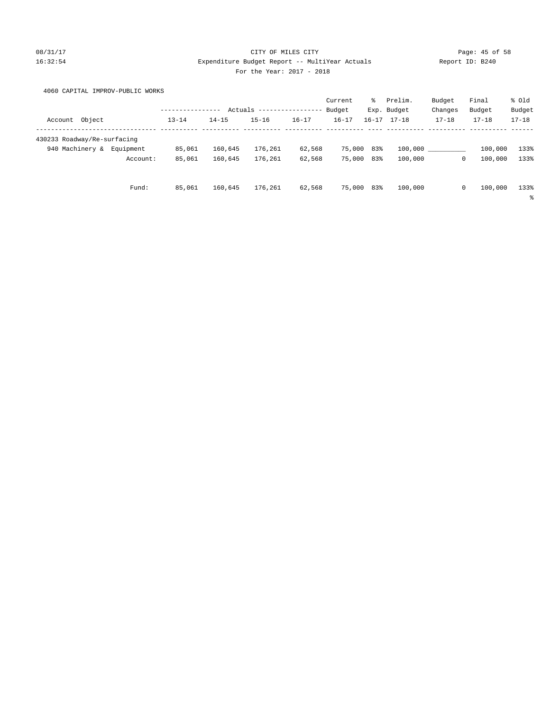### 08/31/17 Page: 45 of 58 16:32:54 Expenditure Budget Report -- MultiYear Actuals Report ID: B240 For the Year: 2017 - 2018

4060 CAPITAL IMPROV-PUBLIC WORKS

|                             |        |           |                          |           |           |           | Current    | ွေ | Prelim.             | Budget    | Final                  | % Old     |
|-----------------------------|--------|-----------|--------------------------|-----------|-----------|-----------|------------|----|---------------------|-----------|------------------------|-----------|
|                             |        |           | Actuals<br>$- - - - - -$ |           |           |           | Budget     |    | Exp. Budget         | Changes   | Budget                 | Budget    |
| Account                     | Object |           | $13 - 14$                | $14 - 15$ | $15 - 16$ | $16 - 17$ | $16 - 17$  |    | $16 - 17$ $17 - 18$ | $17 - 18$ | $17 - 18$              | $17 - 18$ |
| 430233 Roadway/Re-surfacing |        |           |                          |           |           |           |            |    |                     |           |                        |           |
| 940 Machinery &             |        | Equipment | 85,061                   | 160,645   | 176,261   | 62,568    | 75,000 83% |    | 100,000             |           | 100,000                | 133%      |
|                             |        | Account:  | 85,061                   | 160,645   | 176,261   | 62,568    | 75,000 83% |    | 100,000             |           | $\mathbf 0$<br>100,000 | 133%      |
|                             |        | Fund:     | 85,061                   | 160,645   | 176,261   | 62,568    | 75,000 83% |    | 100,000             |           | 0<br>100,000           | 133%      |
|                             |        |           |                          |           |           |           |            |    |                     |           |                        | နွ        |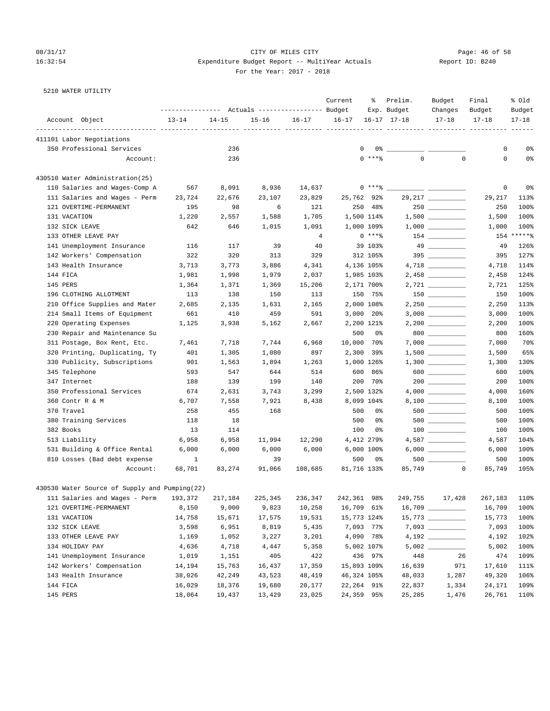### 08/31/17 Page: 46 of 58 16:32:54 Expenditure Budget Report -- MultiYear Actuals Report ID: B240 For the Year: 2017 - 2018

| Report ID: B24 |  |
|----------------|--|
|                |  |

5210 WATER UTILITY

|                                               |                                                 |           |             |                | Current           | ိင          | Prelim.             | Budget             | Final     | % Old        |
|-----------------------------------------------|-------------------------------------------------|-----------|-------------|----------------|-------------------|-------------|---------------------|--------------------|-----------|--------------|
|                                               | --------------- Actuals ---------------- Budget |           |             |                |                   |             | Exp. Budget         | Changes            | Budget    | Budget       |
| Account Object                                | $13 - 14$                                       | $14 - 15$ | $15 - 16$   | $16 - 17$      | $16 - 17$         |             | $16 - 17$ $17 - 18$ | $17 - 18$          | $17 - 18$ | $17 - 18$    |
| 411101 Labor Negotiations                     |                                                 |           |             |                |                   |             |                     |                    |           |              |
| 350 Professional Services                     |                                                 | 236       |             |                | 0                 | 0%          |                     |                    | 0         | 0%           |
| Account:                                      |                                                 | 236       |             |                |                   | $0$ *** $%$ | $\Omega$            | $\mathbf 0$        | 0         | 0%           |
| 430510 Water Administration(25)               |                                                 |           |             |                |                   |             |                     |                    |           |              |
| 110 Salaries and Wages-Comp A                 | 567                                             | 8,091     | 8,936       | 14,637         |                   | $0***$ $*$  |                     |                    | 0         | 0%           |
| 111 Salaries and Wages - Perm                 | 23,724                                          | 22,676    | 23,107      | 23,829         | 25,762 92%        |             |                     | 29, 217 __________ | 29,217    | 113%         |
| 121 OVERTIME-PERMANENT                        | 195                                             | 98        | 6           | 121            |                   | 250 48%     |                     |                    | 250       | 100%         |
| 131 VACATION                                  | 1,220                                           | 2,557     | 1,588       | 1,705          | 1,500 114%        |             |                     | $1,500$ _________  | 1,500     | 100%         |
| 132 SICK LEAVE                                | 642                                             | 646       | 1,015       | 1,091          | 1,000 109%        |             |                     |                    | 1,000     | 100%         |
| 133 OTHER LEAVE PAY                           |                                                 |           |             | $\overline{4}$ |                   | $0***8$     |                     | $154$ _________    |           | 154 ******   |
| 141 Unemployment Insurance                    | 116                                             | 117       | 39          | 40             |                   | 39 103%     |                     |                    | 49        | 126%         |
| 142 Workers' Compensation                     | 322                                             | 320       | 313         | 329            |                   | 312 105%    |                     | 395                | 395       | 127%         |
| 143 Health Insurance                          | 3,713                                           | 3,773     | 3,886       | 4,341          | 4,136 105%        |             |                     |                    | 4,718     | 114%         |
| 144 FICA                                      | 1,981                                           | 1,998     | 1,979       | 2,037          | 1,985 103%        |             |                     |                    | 2,458     | 124%         |
| 145 PERS                                      | 1,364                                           | 1,371     | 1,369       | 15,206         | 2,171 700%        |             |                     | $2,721$ _________  | 2,721     | 125%         |
| 196 CLOTHING ALLOTMENT                        | 113                                             | 138       | 150         | 113            |                   | 150 75%     |                     |                    | 150       | 100%         |
| 210 Office Supplies and Mater                 | 2,685                                           | 2,135     | 1,631       | 2,165          | 2,000 108%        |             |                     |                    | 2,250     | 113%         |
| 214 Small Items of Equipment                  | 661                                             | 410       | 459         | 591            | $3,000$ 20%       |             |                     |                    | 3,000     | 100%         |
| 220 Operating Expenses                        | 1,125                                           | 3,938     | 5,162       | 2,667          | 2,200 121%        |             |                     |                    | 2,200     | 100%         |
| 230 Repair and Maintenance Su                 |                                                 |           |             |                | 500               | 0%          |                     | $800$ ________     | 800       | 160%         |
| 311 Postage, Box Rent, Etc.                   | 7,461                                           | 7,718     | 7,744       | 6,968          | 10,000 70%        |             |                     |                    | 7,000     | 70%          |
| 320 Printing, Duplicating, Ty                 | 401                                             | 1,305     | 1,080       | 897            | 2,300 39%         |             |                     |                    | 1,500     | 65%          |
| 330 Publicity, Subscriptions                  | 901                                             | 1,563     | 1,894       | 1,263          | 1,000 126%        |             |                     |                    | 1,300     | 130%         |
| 345 Telephone                                 | 593                                             | 547       | 644         | 514            | 600               | 86%         |                     | $600$              | 600       | 100%         |
| 347 Internet                                  | 188                                             | 139       | 199         | 140            | 200               | 70%         |                     |                    | 200       | 100%         |
| 350 Professional Services                     | 674                                             | 2,631     | 3,743       | 3,299          | 2,500 132%        |             |                     |                    | 4,000     | 160%         |
| 360 Contr R & M                               | 6,707                                           | 7,558     | 7,921       | 8,438          | 8,099 104%        |             |                     |                    | 8,100     | 100%         |
| 370 Travel                                    | 258                                             | 455       | 168         |                | 500               | 0%          |                     |                    | 500       | 100%         |
| 380 Training Services                         | 118                                             | 18        |             |                | 500               | 0%          |                     |                    | 500       | 100%         |
| 382 Books                                     | 13                                              | 114       |             |                | 100               | 0%          |                     |                    | 100       | 100%         |
|                                               |                                                 |           |             |                |                   |             |                     |                    |           | 104%         |
| 513 Liability<br>531 Building & Office Rental | 6,958                                           | 6,958     | 11,994      | 12,290         | 4,412 279%        |             |                     |                    | 4,587     |              |
|                                               | 6,000                                           | 6,000     | 6,000<br>39 | 6,000          | 6,000 100%<br>500 |             |                     |                    | 6,000     | 100%<br>100% |
| 810 Losses (Bad debt expense                  | $\mathbf{1}$                                    |           |             |                |                   | 0%          |                     | $\mathbf 0$        | 500       | 105%         |
| Account:                                      | 68,701                                          | 83,274    | 91,066      | 108,685        | 81,716 133%       |             | 85,749              |                    | 85,749    |              |
| 430530 Water Source of Supply and Pumping(22) |                                                 |           |             |                |                   |             |                     |                    |           |              |
| 111 Salaries and Wages - Perm                 | 193,372                                         | 217,184   | 225,345     | 236,347        | 242,361           | 98%         | 249,755             | 17,428             | 267,183   | 110%         |
| 121 OVERTIME-PERMANENT                        | 8,150                                           | 9,000     | 9,823       | 10,258         | 16,709 61%        |             |                     |                    | 16,709    | 100%         |
| 131 VACATION                                  | 14,758                                          | 15,671    | 17,575      | 19,531         | 15,773 124%       |             |                     |                    | 15,773    | 100%         |
| 132 SICK LEAVE                                | 3,598                                           | 6,951     | 8,819       | 5,435          | 7,093 77%         |             |                     |                    | 7,093     | 100%         |
| 133 OTHER LEAVE PAY                           | 1,169                                           | 1,052     | 3,227       | 3,201          | 4,090 78%         |             |                     |                    | 4,192     | 102%         |
| 134 HOLIDAY PAY                               | 4,636                                           | 4,718     | 4,447       | 5,358          | 5,002 107%        |             |                     |                    | 5,002     | 100%         |
| 141 Unemployment Insurance                    | 1,019                                           | 1,151     | 405         | 422            |                   | 436 97%     | 448                 | 26                 | 474       | 109%         |
| 142 Workers' Compensation                     | 14,194                                          | 15,763    | 16,437      | 17,359         | 15,893 109%       |             | 16,639              | 971                | 17,610    | 111%         |
| 143 Health Insurance                          | 38,026                                          | 42,249    | 43,523      | 48,419         | 46,324 105%       |             | 48,033              | 1,287              | 49,320    | 106%         |
| 144 FICA                                      | 16,029                                          | 18,376    | 19,680      | 20,177         | 22,264 91%        |             | 22,837              | 1,334              | 24,171    | 109%         |
| 145 PERS                                      | 18,064                                          | 19,437    | 13,429      | 23,025         | 24,359 95%        |             | 25,285              | 1,476              | 26,761    | 110%         |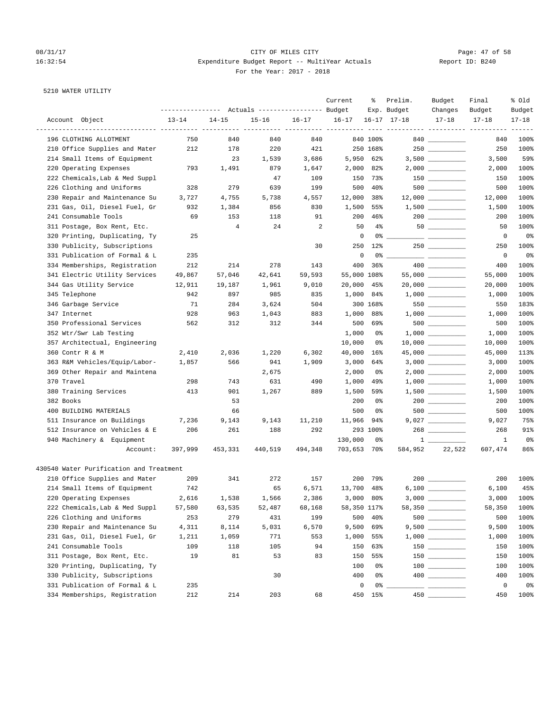# 08/31/17 Page: 47 of 58 16:32:54 Expenditure Budget Report -- MultiYear Actuals Report ID: B240 For the Year: 2017 - 2018

### 5210 WATER UTILITY

|                                         |                  |           |                                  |           | Current     | ႜ         | Prelim.             | Budget                                                                                                                                                                                                                                                                                                                                                                                                                | Final        | % old      |
|-----------------------------------------|------------------|-----------|----------------------------------|-----------|-------------|-----------|---------------------|-----------------------------------------------------------------------------------------------------------------------------------------------------------------------------------------------------------------------------------------------------------------------------------------------------------------------------------------------------------------------------------------------------------------------|--------------|------------|
|                                         | ---------------- |           | Actuals ----------------- Budget |           |             |           | Exp. Budget         | Changes                                                                                                                                                                                                                                                                                                                                                                                                               | Budget       | Budget     |
| Account Object                          | $13 - 14$        | $14 - 15$ | $15 - 16$                        | $16 - 17$ | $16 - 17$   |           | $16 - 17$ $17 - 18$ | $17 - 18$                                                                                                                                                                                                                                                                                                                                                                                                             | $17 - 18$    | $17 - 18$  |
| 196 CLOTHING ALLOTMENT                  | 750              | 840       | 840                              | 840       |             | 840 100%  |                     | 840                                                                                                                                                                                                                                                                                                                                                                                                                   | 840          | 100%       |
| 210 Office Supplies and Mater           | 212              | 178       | 220                              | 421       |             | 250 168%  |                     |                                                                                                                                                                                                                                                                                                                                                                                                                       | 250          | 100%       |
| 214 Small Items of Equipment            |                  | 23        | 1,539                            | 3,686     | 5,950       | 62%       |                     |                                                                                                                                                                                                                                                                                                                                                                                                                       | 3,500        | 59%        |
| 220 Operating Expenses                  | 793              | 1,491     | 879                              | 1,647     | 2,000       | 82%       |                     |                                                                                                                                                                                                                                                                                                                                                                                                                       | 2,000        | 100%       |
| 222 Chemicals, Lab & Med Suppl          |                  |           | 47                               | 109       | 150         | 73%       |                     | $150$ _________                                                                                                                                                                                                                                                                                                                                                                                                       | 150          | 100%       |
| 226 Clothing and Uniforms               | 328              | 279       | 639                              | 199       | 500         | $40\%$    |                     | 500                                                                                                                                                                                                                                                                                                                                                                                                                   | 500          | 100%       |
| 230 Repair and Maintenance Su           | 3,727            | 4,755     | 5,738                            | 4,557     | 12,000      | 38%       |                     |                                                                                                                                                                                                                                                                                                                                                                                                                       | 12,000       | 100%       |
| 231 Gas, Oil, Diesel Fuel, Gr           | 932              | 1,384     | 856                              | 830       | 1,500       | 55%       |                     |                                                                                                                                                                                                                                                                                                                                                                                                                       | 1,500        | 100%       |
| 241 Consumable Tools                    | 69               | 153       | 118                              | 91        | 200         | 46%       |                     | $200$ _________                                                                                                                                                                                                                                                                                                                                                                                                       | 200          | 100%       |
| 311 Postage, Box Rent, Etc.             |                  | 4         | 24                               | 2         | 50          | $4\%$     |                     |                                                                                                                                                                                                                                                                                                                                                                                                                       | 50           | 100%       |
| 320 Printing, Duplicating, Ty           | 25               |           |                                  |           | $\mathbf 0$ | 0 %       |                     |                                                                                                                                                                                                                                                                                                                                                                                                                       | 0            | 0%         |
| 330 Publicity, Subscriptions            |                  |           |                                  | 30        | 250         | 12%       |                     |                                                                                                                                                                                                                                                                                                                                                                                                                       | 250          | 100%       |
| 331 Publication of Formal & L           | 235              |           |                                  |           | $\mathbf 0$ | 0%        |                     | $\frac{1}{1-\frac{1}{1-\frac{1}{1-\frac{1}{1-\frac{1}{1-\frac{1}{1-\frac{1}{1-\frac{1}{1-\frac{1}{1-\frac{1}{1-\frac{1}{1-\frac{1}{1-\frac{1}{1-\frac{1}{1-\frac{1}{1-\frac{1}{1-\frac{1}{1-\frac{1}{1-\frac{1}{1-\frac{1}{1-\frac{1}{1-\frac{1}{1-\frac{1}{1-\frac{1}{1-\frac{1}{1-\frac{1}{1-\frac{1}{1-\frac{1}{1-\frac{1}{1-\frac{1}{1-\frac{1}{1-\frac{1}{1-\frac{1}{1-\frac{1}{1-\frac{1}{1-\frac{1}{1-\frac{1$ | 0            | 0%         |
| 334 Memberships, Registration           | 212              | 214       | 278                              | 143       | 400         | 36%       |                     |                                                                                                                                                                                                                                                                                                                                                                                                                       | 400          | 100%       |
| 341 Electric Utility Services           | 49,867           | 57,046    | 42,641                           | 59,593    | 55,000 108% |           |                     | $55,000$ ___________                                                                                                                                                                                                                                                                                                                                                                                                  | 55,000       | 100%       |
| 344 Gas Utility Service                 | 12,911           | 19,187    | 1,961                            | 9,010     | 20,000      | 45%       |                     |                                                                                                                                                                                                                                                                                                                                                                                                                       | 20,000       | 100%       |
| 345 Telephone                           | 942              | 897       | 985                              | 835       | 1,000       | 84%       |                     |                                                                                                                                                                                                                                                                                                                                                                                                                       | 1,000        | 100%       |
| 346 Garbage Service                     | 71               | 284       | 3,624                            | 504       |             | 300 168%  |                     | 550                                                                                                                                                                                                                                                                                                                                                                                                                   | 550          | 183%       |
| 347 Internet                            | 928              | 963       | 1,043                            | 883       | 1,000       | 88%       |                     |                                                                                                                                                                                                                                                                                                                                                                                                                       | 1,000        | 100%       |
| 350 Professional Services               | 562              | 312       | 312                              | 344       | 500         | 69%       |                     | $500$ __________                                                                                                                                                                                                                                                                                                                                                                                                      | 500          | 100%       |
| 352 Wtr/Swr Lab Testing                 |                  |           |                                  |           | 1,000       | 0%        |                     |                                                                                                                                                                                                                                                                                                                                                                                                                       | 1,000        | 100%       |
| 357 Architectual, Engineering           |                  |           |                                  |           | 10,000      | 0%        |                     |                                                                                                                                                                                                                                                                                                                                                                                                                       | 10,000       | 100%       |
| 360 Contr R & M                         | 2,410            | 2,036     | 1,220                            | 6,302     | 40,000      | 16%       |                     |                                                                                                                                                                                                                                                                                                                                                                                                                       | 45,000       | 113%       |
| 363 R&M Vehicles/Equip/Labor-           | 1,857            | 566       | 941                              | 1,909     | 3,000       | 64%       |                     |                                                                                                                                                                                                                                                                                                                                                                                                                       | 3,000        | 100%       |
| 369 Other Repair and Maintena           |                  |           | 2,675                            |           | 2,000       | 0%        |                     | 2,000 __________                                                                                                                                                                                                                                                                                                                                                                                                      | 2,000        | 100%       |
| 370 Travel                              | 298              | 743       | 631                              | 490       | 1,000       | 49%       |                     |                                                                                                                                                                                                                                                                                                                                                                                                                       | 1,000        | 100%       |
| 380 Training Services                   | 413              | 901       | 1,267                            | 889       | 1,500       | 59%       |                     | $1,500$ _________                                                                                                                                                                                                                                                                                                                                                                                                     | 1,500        | 100%       |
| 382 Books                               |                  | 53        |                                  |           | 200         | 0%        |                     | $200$ _________                                                                                                                                                                                                                                                                                                                                                                                                       | 200          | 100%       |
| 400 BUILDING MATERIALS                  |                  | 66        |                                  |           | 500         | 0%        |                     |                                                                                                                                                                                                                                                                                                                                                                                                                       | 500          | 100%       |
| 511 Insurance on Buildings              | 7,236            | 9,143     | 9,143                            | 11,210    | 11,966      | 94%       |                     | 9,027 __________                                                                                                                                                                                                                                                                                                                                                                                                      | 9,027        | 75%        |
| 512 Insurance on Vehicles & E           | 206              | 261       | 188                              | 292       |             | 293 100%  |                     |                                                                                                                                                                                                                                                                                                                                                                                                                       | 268          | 91%        |
| 940 Machinery & Equipment               |                  |           |                                  |           | 130,000     | 0%        |                     | $1 \qquad \qquad$                                                                                                                                                                                                                                                                                                                                                                                                     | $\mathbf{1}$ | 0%         |
| Account:                                | 397,999          | 453,331   | 440,519                          | 494,348   | 703,653     | 70%       | 584,952             | 22,522                                                                                                                                                                                                                                                                                                                                                                                                                | 607,474      | 86%        |
| 430540 Water Purification and Treatment |                  |           |                                  |           |             |           |                     |                                                                                                                                                                                                                                                                                                                                                                                                                       |              |            |
| 210 Office Supplies and Mater           | 209              | 341       | 272                              | 157       | 200         | 79%       |                     |                                                                                                                                                                                                                                                                                                                                                                                                                       | 200          | 100%       |
| 214 Small Items of Equipment            | 742              |           | 65                               | 6,571     | 13,700      | 48%       |                     |                                                                                                                                                                                                                                                                                                                                                                                                                       | 6,100        | 45%        |
| 220 Operating Expenses                  | 2,616            | 1,538     | 1,566                            | 2,386     |             | 3,000 80% |                     |                                                                                                                                                                                                                                                                                                                                                                                                                       |              | 3,000 100% |
| 222 Chemicals, Lab & Med Suppl          | 57,580           | 63,535    | 52,487                           | 68,168    | 58,350 117% |           |                     | 58,350 __________                                                                                                                                                                                                                                                                                                                                                                                                     | 58,350       | 100%       |
| 226 Clothing and Uniforms               | 253              | 279       | 431                              | 199       | 500         | $40\%$    |                     | $500$                                                                                                                                                                                                                                                                                                                                                                                                                 | 500          | 100%       |
| 230 Repair and Maintenance Su           | 4,311            | 8,114     | 5,031                            | 6,570     | 9,500       | 69%       |                     |                                                                                                                                                                                                                                                                                                                                                                                                                       | 9,500        | 100%       |
| 231 Gas, Oil, Diesel Fuel, Gr           | 1,211            | 1,059     | 771                              | 553       | 1,000       | 55%       |                     |                                                                                                                                                                                                                                                                                                                                                                                                                       | 1,000        | 100%       |
| 241 Consumable Tools                    | 109              | 118       | 105                              | 94        | 150         | 63%       |                     |                                                                                                                                                                                                                                                                                                                                                                                                                       | 150          | 100%       |
| 311 Postage, Box Rent, Etc.             | 19               | 81        | 53                               | 83        | 150         | 55%       |                     |                                                                                                                                                                                                                                                                                                                                                                                                                       | 150          | 100%       |
| 320 Printing, Duplicating, Ty           |                  |           |                                  |           | 100         | 0%        |                     | $\begin{tabular}{c} 100 \end{tabular}$                                                                                                                                                                                                                                                                                                                                                                                | 100          | 100%       |
| 330 Publicity, Subscriptions            |                  |           | 30                               |           | 400         | 0%        |                     |                                                                                                                                                                                                                                                                                                                                                                                                                       | 400          | 100%       |
| 331 Publication of Formal & L           | 235              |           |                                  |           | 0           | 0%        |                     |                                                                                                                                                                                                                                                                                                                                                                                                                       | $\mathsf 0$  | 0%         |
| 334 Memberships, Registration           | 212              | 214       | 203                              | 68        | 450         | 15%       | $450$ $-$           |                                                                                                                                                                                                                                                                                                                                                                                                                       | 450          | 100%       |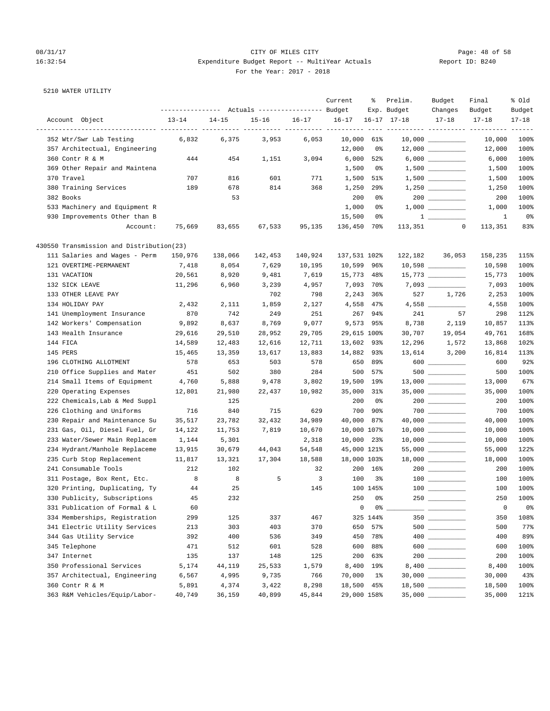# 08/31/17 Page: 48 of 58 16:32:54 Expenditure Budget Report -- MultiYear Actuals For the Year: 2017 - 2018

| Report ID: B240 |  |  |
|-----------------|--|--|
|-----------------|--|--|

5210 WATER UTILITY

|                                                      |                                                 |           |           |         | Current                  | ៖              | Prelim.             | Budget                                                | Final        | % old     |
|------------------------------------------------------|-------------------------------------------------|-----------|-----------|---------|--------------------------|----------------|---------------------|-------------------------------------------------------|--------------|-----------|
|                                                      | --------------- Actuals ---------------- Budget |           |           |         |                          |                | Exp. Budget         | Changes                                               | Budget       | Budget    |
| Account Object<br>__________________________________ | $13 - 14$                                       | $14 - 15$ | $15 - 16$ | 16-17   | $16 - 17$<br>$- - - - -$ |                | $16 - 17$ $17 - 18$ | $17 - 18$                                             | $17 - 18$    | $17 - 18$ |
| 352 Wtr/Swr Lab Testing                              | 6,832                                           | 6,375     | 3,953     | 6,053   | 10,000                   | 61%            |                     | $10,000$ __________                                   | 10,000       | 100%      |
| 357 Architectual, Engineering                        |                                                 |           |           |         | 12,000                   | 0%             |                     | $12,000$ _________                                    | 12,000       | 100%      |
| 360 Contr R & M                                      | 444                                             | 454       | 1,151     | 3,094   | 6,000                    | 52%            |                     |                                                       | 6,000        | 100%      |
| 369 Other Repair and Maintena                        |                                                 |           |           |         | 1,500                    | 0%             |                     |                                                       | 1,500        | 100%      |
| 370 Travel                                           | 707                                             | 816       | 601       | 771     | 1,500                    | 51%            |                     |                                                       | 1,500        | 100%      |
| 380 Training Services                                | 189                                             | 678       | 814       | 368     | 1,250                    | 29%            |                     | $1,250$ _________                                     | 1,250        | 100%      |
| 382 Books                                            |                                                 | 53        |           |         | 200                      | 0%             |                     |                                                       | 200          | 100%      |
| 533 Machinery and Equipment R                        |                                                 |           |           |         | 1,000                    | 0%             |                     |                                                       | 1,000        | 100%      |
| 930 Improvements Other than B                        |                                                 |           |           |         | 15,500                   | 0%             |                     |                                                       | $\mathbf{1}$ | 0%        |
| Account:                                             | 75,669                                          | 83,655    | 67,533    | 95,135  | 136,450                  | 70%            | 113,351             | $\mathbf 0$                                           | 113,351      | 83%       |
| 430550 Transmission and Distribution(23)             |                                                 |           |           |         |                          |                |                     |                                                       |              |           |
| 111 Salaries and Wages - Perm                        | 150,976                                         | 138,066   | 142,453   | 140,924 | 137,531 102%             |                |                     | 122, 182 36, 053                                      | 158,235      | 115%      |
| 121 OVERTIME-PERMANENT                               | 7,418                                           | 8,054     | 7,629     | 10,195  | 10,599                   | 96%            |                     |                                                       | 10,598       | 100%      |
| 131 VACATION                                         | 20,561                                          | 8,920     | 9,481     | 7,619   | 15,773 48%               |                |                     |                                                       | 15,773       | 100%      |
| 132 SICK LEAVE                                       | 11,296                                          | 6,960     | 3,239     | 4,957   | 7,093 70%                |                |                     |                                                       | 7,093        | 100%      |
| 133 OTHER LEAVE PAY                                  |                                                 |           | 702       | 798     | 2,243 36%                |                | 527                 | 1,726                                                 | 2,253        | 100%      |
| 134 HOLIDAY PAY                                      | 2,432                                           | 2,111     | 1,859     | 2,127   | 4,558                    | $47\%$         |                     |                                                       | 4,558        | 100%      |
| 141 Unemployment Insurance                           | 870                                             | 742       | 249       | 251     | 267                      | 94%            | 241                 | 57                                                    | 298          | 112%      |
| 142 Workers' Compensation                            | 9,892                                           | 8,637     | 8,769     | 9,077   | 9,573 95%                |                | 8,738               | 2,119                                                 | 10,857       | 113%      |
| 143 Health Insurance                                 | 29,616                                          | 29,510    | 28,952    | 29,705  | 29,615 100%              |                |                     | 30,707 19,054                                         | 49,761       | 168%      |
| 144 FICA                                             | 14,589                                          | 12,483    | 12,616    | 12,711  | 13,602 93%               |                |                     | 12,296 1,572                                          | 13,868       | 102%      |
| 145 PERS                                             | 15,465                                          | 13,359    | 13,617    | 13,883  | 14,882 93%               |                |                     | 13,614 3,200                                          | 16,814       | 113%      |
| 196 CLOTHING ALLOTMENT                               | 578                                             | 653       | 503       | 578     |                          | 650 89%        |                     |                                                       | 600          | 92%       |
| 210 Office Supplies and Mater                        | 451                                             | 502       | 380       | 284     | 500                      | 57%            |                     |                                                       | 500          | 100%      |
| 214 Small Items of Equipment                         | 4,760                                           | 5,888     | 9,478     | 3,802   | 19,500 19%               |                |                     | $13,000$ _________                                    | 13,000       | 67%       |
| 220 Operating Expenses                               | 12,801                                          | 21,980    | 22,437    | 10,982  | 35,000 31%               |                |                     | $35,000$ __________                                   | 35,000       | 100%      |
| 222 Chemicals, Lab & Med Suppl                       |                                                 | 125       |           |         | 200                      | 0%             |                     |                                                       | 200          | 100%      |
| 226 Clothing and Uniforms                            | 716                                             | 840       | 715       | 629     | 700                      | $90\%$         |                     |                                                       | 700          | 100%      |
| 230 Repair and Maintenance Su                        | 35,517                                          | 23,782    | 32,432    | 34,989  | 40,000                   | 87%            |                     | $40,000$ __________                                   | 40,000       | 100%      |
| 231 Gas, Oil, Diesel Fuel, Gr                        | 14,122                                          | 11,753    | 7,819     | 10,670  | 10,000 107%              |                |                     | $10,000$ _________                                    | 10,000       | 100%      |
| 233 Water/Sewer Main Replacem                        | 1,144                                           | 5,301     |           | 2,318   | 10,000 23%               |                |                     | $10,000$ __________                                   | 10,000       | 100%      |
| 234 Hydrant/Manhole Replaceme                        | 13,915                                          | 30,679    | 44,043    | 54,548  | 45,000 121%              |                |                     | $55,000$ _________                                    | 55,000       | 122%      |
| 235 Curb Stop Replacement                            | 11,817                                          | 13,321    | 17,304    | 18,588  | 18,000 103%              |                |                     |                                                       | 18,000       | 100%      |
| 241 Consumable Tools                                 | 212                                             | 102       |           | 32      |                          | 200 16%        |                     | $200$ _________                                       | 200          | 100%      |
| 311 Postage, Box Rent, Etc.                          | 8                                               | 8         | 5         | 3       | 100                      | 3%             |                     |                                                       | 100          | 100%      |
| 320 Printing, Duplicating, Ty                        | 44                                              | 25        |           | 145     |                          | 100 145%       |                     |                                                       | 100          | 100%      |
| 330 Publicity, Subscriptions                         | 45                                              | 232       |           |         | 250                      | 0 <sup>°</sup> | 250                 |                                                       | 250          | 100%      |
| 331 Publication of Formal & L                        | 60                                              |           |           |         | 0                        |                |                     | $\overline{\phantom{a}}$ and $\overline{\phantom{a}}$ | 0            | 0%        |
| 334 Memberships, Registration                        | 299                                             | 125       | 337       | 467     |                          | 325 144%       |                     |                                                       | 350          | 108%      |
| 341 Electric Utility Services                        | 213                                             | 303       | 403       | 370     | 650                      | 57%            |                     |                                                       | 500          | 77%       |
| 344 Gas Utility Service                              | 392                                             | 400       | 536       | 349     | 450                      | 78%            |                     |                                                       | 400          | 89%       |
| 345 Telephone                                        | 471                                             | 512       | 601       | 528     | 600                      | 88%            |                     |                                                       | 600          | 100%      |
| 347 Internet                                         | 135                                             | 137       | 148       | 125     | 200                      | 63%            |                     |                                                       | 200          | 100%      |
| 350 Professional Services                            | 5,174                                           | 44,119    | 25,533    | 1,579   | 8,400                    | 19%            |                     |                                                       | 8,400        | 100%      |
| 357 Architectual, Engineering                        | 6,567                                           | 4,995     | 9,735     | 766     | 70,000                   | $1\%$          |                     |                                                       | 30,000       | 43%       |
| 360 Contr R & M                                      | 5,891                                           | 4,374     | 3,422     | 8,298   | 18,500 45%               |                |                     | $18,500$ _________                                    | 18,500       | 100%      |
| 363 R&M Vehicles/Equip/Labor-                        | 40,749                                          | 36,159    | 40,899    | 45,844  | 29,000 158%              |                |                     | $35,000$ ___________                                  | 35,000       | 121%      |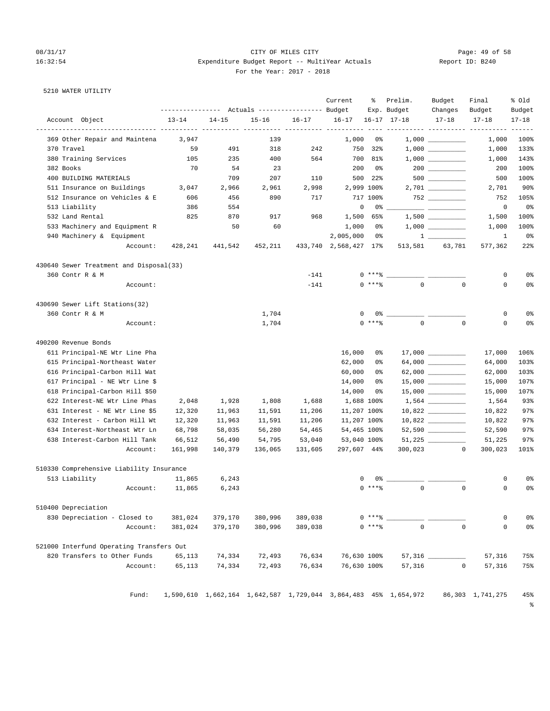5210 WATER UTILITY

### 08/31/17 Page: 49 of 58 16:32:54 Expenditure Budget Report -- MultiYear Actuals Report ID: B240 For the Year: 2017 - 2018

Current % Prelim. Budget Final % Old

| Account Object |  | $13 - 7$ |
|----------------|--|----------|

|                                          |           |           | --------------- Actuals ---------------- Budget |           |                          |            | Exp. Budget                                                     | Changes                                                                                                                                                                                                                                                                                                                                                                                                                         | Budget           | Budget                          |
|------------------------------------------|-----------|-----------|-------------------------------------------------|-----------|--------------------------|------------|-----------------------------------------------------------------|---------------------------------------------------------------------------------------------------------------------------------------------------------------------------------------------------------------------------------------------------------------------------------------------------------------------------------------------------------------------------------------------------------------------------------|------------------|---------------------------------|
| Account Object                           | $13 - 14$ | $14 - 15$ | $15 - 16$                                       | $16 - 17$ | $16 - 17$                |            | $16 - 17$ $17 - 18$                                             | $17 - 18$                                                                                                                                                                                                                                                                                                                                                                                                                       | $17 - 18$        | $17 - 18$                       |
| 369 Other Repair and Maintena            | 3,947     |           | 139                                             |           | ---- ----------<br>1,000 | 0%         |                                                                 | ------ ---------- ---------                                                                                                                                                                                                                                                                                                                                                                                                     | 1,000            | 100%                            |
| 370 Travel                               | 59        | 491       | 318                                             | 242       |                          | 750 32%    |                                                                 |                                                                                                                                                                                                                                                                                                                                                                                                                                 | 1,000            | 133%                            |
| 380 Training Services                    | 105       | 235       | 400                                             | 564       |                          | 700 81%    |                                                                 |                                                                                                                                                                                                                                                                                                                                                                                                                                 | 1,000            | 143%                            |
| 382 Books                                | 70        | 54        | 23                                              |           | 200                      | 0%         |                                                                 |                                                                                                                                                                                                                                                                                                                                                                                                                                 | 200              | 100%                            |
| 400 BUILDING MATERIALS                   |           | 709       | 207                                             | 110       |                          | 500 22%    |                                                                 | $500$                                                                                                                                                                                                                                                                                                                                                                                                                           | 500              | 100%                            |
| 511 Insurance on Buildings               | 3,047     | 2,966     | 2,961                                           | 2,998     |                          | 2,999 100% |                                                                 |                                                                                                                                                                                                                                                                                                                                                                                                                                 | 2,701            | $90\%$                          |
| 512 Insurance on Vehicles & E            | 606       | 456       | 890                                             | 717       |                          | 717 100%   |                                                                 | $752$ ________                                                                                                                                                                                                                                                                                                                                                                                                                  | 752              | 105%                            |
| 513 Liability                            | 386       | 554       |                                                 |           | 0                        | 0%         |                                                                 |                                                                                                                                                                                                                                                                                                                                                                                                                                 | $\circ$          | 0%                              |
| 532 Land Rental                          | 825       | 870       | 917                                             | 968       | 1,500                    | 65%        |                                                                 |                                                                                                                                                                                                                                                                                                                                                                                                                                 | 1,500            | 100%                            |
| 533 Machinery and Equipment R            |           | 50        | 60                                              |           | 1,000                    | 0%         |                                                                 |                                                                                                                                                                                                                                                                                                                                                                                                                                 | 1,000            | 100%                            |
| 940 Machinery & Equipment                |           |           |                                                 |           | 2,005,000                | 0%         |                                                                 | $\frac{1}{\sqrt{1-\frac{1}{2}}}\frac{1}{\sqrt{1-\frac{1}{2}}}\frac{1}{\sqrt{1-\frac{1}{2}}}\frac{1}{\sqrt{1-\frac{1}{2}}}\frac{1}{\sqrt{1-\frac{1}{2}}}\frac{1}{\sqrt{1-\frac{1}{2}}}\frac{1}{\sqrt{1-\frac{1}{2}}}\frac{1}{\sqrt{1-\frac{1}{2}}}\frac{1}{\sqrt{1-\frac{1}{2}}}\frac{1}{\sqrt{1-\frac{1}{2}}}\frac{1}{\sqrt{1-\frac{1}{2}}}\frac{1}{\sqrt{1-\frac{1}{2}}}\frac{1}{\sqrt{1-\frac{1}{2}}}\frac{1}{\sqrt{1-\frac{$ | 1                | 0%                              |
| Account:                                 | 428,241   | 441,542   | 452,211                                         |           | 433,740 2,568,427 17%    |            |                                                                 | 513,581 63,781                                                                                                                                                                                                                                                                                                                                                                                                                  | 577,362          | $22$ %                          |
| 430640 Sewer Treatment and Disposal(33)  |           |           |                                                 |           |                          |            |                                                                 |                                                                                                                                                                                                                                                                                                                                                                                                                                 |                  |                                 |
| 360 Contr R & M                          |           |           |                                                 | $-141$    |                          | 0 ****     |                                                                 |                                                                                                                                                                                                                                                                                                                                                                                                                                 | 0                | 0 <sup>°</sup>                  |
| Account:                                 |           |           |                                                 | $-141$    |                          | $0$ ****   | $\mathbf{0}$                                                    | $\mathbf 0$                                                                                                                                                                                                                                                                                                                                                                                                                     | 0                | 0 <sup>8</sup>                  |
| 430690 Sewer Lift Stations(32)           |           |           |                                                 |           |                          |            |                                                                 |                                                                                                                                                                                                                                                                                                                                                                                                                                 |                  |                                 |
| 360 Contr R & M                          |           |           | 1,704                                           |           | 0                        |            | 0% _______________ __                                           |                                                                                                                                                                                                                                                                                                                                                                                                                                 | 0                | 0%                              |
| Account:                                 |           |           | 1,704                                           |           |                          | $0$ ****   | $\mathbf 0$                                                     | $\mathbf 0$                                                                                                                                                                                                                                                                                                                                                                                                                     | 0                | 0 <sup>8</sup>                  |
| 490200 Revenue Bonds                     |           |           |                                                 |           |                          |            |                                                                 |                                                                                                                                                                                                                                                                                                                                                                                                                                 |                  |                                 |
| 611 Principal-NE Wtr Line Pha            |           |           |                                                 |           | 16,000                   | 0%         |                                                                 |                                                                                                                                                                                                                                                                                                                                                                                                                                 | 17,000           | 106%                            |
| 615 Principal-Northeast Water            |           |           |                                                 |           | 62,000                   | 0%         |                                                                 |                                                                                                                                                                                                                                                                                                                                                                                                                                 | 64,000           | 103%                            |
| 616 Principal-Carbon Hill Wat            |           |           |                                                 |           | 60,000                   | 0%         |                                                                 | 62,000 __________                                                                                                                                                                                                                                                                                                                                                                                                               | 62,000           | 103%                            |
| 617 Principal - NE Wtr Line \$           |           |           |                                                 |           | 14,000                   | 0%         |                                                                 |                                                                                                                                                                                                                                                                                                                                                                                                                                 | 15,000           | 107%                            |
| 618 Principal-Carbon Hill \$50           |           |           |                                                 |           | 14,000                   | 0 %        |                                                                 |                                                                                                                                                                                                                                                                                                                                                                                                                                 | 15,000           | 107%                            |
| 622 Interest-NE Wtr Line Phas            | 2,048     | 1,928     | 1,808                                           | 1,688     | 1,688 100%               |            |                                                                 | $1,564$ __________                                                                                                                                                                                                                                                                                                                                                                                                              | 1,564            | 93%                             |
| 631 Interest - NE Wtr Line \$5           | 12,320    | 11,963    | 11,591                                          | 11,206    | 11,207 100%              |            |                                                                 | $10,822$ __________                                                                                                                                                                                                                                                                                                                                                                                                             | 10,822           | 97%                             |
| 632 Interest - Carbon Hill Wt            | 12,320    | 11,963    | 11,591                                          | 11,206    | 11,207 100%              |            |                                                                 |                                                                                                                                                                                                                                                                                                                                                                                                                                 | 10,822           | 97%                             |
| 634 Interest-Northeast Wtr Ln            | 68,798    | 58,035    | 56,280                                          | 54,465    | 54,465 100%              |            |                                                                 |                                                                                                                                                                                                                                                                                                                                                                                                                                 | 52,590           | 97%                             |
| 638 Interest-Carbon Hill Tank            | 66,512    | 56,490    | 54,795                                          | 53,040    | 53,040 100%              |            |                                                                 | $51,225$ _________                                                                                                                                                                                                                                                                                                                                                                                                              | 51,225           | 97%                             |
| Account:                                 | 161,998   | 140,379   | 136,065                                         | 131,605   | 297,607 44%              |            | 300,023                                                         | $\circ$                                                                                                                                                                                                                                                                                                                                                                                                                         | 300,023          | 101%                            |
| 510330 Comprehensive Liability Insurance |           |           |                                                 |           |                          |            |                                                                 |                                                                                                                                                                                                                                                                                                                                                                                                                                 |                  |                                 |
| 513 Liability                            | 11,865    | 6,243     |                                                 |           | 0                        | 0 %        |                                                                 |                                                                                                                                                                                                                                                                                                                                                                                                                                 | 0                | 0%                              |
| Account:                                 | 11,865    | 6,243     |                                                 |           |                          | $0***8$    | $\mathbf{0}$                                                    | $\mathbf 0$                                                                                                                                                                                                                                                                                                                                                                                                                     | 0                | 0 <sup>°</sup>                  |
| 510400 Depreciation                      |           |           |                                                 |           |                          |            |                                                                 |                                                                                                                                                                                                                                                                                                                                                                                                                                 |                  |                                 |
| 830 Depreciation - Closed to             | 381,024   | 379,170   | 380,996                                         | 389,038   |                          | $0***8$    |                                                                 |                                                                                                                                                                                                                                                                                                                                                                                                                                 | 0                | 0%                              |
| Account:                                 | 381,024   | 379,170   | 380,996                                         | 389,038   |                          | $0***8$    | $\mathbb O$                                                     | $\mathbf 0$                                                                                                                                                                                                                                                                                                                                                                                                                     | $\mathsf 0$      | 0 <sup>8</sup>                  |
| 521000 Interfund Operating Transfers Out |           |           |                                                 |           |                          |            |                                                                 |                                                                                                                                                                                                                                                                                                                                                                                                                                 |                  |                                 |
| 820 Transfers to Other Funds             | 65,113    | 74,334    | 72,493                                          | 76,634    | 76,630 100%              |            |                                                                 |                                                                                                                                                                                                                                                                                                                                                                                                                                 | 57,316           | 75%                             |
| Account:                                 | 65,113    | 74,334    | 72,493                                          | 76,634    | 76,630 100%              |            | 57,316                                                          | $\circ$                                                                                                                                                                                                                                                                                                                                                                                                                         | 57,316           | 75%                             |
| Fund:                                    |           |           |                                                 |           |                          |            | 1,590,610 1,662,164 1,642,587 1,729,044 3,864,483 45% 1,654,972 |                                                                                                                                                                                                                                                                                                                                                                                                                                 | 86,303 1,741,275 | 45%<br>$\,{}^{\circ}_{\circ}\,$ |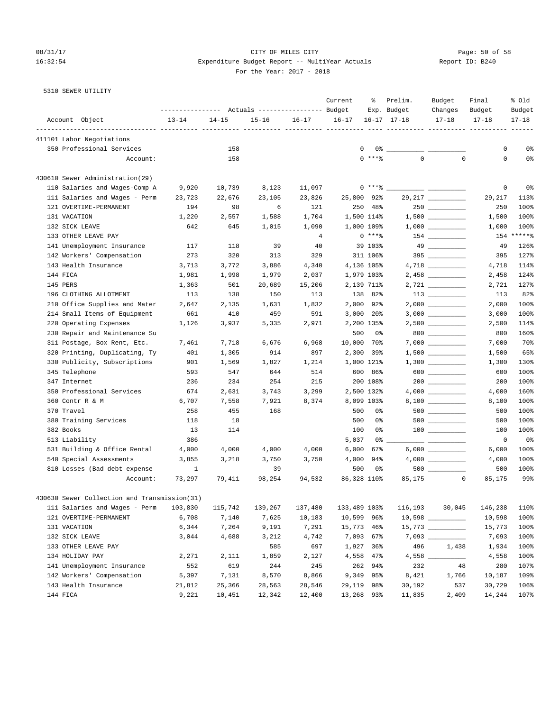# 08/31/17 Page: 50 of 58 16:32:54 Expenditure Budget Report -- MultiYear Actuals For the Year: 2017 - 2018

| Report ID: B240 |  |
|-----------------|--|
|                 |  |

5310 SEWER UTILITY

|                                              |                                                       |           |           |           | Current      | ိစ       | Prelim.                 | Budget              | Final     | % old     |
|----------------------------------------------|-------------------------------------------------------|-----------|-----------|-----------|--------------|----------|-------------------------|---------------------|-----------|-----------|
|                                              | ---------------    Actuals ----------------    Budget |           |           |           |              |          | Exp. Budget             | Changes             | Budget    | Budget    |
| Account Object                               | $13 - 14$                                             | $14 - 15$ | $15 - 16$ | $16 - 17$ | $16 - 17$    |          | $16 - 17$ $17 - 18$     | $17 - 18$           | $17 - 18$ | $17 - 18$ |
| 411101 Labor Negotiations                    |                                                       |           |           |           |              |          |                         |                     |           |           |
| 350 Professional Services                    |                                                       | 158       |           |           | $\mathbf 0$  |          |                         |                     | 0         | 0%        |
| Account:                                     |                                                       | 158       |           |           |              | $0$ **** | $\Omega$                | $\mathbf 0$         | 0         | 0%        |
| 430610 Sewer Administration(29)              |                                                       |           |           |           |              |          |                         |                     |           |           |
| 110 Salaries and Wages-Comp A                | 9,920                                                 | 10,739    | 8,123     | 11,097    |              |          | $0***$ $\frac{20}{100}$ |                     | 0         | 0%        |
| 111 Salaries and Wages - Perm                | 23,723                                                | 22,676    | 23,105    | 23,826    | 25,800 92%   |          |                         | 29, 217 __________  | 29,217    | 113%      |
| 121 OVERTIME-PERMANENT                       | 194                                                   | 98        | 6         | 121       | 250          | 48%      |                         | 250                 | 250       | 100%      |
| 131 VACATION                                 | 1,220                                                 | 2,557     | 1,588     | 1,704     | 1,500 114%   |          |                         |                     | 1,500     | 100%      |
| 132 SICK LEAVE                               | 642                                                   | 645       | 1,015     | 1,090     | 1,000 109%   |          |                         |                     | 1,000     | 100%      |
| 133 OTHER LEAVE PAY                          |                                                       |           |           | 4         |              | $0***8$  |                         | $154$ ________      | 154       | $*****$   |
| 141 Unemployment Insurance                   | 117                                                   | 118       | 39        | 40        |              | 39 103%  |                         |                     | 49        | 126%      |
| 142 Workers' Compensation                    | 273                                                   | 320       | 313       | 329       |              | 311 106% |                         | 395                 | 395       | 127%      |
| 143 Health Insurance                         | 3,713                                                 | 3,772     | 3,886     | 4,340     | 4,136 105%   |          |                         |                     | 4,718     | 114%      |
| 144 FICA                                     | 1,981                                                 | 1,998     | 1,979     | 2,037     | 1,979 103%   |          |                         |                     | 2,458     | 124%      |
| 145 PERS                                     | 1,363                                                 | 501       | 20,689    | 15,206    | 2,139 711%   |          |                         | 2,721 ________      | 2,721     | 127%      |
| 196 CLOTHING ALLOTMENT                       | 113                                                   | 138       | 150       | 113       | 138          | 82%      |                         | $113$ ________      | 113       | 82%       |
| 210 Office Supplies and Mater                | 2,647                                                 | 2,135     | 1,631     | 1,832     | 2,000        | 92%      |                         | $2,000$ __________  | 2,000     | 100%      |
| 214 Small Items of Equipment                 | 661                                                   | 410       | 459       | 591       | $3,000$ 20%  |          |                         |                     | 3,000     | 100%      |
| 220 Operating Expenses                       | 1,126                                                 | 3,937     | 5,335     | 2,971     | 2,200 135%   |          |                         |                     | 2,500     | 114%      |
| 230 Repair and Maintenance Su                |                                                       |           |           |           | 500          | 0%       |                         | $800$ _________     | 800       | 160%      |
| 311 Postage, Box Rent, Etc.                  | 7,461                                                 | 7,718     | 6,676     | 6,968     | 10,000       | 70%      |                         |                     | 7,000     | 70%       |
| 320 Printing, Duplicating, Ty                | 401                                                   | 1,305     | 914       | 897       | 2,300        | 39%      |                         | $1,500$ __________  | 1,500     | 65%       |
| 330 Publicity, Subscriptions                 | 901                                                   | 1,569     | 1,827     | 1,214     | 1,000 121%   |          |                         |                     | 1,300     | 130%      |
| 345 Telephone                                | 593                                                   | 547       | 644       | 514       | 600          | 86%      |                         | $600$               | 600       | 100%      |
| 347 Internet                                 | 236                                                   | 234       | 254       | 215       |              | 200 108% |                         | $200$ ________      | 200       | 100%      |
| 350 Professional Services                    | 674                                                   | 2,631     | 3,743     | 3,299     | 2,500 132%   |          |                         |                     | 4,000     | 160%      |
| 360 Contr R & M                              | 6,707                                                 | 7,558     | 7,921     | 8,374     | 8,099 103%   |          |                         | 8,100               | 8,100     | 100%      |
| 370 Travel                                   | 258                                                   | 455       | 168       |           | 500          | 0%       |                         |                     | 500       | 100%      |
| 380 Training Services                        | 118                                                   | 18        |           |           | 500          | 0%       |                         |                     | 500       | 100%      |
| 382 Books                                    | 13                                                    | 114       |           |           | 100          | 0%       |                         | $100$ ________      | 100       | 100%      |
| 513 Liability                                | 386                                                   |           |           |           | 5,037        | 0%       |                         | ___ ____________    | 0         | 0%        |
| 531 Building & Office Rental                 | 4,000                                                 | 4,000     | 4,000     | 4,000     | 6,000        | 67%      |                         | $6,000$ ___________ | 6,000     | 100%      |
| 540 Special Assessments                      | 3,855                                                 | 3,218     | 3,750     | 3,750     | 4,000        | 94%      |                         | 4,000               | 4,000     | 100%      |
| 810 Losses (Bad debt expense                 | $\mathbf{1}$                                          |           | 39        |           | 500          | 0%       |                         |                     | 500       | 100%      |
| Account:                                     | 73,297                                                | 79,411    | 98,254    | 94,532    | 86,328 110%  |          | 85,175                  | $\mathbf{0}$        | 85,175    | 99%       |
| 430630 Sewer Collection and Transmission(31) |                                                       |           |           |           |              |          |                         |                     |           |           |
| 111 Salaries and Wages - Perm                | 103,830                                               | 115,742   | 139,267   | 137,480   | 133,489 103% |          |                         | 116,193 30,045      | 146,238   | 110%      |
| 121 OVERTIME-PERMANENT                       | 6,708                                                 | 7,140     | 7,625     | 10,183    | 10,599 96%   |          |                         |                     | 10,598    | 100%      |
| 131 VACATION                                 | 6,344                                                 | 7,264     | 9,191     | 7,291     | 15,773 46%   |          |                         | $15,773$ _________  | 15,773    | 100%      |
| 132 SICK LEAVE                               | 3,044                                                 | 4,688     | 3,212     | 4,742     | 7,093 67%    |          |                         |                     | 7,093     | 100%      |
| 133 OTHER LEAVE PAY                          |                                                       |           | 585       | 697       | 1,927 36%    |          | 496                     | 1,438               | 1,934     | 100%      |
| 134 HOLIDAY PAY                              | 2,271                                                 | 2,111     | 1,859     | 2,127     | 4,558 47%    |          | $4,558$ $-$             |                     | 4,558     | 100%      |
| 141 Unemployment Insurance                   | 552                                                   | 619       | 244       | 245       |              | 262 94%  | 232                     | 48                  | 280       | 107%      |
| 142 Workers' Compensation                    | 5,397                                                 | 7,131     | 8,570     | 8,866     | 9,349        | 95%      | 8,421                   | 1,766               | 10,187    | 109%      |
| 143 Health Insurance                         | 21,812                                                | 25,366    | 28,563    | 28,546    | 29,119 98%   |          | 30,192                  | 537                 | 30,729    | 106%      |
| 144 FICA                                     | 9,221                                                 | 10,451    | 12,342    | 12,400    | 13,268 93%   |          | 11,835                  | 2,409               | 14,244    | 107%      |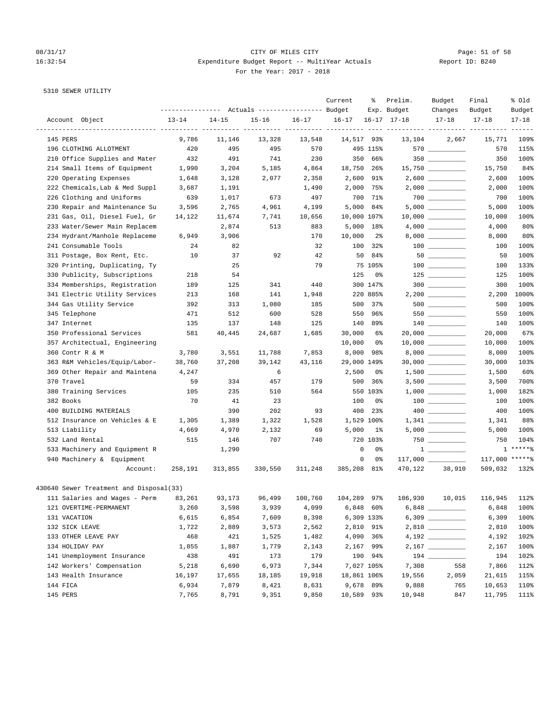# 08/31/17 Page: 51 of 58 16:32:54 Expenditure Budget Report -- MultiYear Actuals Report ID: B240 For the Year: 2017 - 2018

## 5310 SEWER UTILITY

|                                                               | ---------------- |           | Actuals ----------------- Budget        |           | Current     | ႜ              | Prelim.<br>Exp. Budget | Budget<br>Changes   | Final<br>Budget | % old<br>Budget |
|---------------------------------------------------------------|------------------|-----------|-----------------------------------------|-----------|-------------|----------------|------------------------|---------------------|-----------------|-----------------|
| Account Object                                                | $13 - 14$        | $14 - 15$ | $15 - 16$                               | $16 - 17$ | $16 - 17$   |                | $16 - 17$ $17 - 18$    | $17 - 18$           | $17 - 18$       | $17 - 18$       |
| 145 PERS                                                      | 9,786            | 11,146    | ___________ __________ ______<br>13,328 | 13,548    | 14,517 93%  |                | 13,104                 | 2,667               | 15,771          | 109%            |
| 196 CLOTHING ALLOTMENT                                        | 420              | 495       | 495                                     | 570       |             | 495 115%       |                        |                     | 570             | 115%            |
| 210 Office Supplies and Mater                                 | 432              | 491       | 741                                     | 230       |             | 350 66%        |                        | $350$ __________    | 350             | 100%            |
| 214 Small Items of Equipment                                  | 1,990            | 3,204     | 5,185                                   | 4,864     | 18,750 26%  |                |                        | $15,750$ _________  | 15,750          | 84%             |
| 220 Operating Expenses                                        | 1,648            | 3,128     | 2,077                                   | 2,358     |             | 2,600 91%      |                        | $2,600$ _________   | 2,600           | 100%            |
| 222 Chemicals, Lab & Med Suppl                                | 3,687            | 1,191     |                                         | 1,490     |             | 2,000 75%      |                        |                     | 2,000           | 100%            |
| 226 Clothing and Uniforms                                     | 639              | 1,017     | 673                                     | 497       |             | 700 71%        |                        |                     | 700             | 100%            |
| 230 Repair and Maintenance Su                                 | 3,596            | 2,765     | 4,961                                   | 4,199     | 5,000       | 84%            |                        |                     | 5,000           | 100%            |
| 231 Gas, Oil, Diesel Fuel, Gr                                 | 14,122           | 11,674    | 7,741                                   | 10,656    | 10,000 107% |                |                        |                     | 10,000          | 100%            |
| 233 Water/Sewer Main Replacem                                 |                  | 2,874     | 513                                     | 883       |             | 5,000 18%      |                        |                     | 4,000           | 80%             |
| 234 Hydrant/Manhole Replaceme                                 | 6,949            | 3,906     |                                         | 170       | 10,000      | $2\,$          |                        |                     | 8,000           | 80%             |
| 241 Consumable Tools                                          | 24               | 82        |                                         | 32        | 100         | 32%            |                        |                     | 100             | 100%            |
|                                                               |                  |           | 92                                      | 42        |             |                |                        | $50$ __________     |                 | 100%            |
| 311 Postage, Box Rent, Etc.<br>320 Printing, Duplicating, Ty  | 10               | 37<br>25  |                                         | 79        | 50          | 84%<br>75 105% |                        | $100$ _______       | 50<br>100       | 133%            |
|                                                               | 218              | 54        |                                         |           | 125         | 0%             |                        |                     |                 | 100%            |
| 330 Publicity, Subscriptions<br>334 Memberships, Registration |                  |           |                                         |           |             | 300 147%       |                        | $125$ _________     | 125             | 100%            |
|                                                               | 189              | 125       | 341                                     | 440       |             | 220 885%       |                        | $300$               | 300             |                 |
| 341 Electric Utility Services                                 | 213              | 168       | 141                                     | 1,948     |             |                |                        |                     | 2,200<br>500    | 1000%           |
| 344 Gas Utility Service                                       | 392              | 313       | 1,080                                   | 185       | 500         | 37%            |                        |                     | 550             | 100%<br>100%    |
| 345 Telephone                                                 | 471              | 512       | 600                                     | 528       | 550         | 96%            |                        |                     |                 |                 |
| 347 Internet                                                  | 135<br>581       | 137       | 148                                     | 125       |             | 140 89%        |                        |                     | 140             | 100%<br>67%     |
| 350 Professional Services                                     |                  | 40,445    | 24,687                                  | 1,685     | 30,000      | 6%             |                        | 20,000 __________   | 20,000          |                 |
| 357 Architectual, Engineering                                 |                  |           |                                         |           | 10,000      | 0%             |                        | $10,000$ _________  | 10,000          | 100%            |
| 360 Contr R & M                                               | 3,780            | 3,551     | 11,788                                  | 7,853     | 8,000       | 98%            |                        |                     | 8,000           | 100%            |
| 363 R&M Vehicles/Equip/Labor-                                 | 38,760           | 37,208    | 39,142                                  | 43,116    | 29,000 149% |                |                        | $30,000$ __________ | 30,000          | 103%            |
| 369 Other Repair and Maintena                                 | 4,247            |           | 6                                       |           | 2,500       | 0%             |                        |                     | 1,500           | 60%             |
| 370 Travel                                                    | 59               | 334       | 457                                     | 179       | 500         | 36%            |                        |                     | 3,500           | 700%            |
| 380 Training Services                                         | 105              | 235       | 510                                     | 564       |             | 550 103%       |                        |                     | 1,000           | 182%            |
| 382 Books                                                     | 70               | 41        | 23                                      |           | 100         | 0%             |                        |                     | 100             | 100%            |
| 400 BUILDING MATERIALS                                        |                  | 390       | 202                                     | 93        | 400         | $23\%$         |                        |                     | 400             | 100%            |
| 512 Insurance on Vehicles & E                                 | 1,305            | 1,389     | 1,322                                   | 1,528     |             | 1,529 100%     |                        |                     | 1,341           | 88%             |
| 513 Liability                                                 | 4,669            | 4,970     | 2,132                                   | 69        | 5,000       | 1%             |                        |                     | 5,000           | 100%            |
| 532 Land Rental                                               | 515              | 146       | 707                                     | 740       |             | 720 103%       |                        |                     | 750             | 104%            |
| 533 Machinery and Equipment R                                 |                  | 1,290     |                                         |           | 0           | 0%             |                        | $1 \quad \cdots$    |                 | $1****8$        |
| 940 Machinery & Equipment                                     |                  |           |                                         |           | $\mathbf 0$ | 0%             |                        |                     | 117,000 *****%  |                 |
| Account:                                                      | 258,191          | 313,855   | 330,550                                 | 311,248   | 385,208 81% |                | 470,122                | 38,910              | 509,032         | 132%            |
| 430640 Sewer Treatment and Disposal(33)                       |                  |           |                                         |           |             |                |                        |                     |                 |                 |
| 111 Salaries and Wages - Perm 83,261                          |                  | 93,173    | 96,499                                  | 100,760   | 104,289 97% |                | 106,930                | 10,015              | 116,945 112%    |                 |
| 121 OVERTIME-PERMANENT                                        | 3,260            | 3,598     | 3,939                                   | 4,099     |             | $6,848$ $60\%$ |                        | $6,848$             | 6,848           | 100%            |
| 131 VACATION                                                  | 6,615            | 6,854     | 7,609                                   | 8,398     |             | 6,309 133%     |                        |                     | 6,309           | 100%            |
| 132 SICK LEAVE                                                | 1,722            | 2,889     | 3,573                                   | 2,562     |             | 2,810 91%      |                        |                     | 2,810           | 100%            |
| 133 OTHER LEAVE PAY                                           | 468              | 421       | 1,525                                   | 1,482     |             | 4,090 36%      |                        |                     | 4,192           | 102%            |
| 134 HOLIDAY PAY                                               | 1,855            | 1,887     | 1,779                                   | 2,143     |             | 2,167 99%      |                        | $2,167$ _________   | 2,167           | 100%            |
| 141 Unemployment Insurance                                    | 438              | 491       | 173                                     | 179       |             | 190 94%        |                        |                     | 194             | 102%            |
| 142 Workers' Compensation                                     | 5,218            | 6,690     | 6,973                                   | 7,344     |             | 7,027 105%     | 7,308                  | 558                 | 7,866           | 112%            |
| 143 Health Insurance                                          | 16,197           | 17,655    | 18,185                                  | 19,918    | 18,861 106% |                | 19,556                 | 2,059               | 21,615          | 115%            |
| 144 FICA                                                      | 6,934            | 7,879     | 8,421                                   | 8,631     |             | 9,678 89%      | 9,888                  | 765                 | 10,653          | 110%            |
| 145 PERS                                                      | 7,765            | 8,791     | 9,351                                   | 9,850     | 10,589 93%  |                | 10,948                 | 847                 | 11,795          | 111%            |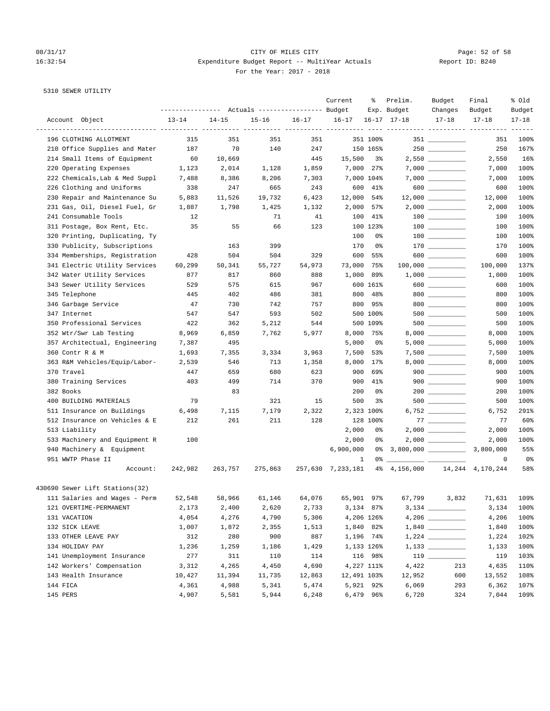### 08/31/17 Page: 52 of 58 16:32:54 Expenditure Budget Report -- MultiYear Actuals Report ID: B240 For the Year: 2017 - 2018

### 5310 SEWER UTILITY

|                                | ---------------- |           | Actuals ----------------- Budget |           | Current                | ႜ          | Prelim.<br>Exp. Budget             | Budget<br>Changes                                | Final<br>Budget | % old<br>Budget |
|--------------------------------|------------------|-----------|----------------------------------|-----------|------------------------|------------|------------------------------------|--------------------------------------------------|-----------------|-----------------|
| Account Object                 | $13 - 14$        | $14 - 15$ | $15 - 16$                        | $16 - 17$ | $16 - 17$              |            | $16 - 17$ $17 - 18$                | $17 - 18$                                        | $17 - 18$       | $17 - 18$       |
| 196 CLOTHING ALLOTMENT         | 315              | 351       | 351                              | 351       | ----------- ---------- | 351 100%   |                                    | --------- ---------- ---------<br>$351$ ________ | 351             | -----<br>100%   |
|                                |                  | 70        |                                  |           |                        |            |                                    |                                                  |                 |                 |
| 210 Office Supplies and Mater  | 187              |           | 140                              | 247       |                        | 150 165%   |                                    |                                                  | 250             | 167%            |
| 214 Small Items of Equipment   | 60               | 10,669    |                                  | 445       | 15,500                 | 3%         |                                    |                                                  | 2,550           | 16%             |
| 220 Operating Expenses         | 1,123            | 2,014     | 1,128                            | 1,859     |                        | 7,000 27%  |                                    | $7,000$ __________                               | 7,000           | 100%            |
| 222 Chemicals, Lab & Med Suppl | 7,488            | 8,386     | 8,206                            | 7,303     |                        | 7,000 104% |                                    | $7,000$ __________                               | 7,000           | 100%            |
| 226 Clothing and Uniforms      | 338              | 247       | 665                              | 243       |                        | 600 41%    |                                    | $600$                                            | 600             | 100%            |
| 230 Repair and Maintenance Su  | 5,883            | 11,526    | 19,732                           | 6,423     | 12,000 54%             |            |                                    |                                                  | 12,000          | 100%            |
| 231 Gas, Oil, Diesel Fuel, Gr  | 1,887            | 1,798     | 1,425                            | 1,132     | 2,000                  | 57%        |                                    | $2,000$ _________                                | 2,000           | 100%            |
| 241 Consumable Tools           | 12               |           | 71                               | 41        |                        | 100 41%    |                                    | $100$ ________                                   | 100             | 100%            |
| 311 Postage, Box Rent, Etc.    | 35               | 55        | 66                               | 123       |                        | 100 123%   |                                    | $\begin{tabular}{c} 100 \end{tabular}$           | 100             | 100%            |
| 320 Printing, Duplicating, Ty  |                  |           |                                  |           | 100                    | 0%         |                                    |                                                  | 100             | 100%            |
| 330 Publicity, Subscriptions   |                  | 163       | 399                              |           | 170                    | 0%         |                                    |                                                  | 170             | 100%            |
| 334 Memberships, Registration  | 428              | 504       | 504                              | 329       | 600                    | 55%        |                                    |                                                  | 600             | 100%            |
| 341 Electric Utility Services  | 60,299           | 50,341    | 55,727                           | 54,973    | 73,000                 | 75%        |                                    | $100,000$ __________                             | 100,000         | 137%            |
| 342 Water Utility Services     | 877              | 817       | 860                              | 888       | 1,000                  | 89%        |                                    | $1,000$ __________                               | 1,000           | 100%            |
| 343 Sewer Utility Services     | 529              | 575       | 615                              | 967       |                        | 600 161%   |                                    |                                                  | 600             | 100%            |
| 345 Telephone                  | 445              | 402       | 486                              | 381       |                        | 800 48%    |                                    | 800                                              | 800             | 100%            |
| 346 Garbage Service            | 47               | 730       | 742                              | 757       |                        | 800 95%    |                                    |                                                  | 800             | 100%            |
| 347 Internet                   | 547              | 547       | 593                              | 502       |                        | 500 100%   |                                    |                                                  | 500             | 100%            |
| 350 Professional Services      | 422              | 362       | 5,212                            | 544       |                        | 500 109%   |                                    |                                                  | 500             | 100%            |
| 352 Wtr/Swr Lab Testing        | 8,969            | 6,859     | 7,762                            | 5,977     |                        | 8,000 75%  |                                    | 8,000 _________                                  | 8,000           | 100%            |
| 357 Architectual, Engineering  | 7,387            | 495       |                                  |           | 5,000                  | 0%         |                                    |                                                  | 5,000           | 100%            |
| 360 Contr R & M                | 1,693            | 7,355     | 3,334                            | 3,963     |                        | 7,500 53%  |                                    |                                                  | 7,500           | 100%            |
| 363 R&M Vehicles/Equip/Labor-  | 2,539            | 546       | 713                              | 1,358     |                        | 8,000 17%  |                                    |                                                  | 8,000           | 100%            |
| 370 Travel                     | 447              | 659       | 680                              | 623       | 900                    | 69%        |                                    | $900$ _________                                  | 900             | 100%            |
| 380 Training Services          | 403              | 499       | 714                              | 370       |                        | 900 41%    |                                    |                                                  | 900             | 100%            |
| 382 Books                      |                  | 83        |                                  |           | 200                    | 0%         |                                    |                                                  | 200             | 100%            |
| 400 BUILDING MATERIALS         | 79               |           | 321                              | 15        | 500                    | 3%         |                                    |                                                  | 500             | 100%            |
| 511 Insurance on Buildings     | 6,498            | 7,115     | 7,179                            | 2,322     |                        | 2,323 100% |                                    |                                                  | 6,752           | 291%            |
| 512 Insurance on Vehicles & E  | 212              | 261       | 211                              | 128       |                        | 128 100%   |                                    | $\begin{tabular}{c} 77 \end{tabular}$            | 77              | 60%             |
| 513 Liability                  |                  |           |                                  |           | 2,000                  | 0%         |                                    |                                                  | 2,000           | 100%            |
| 533 Machinery and Equipment R  | 100              |           |                                  |           | 2,000                  | 0 %        |                                    |                                                  | 2,000           | 100%            |
| 940 Machinery & Equipment      |                  |           |                                  |           | 6,900,000              |            | $0*$ 3,800,000 _________           |                                                  | 3,800,000       | 55%             |
| 951 WWTP Phase II              |                  |           |                                  |           | 1                      | 0%         | $\frac{1}{1}$                      |                                                  | 0               | 0%              |
| Account:                       | 242,982          | 263,757   | 275,863                          |           | 257,630 7,233,181      |            | 4% 4, 156, 000 14, 244 4, 170, 244 |                                                  |                 | 58%             |
| 430690 Sewer Lift Stations(32) |                  |           |                                  |           |                        |            |                                    |                                                  |                 |                 |
| 111 Salaries and Wages - Perm  | 52,548           | 58,966    | 61,146                           | 64,076    | 65,901                 | 97%        | 67,799                             | 3,832                                            |                 | 71,631 109%     |
| 121 OVERTIME-PERMANENT         | 2,173            | 2,400     | 2,620                            | 2,733     |                        | 3,134 87%  |                                    |                                                  | 3,134           | 100%            |
| 131 VACATION                   | 4,054            | 4,276     | 4,790                            | 5,306     |                        | 4,206 126% |                                    |                                                  | 4,206           | 100%            |
| 132 SICK LEAVE                 | 1,007            | 1,872     | 2,355                            | 1,513     |                        | 1,840 82%  |                                    |                                                  | 1,840           | 100%            |
| 133 OTHER LEAVE PAY            | 312              | 280       | 900                              | 887       |                        | 1,196 74%  |                                    |                                                  | 1,224           | 102%            |
| 134 HOLIDAY PAY                | 1,236            | 1,259     | 1,186                            | 1,429     |                        | 1,133 126% |                                    |                                                  | 1,133           | 100%            |
| 141 Unemployment Insurance     | 277              | 311       | 110                              | 114       |                        | 116 98%    |                                    | $119$ ________                                   | 119             | 103%            |
| 142 Workers' Compensation      | 3,312            | 4,265     | 4,450                            | 4,690     |                        | 4,227 111% | 4,422                              | 213                                              | 4,635           | 110%            |
| 143 Health Insurance           | 10,427           | 11,394    | 11,735                           | 12,863    | 12,491 103%            |            | 12,952                             | 600                                              | 13,552          | 108%            |
| 144 FICA                       | 4,361            | 4,988     | 5,341                            | 5,474     |                        | 5,921 92%  | 6,069                              | 293                                              | 6,362           | 107%            |
| 145 PERS                       | 4,907            | 5,581     | 5,944                            | 6,248     |                        | 6,479 96%  | 6,720                              | 324                                              | 7,044           | 109%            |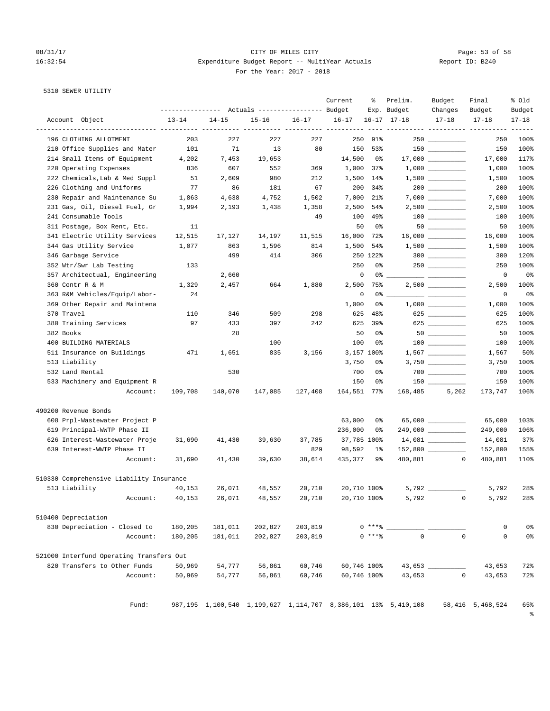### 08/31/17 Page: 53 of 58 16:32:54 Expenditure Budget Report -- MultiYear Actuals Report ID: B240 For the Year: 2017 - 2018

# 5310 SEWER UTILITY

|                                          | ---------------- |           | Actuals ----------------- Budget |           | Current            | ႜ          | Prelim.<br>Exp. Budget                                        | Budget<br>Changes       | Final<br>Budget  | % Old<br>Budget     |
|------------------------------------------|------------------|-----------|----------------------------------|-----------|--------------------|------------|---------------------------------------------------------------|-------------------------|------------------|---------------------|
| Account Object                           | $13 - 14$        | $14 - 15$ | $15 - 16$                        | $16 - 17$ | $16 - 17$          |            | $16 - 17$ $17 - 18$                                           | $17 - 18$               | $17 - 18$        | $17 - 18$           |
| 196 CLOTHING ALLOTMENT                   | 203              | 227       | ----------- ----------<br>227    | 227       | -----------<br>250 | 91%        |                                                               | $250$ _________         | 250              | $- - - - -$<br>100% |
| 210 Office Supplies and Mater            | 101              | 71        | 13                               | 80        | 150                | 53%        |                                                               | $150$ ________          | 150              | 100%                |
| 214 Small Items of Equipment             | 4,202            | 7,453     | 19,653                           |           | 14,500             | 0%         |                                                               | $17,000$ __________     | 17,000           | 117%                |
| 220 Operating Expenses                   | 836              | 607       | 552                              | 369       | 1,000              | 37%        |                                                               | $1,000$ __________      | 1,000            | 100%                |
| 222 Chemicals, Lab & Med Suppl           | 51               | 2,609     | 980                              | 212       | 1,500              | 14%        |                                                               |                         | 1,500            | 100%                |
| 226 Clothing and Uniforms                | 77               | 86        | 181                              | 67        | 200                | 34%        |                                                               |                         | 200              | 100%                |
| 230 Repair and Maintenance Su            | 1,863            | 4,638     | 4,752                            | 1,502     | 7,000              | 21%        |                                                               |                         | 7,000            | 100%                |
| 231 Gas, Oil, Diesel Fuel, Gr            | 1,994            | 2,193     | 1,438                            | 1,358     | 2,500              | 54%        |                                                               | $2,500$ __________      | 2,500            | 100%                |
| 241 Consumable Tools                     |                  |           |                                  | 49        | 100                | 49%        |                                                               | $100$ ________          | 100              | 100%                |
| 311 Postage, Box Rent, Etc.              | 11               |           |                                  |           | 50                 | 0%         |                                                               | $50$ __________         | 50               | 100%                |
| 341 Electric Utility Services            | 12,515           | 17,127    | 14,197                           | 11,515    | 16,000             | 72%        |                                                               |                         | 16,000           | 100%                |
| 344 Gas Utility Service                  | 1,077            | 863       | 1,596                            | 814       | 1,500              | 54%        |                                                               | $1,500$ __________      | 1,500            | 100%                |
| 346 Garbage Service                      |                  | 499       | 414                              | 306       |                    | 250 122%   |                                                               |                         | 300              | 120%                |
| 352 Wtr/Swr Lab Testing                  | 133              |           |                                  |           | 250                | 0%         |                                                               | $250$ _________         | 250              | 100%                |
| 357 Architectual, Engineering            |                  | 2,660     |                                  |           | 0                  | 0 %        |                                                               |                         | 0                | 0%                  |
| 360 Contr R & M                          | 1,329            | 2,457     | 664                              | 1,880     | 2,500              | 75%        |                                                               | $2,500$ __________      | 2,500            | 100%                |
| 363 R&M Vehicles/Equip/Labor-            | 24               |           |                                  |           | 0                  | 0%         |                                                               |                         | 0                | 0%                  |
| 369 Other Repair and Maintena            |                  |           |                                  |           | 1,000              | 0%         |                                                               |                         | 1,000            | 100%                |
| 370 Travel                               | 110              | 346       | 509                              | 298       | 625                | 48%        |                                                               | $625$                   | 625              | 100%                |
| 380 Training Services                    | 97               | 433       | 397                              | 242       | 625                | 39%        |                                                               | 625                     | 625              | 100%                |
| 382 Books                                |                  | 28        |                                  |           | 50                 | 0%         |                                                               |                         | 50               | 100%                |
| 400 BUILDING MATERIALS                   |                  |           | 100                              |           | 100                | 0%         |                                                               | $100$ _______           | 100              | 100%                |
| 511 Insurance on Buildings               | 471              | 1,651     | 835                              | 3,156     |                    | 3,157 100% |                                                               |                         | 1,567            | 50%                 |
| 513 Liability                            |                  |           |                                  |           | 3,750              | 0%         |                                                               | 3,750 __________        | 3,750            | 100%                |
| 532 Land Rental                          |                  | 530       |                                  |           | 700                | 0%         |                                                               | $700$                   | 700              | 100%                |
| 533 Machinery and Equipment R            |                  |           |                                  |           | 150                | 0%         |                                                               |                         | 150              | 100%                |
| Account:                                 | 109,708          | 140,070   | 147,085                          | 127,408   | 164,551 77%        |            | 168,485                                                       | 5,262                   | 173,747          | 106%                |
| 490200 Revenue Bonds                     |                  |           |                                  |           |                    |            |                                                               |                         |                  |                     |
| 608 Prpl-Wastewater Project P            |                  |           |                                  |           | 63,000             | 0%         |                                                               | $65,000$ ______________ | 65,000           | 103%                |
| 619 Principal-WWTP Phase II              |                  |           |                                  |           | 236,000            | 0%         |                                                               | 249,000 _________       | 249,000          | 106%                |
| 626 Interest-Wastewater Proje            | 31,690           | 41,430    | 39,630                           | 37,785    | 37,785 100%        |            |                                                               | $14,081$ ________       | 14,081           | 37%                 |
| 639 Interest-WWTP Phase II               |                  |           |                                  | 829       | 98,592             | $1\%$      |                                                               | 152,800 ________        | 152,800          | 155%                |
| Account:                                 | 31,690           | 41,430    | 39,630                           | 38,614    | 435,377            | 9%         | 480,881                                                       | $\overline{0}$          | 480,881          | 110%                |
| 510330 Comprehensive Liability Insurance |                  |           |                                  |           |                    |            |                                                               |                         |                  |                     |
| 513 Liability                            | 40,153           | 26,071    | 48,557                           | 20,710    | 20,710 100%        |            |                                                               | 5,792 __________        | 5,792            | 28%                 |
| Account:                                 | 40,153           | 26,071    | 48,557                           | 20,710    | 20,710 100%        |            |                                                               | 5,792<br>0              | 5,792            | 28%                 |
| 510400 Depreciation                      |                  |           |                                  |           |                    |            |                                                               |                         |                  |                     |
| 830 Depreciation - Closed to             | 180,205          | 181,011   | 202,827                          | 203,819   |                    | $0***$ $*$ |                                                               |                         | 0                | 0%                  |
| Account:                                 | 180,205          | 181,011   | 202,827                          | 203,819   |                    | $0***8$    | $\mathbf{0}$                                                  | $\mathbf 0$             | 0                | 0%                  |
| 521000 Interfund Operating Transfers Out |                  |           |                                  |           |                    |            |                                                               |                         |                  |                     |
| 820 Transfers to Other Funds             | 50,969           | 54,777    | 56,861                           | 60,746    | 60,746 100%        |            |                                                               | 43,653                  | 43,653           | 72%                 |
| Account:                                 | 50,969           | 54,777    | 56,861                           | 60,746    | 60,746 100%        |            | 43,653                                                        | $\circ$                 | 43,653           | 72%                 |
|                                          |                  |           |                                  |           |                    |            |                                                               |                         |                  |                     |
| Fund:                                    |                  |           |                                  |           |                    |            | 987,195 1,100,540 1,199,627 1,114,707 8,386,101 13% 5,410,108 |                         | 58,416 5,468,524 | 65%                 |

%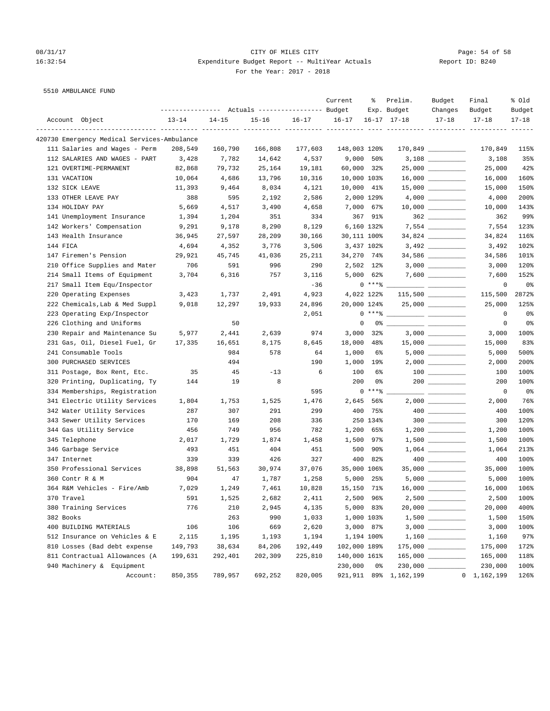5510 AMBULANCE FUND

### 08/31/17 Page: 54 of 58 16:32:54 Expenditure Budget Report -- MultiYear Actuals Report ID: B240 For the Year: 2017 - 2018

Current % Prelim. Budget Final % Old

|        |  | ---<br>$- -$ |
|--------|--|--------------|
| $\sim$ |  |              |

|                                             | ---------------- |           | Actuals ----------------- Budget |           |              |                | Exp. Budget            | Changes                                                                                                                                                                                                                                                                                                                                             | Budget        | Budget         |
|---------------------------------------------|------------------|-----------|----------------------------------|-----------|--------------|----------------|------------------------|-----------------------------------------------------------------------------------------------------------------------------------------------------------------------------------------------------------------------------------------------------------------------------------------------------------------------------------------------------|---------------|----------------|
| Account Object                              | $13 - 14$        | $14 - 15$ | $15 - 16$                        | $16 - 17$ | $16 - 17$    |                | $16 - 17$ $17 - 18$    | $17 - 18$                                                                                                                                                                                                                                                                                                                                           | $17 - 18$     | $17 - 18$      |
| 420730 Emergency Medical Services-Ambulance |                  |           |                                  |           |              |                |                        |                                                                                                                                                                                                                                                                                                                                                     |               |                |
| 111 Salaries and Wages - Perm               | 208,549          | 160,790   | 166,808                          | 177,603   | 148,003 120% |                |                        | $170,849$ _________                                                                                                                                                                                                                                                                                                                                 | 170,849       | 115%           |
| 112 SALARIES AND WAGES - PART               | 3,428            | 7,782     | 14,642                           | 4,537     | 9,000        | $50\%$         |                        |                                                                                                                                                                                                                                                                                                                                                     | 3,108         | 35%            |
| 121 OVERTIME-PERMANENT                      | 82,868           | 79,732    | 25,164                           | 19,181    | 60,000       | 32%            |                        |                                                                                                                                                                                                                                                                                                                                                     | 25,000        | 42%            |
| 131 VACATION                                | 10,064           | 4,686     | 13,796                           | 10,316    | 10,000 103%  |                |                        |                                                                                                                                                                                                                                                                                                                                                     | 16,000        | 160%           |
| 132 SICK LEAVE                              | 11,393           | 9,464     | 8,034                            | 4,121     | 10,000 41%   |                |                        | $15,000$ _________                                                                                                                                                                                                                                                                                                                                  | 15,000        | 150%           |
| 133 OTHER LEAVE PAY                         | 388              | 595       | 2,192                            | 2,586     |              | 2,000 129%     |                        |                                                                                                                                                                                                                                                                                                                                                     | 4,000         | 200%           |
| 134 HOLIDAY PAY                             | 5,669            | 4,517     | 3,490                            | 4,658     |              | 7,000 67%      |                        | $10,000$ _________                                                                                                                                                                                                                                                                                                                                  | 10,000        | 143%           |
| 141 Unemployment Insurance                  | 1,394            | 1,204     | 351                              | 334       |              | 367 91%        |                        | $362$                                                                                                                                                                                                                                                                                                                                               | 362           | 99%            |
| 142 Workers' Compensation                   | 9,291            | 9,178     | 8,290                            | 8,129     |              | 6,160 132%     |                        | 7,554 __________                                                                                                                                                                                                                                                                                                                                    | 7,554         | 123%           |
| 143 Health Insurance                        | 36,945           | 27,597    | 28,209                           | 30,166    | 30,111 100%  |                |                        | 34,824 _________                                                                                                                                                                                                                                                                                                                                    | 34,824        | 116%           |
| 144 FICA                                    | 4,694            | 4,352     | 3,776                            | 3,506     |              | 3,437 102%     |                        | 3,492 ___________                                                                                                                                                                                                                                                                                                                                   | 3,492         | 102%           |
| 147 Firemen's Pension                       | 29,921           | 45,745    | 41,036                           | 25,211    | 34,270 74%   |                |                        | 34,586 _________                                                                                                                                                                                                                                                                                                                                    | 34,586        | 101%           |
| 210 Office Supplies and Mater               | 706              | 591       | 996                              | 290       |              | 2,502 12%      |                        |                                                                                                                                                                                                                                                                                                                                                     | 3,000         | 120%           |
| 214 Small Items of Equipment                | 3,704            | 6,316     | 757                              | 3,116     |              | $5,000$ $62\%$ |                        |                                                                                                                                                                                                                                                                                                                                                     | 7,600         | 152%           |
| 217 Small Item Equ/Inspector                |                  |           |                                  | $-36$     |              | $0***$ $*$     |                        |                                                                                                                                                                                                                                                                                                                                                     | $\mathbf 0$   | 0%             |
| 220 Operating Expenses                      | 3,423            | 1,737     | 2,491                            | 4,923     |              | 4,022 122%     |                        | $115,500$ __________                                                                                                                                                                                                                                                                                                                                | 115,500       | 2872%          |
| 222 Chemicals, Lab & Med Suppl              | 9,018            | 12,297    | 19,933                           | 24,896    | 20,000 124%  |                |                        | $25,000$ __________                                                                                                                                                                                                                                                                                                                                 | 25,000        | 125%           |
| 223 Operating Exp/Inspector                 |                  |           |                                  | 2,051     |              |                | $0***$ $\frac{20}{10}$ |                                                                                                                                                                                                                                                                                                                                                     | 0             | 0 <sup>o</sup> |
| 226 Clothing and Uniforms                   |                  | 50        |                                  |           | 0            |                | 0% -                   |                                                                                                                                                                                                                                                                                                                                                     | 0             | 0%             |
| 230 Repair and Maintenance Su               | 5,977            | 2,441     | 2,639                            | 974       | 3,000        | 32%            |                        |                                                                                                                                                                                                                                                                                                                                                     | 3,000         | 100%           |
| 231 Gas, Oil, Diesel Fuel, Gr               | 17,335           | 16,651    | 8,175                            | 8,645     | 18,000       | 48.3           |                        |                                                                                                                                                                                                                                                                                                                                                     | 15,000        | 83%            |
| 241 Consumable Tools                        |                  | 984       | 578                              | 64        | 1,000        | 6%             |                        |                                                                                                                                                                                                                                                                                                                                                     | 5,000         | 500%           |
| 300 PURCHASED SERVICES                      |                  | 494       |                                  | 190       | 1,000        | 19%            |                        | $2\, ,000$ $\rule{2cm}{0.4cm}$                                                                                                                                                                                                                                                                                                                      | 2,000         | 200%           |
| 311 Postage, Box Rent, Etc.                 | 35               | 45        | $-13$                            | 6         | 100          | 6%             |                        |                                                                                                                                                                                                                                                                                                                                                     | 100           | 100%           |
| 320 Printing, Duplicating, Ty               | 144              | 19        | 8                                |           | 200          | 0%             |                        |                                                                                                                                                                                                                                                                                                                                                     | 200           | 100%           |
| 334 Memberships, Registration               |                  |           |                                  | 595       |              | $0***$ $*$     |                        |                                                                                                                                                                                                                                                                                                                                                     | $\mathbf 0$   | 0%             |
| 341 Electric Utility Services               | 1,804            | 1,753     | 1,525                            | 1,476     | 2,645        | 56%            |                        |                                                                                                                                                                                                                                                                                                                                                     | 2,000         | 76%            |
| 342 Water Utility Services                  | 287              | 307       | 291                              | 299       | 400          | 75%            |                        |                                                                                                                                                                                                                                                                                                                                                     | 400           | 100%           |
| 343 Sewer Utility Services                  | 170              | 169       | 208                              | 336       |              | 250 134%       |                        |                                                                                                                                                                                                                                                                                                                                                     | 300           | 120%           |
| 344 Gas Utility Service                     | 456              | 749       | 956                              | 782       | 1,200        | 65%            |                        |                                                                                                                                                                                                                                                                                                                                                     | 1,200         | 100%           |
| 345 Telephone                               | 2,017            | 1,729     | 1,874                            | 1,458     | 1,500        | 97%            |                        | $1,500$ __________                                                                                                                                                                                                                                                                                                                                  | 1,500         | 100%           |
| 346 Garbage Service                         | 493              | 451       | 404                              | 451       | 500          | 90%            |                        |                                                                                                                                                                                                                                                                                                                                                     | 1,064         | 213%           |
| 347 Internet                                | 339              | 339       | 426                              | 327       | 400          | 82%            |                        | $\begin{picture}(20,20) \put(0,0){\line(1,0){10}} \put(15,0){\line(1,0){10}} \put(15,0){\line(1,0){10}} \put(15,0){\line(1,0){10}} \put(15,0){\line(1,0){10}} \put(15,0){\line(1,0){10}} \put(15,0){\line(1,0){10}} \put(15,0){\line(1,0){10}} \put(15,0){\line(1,0){10}} \put(15,0){\line(1,0){10}} \put(15,0){\line(1,0){10}} \put(15,0){\line(1$ | 400           | 100%           |
| 350 Professional Services                   | 38,898           | 51,563    | 30,974                           | 37,076    | 35,000 106%  |                |                        |                                                                                                                                                                                                                                                                                                                                                     | 35,000        | 100%           |
| 360 Contr R & M                             | 904              | 47        | 1,787                            | 1,258     | 5,000        | 25%            |                        |                                                                                                                                                                                                                                                                                                                                                     | 5,000         | 100%           |
| 364 R&M Vehicles - Fire/Amb                 | 7,029            | 1,249     | 7,461                            | 10,828    | 15,150       | 71%            |                        | $16,000$ __________                                                                                                                                                                                                                                                                                                                                 | 16,000        | 106%           |
| 370 Travel                                  | 591              | 1,525     | 2,682                            | 2,411     | 2,500        | 96%            |                        |                                                                                                                                                                                                                                                                                                                                                     | 2,500         | 100%           |
| 380 Training Services                       | 776              | 210       | 2,945                            | 4,135     | 5,000        | 83%            |                        |                                                                                                                                                                                                                                                                                                                                                     | 20,000        | 400%           |
| 382 Books                                   |                  | 263       | 990                              | 1,033     |              | 1,000 103%     |                        |                                                                                                                                                                                                                                                                                                                                                     | 1,500         | 150%           |
| 400 BUILDING MATERIALS                      | 106              | 106       | 669                              | 2,620     |              | 3,000 87%      |                        |                                                                                                                                                                                                                                                                                                                                                     | 3,000         | 100%           |
| 512 Insurance on Vehicles & E               | 2,115            | 1,195     | 1,193                            | 1,194     |              | 1,194 100%     |                        |                                                                                                                                                                                                                                                                                                                                                     | 1,160         | 97%            |
| 810 Losses (Bad debt expense                | 149,793          | 38,634    | 84,206                           | 192,449   | 102,000 189% |                |                        | $175,000$ __________                                                                                                                                                                                                                                                                                                                                | 175,000       | 172%           |
| 811 Contractual Allowances (A               | 199,631          | 292,401   | 202,309                          | 225,810   | 140,000 161% |                |                        |                                                                                                                                                                                                                                                                                                                                                     | 165,000       | 118%           |
| 940 Machinery & Equipment                   |                  |           |                                  |           | 230,000      | 0%             |                        |                                                                                                                                                                                                                                                                                                                                                     | 230,000       | 100%           |
| Account:                                    | 850,355          | 789,957   | 692,252                          | 820,005   | 921,911 89%  |                | 1,162,199              |                                                                                                                                                                                                                                                                                                                                                     | 0 1, 162, 199 | 126%           |
|                                             |                  |           |                                  |           |              |                |                        |                                                                                                                                                                                                                                                                                                                                                     |               |                |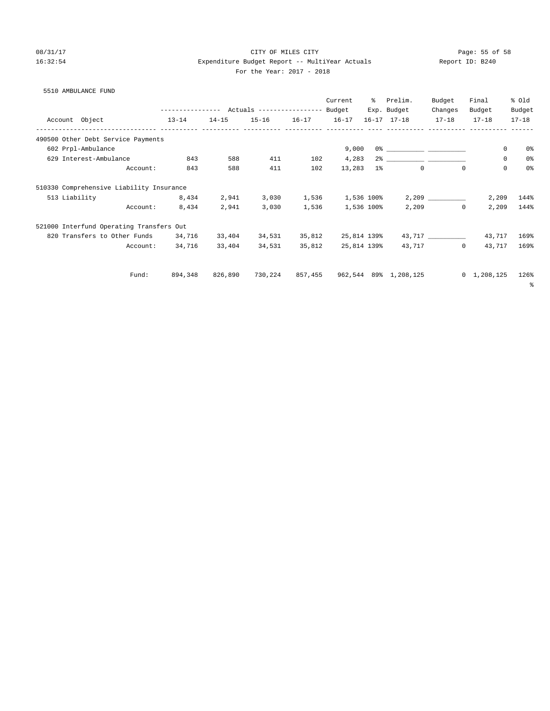### 08/31/17 Page: 55 of 58 16:32:54 Expenditure Budget Report -- MultiYear Actuals Report ID: B240 For the Year: 2017 - 2018

### 5510 AMBULANCE FUND

|  |                                            |           |           |                                                 |                   | Current     | ွေ          | Prelim.               | Budget                | Final               | % Old          |
|--|--------------------------------------------|-----------|-----------|-------------------------------------------------|-------------------|-------------|-------------|-----------------------|-----------------------|---------------------|----------------|
|  |                                            |           |           | --------------- Actuals ---------------- Budget |                   |             | Exp. Budget | Changes               | Budget                | Budget              |                |
|  | Account Object<br>------------ ----------- | $13 - 14$ | $14 - 15$ |                                                 | 15-16 16-17 16-17 |             |             | $16 - 17$ $17 - 18$   | $17 - 18$             | $17 - 18$           | $17 - 18$      |
|  | 490500 Other Debt Service Payments         |           |           |                                                 |                   |             |             |                       |                       |                     |                |
|  | 602 Prpl-Ambulance                         |           |           |                                                 |                   | 9,000       |             |                       |                       | 0                   | 0%             |
|  | 629 Interest-Ambulance                     | 843       | 588       | 411                                             | 102               | 4,283       |             |                       |                       | $\mathbf 0$         | 0 <sup>°</sup> |
|  | Account:                                   | 843       | 588       | 411                                             | 102               | 13,283      | $1\%$       | $\mathbf{0}$          | $\Omega$              | $\mathbf 0$         | 0 <sup>°</sup> |
|  | 510330 Comprehensive Liability Insurance   |           |           |                                                 |                   |             |             |                       |                       |                     |                |
|  | 513 Liability                              | 8,434     | 2,941     | 3,030                                           | 1,536             | 1,536 100%  |             |                       |                       | 2,209               | 144%           |
|  | Account:                                   | 8,434     | 2,941     | 3,030                                           | 1,536             | 1,536 100%  |             |                       | 2,209<br>$\mathbf{0}$ | 2,209               | 144%           |
|  | 521000 Interfund Operating Transfers Out   |           |           |                                                 |                   |             |             |                       |                       |                     |                |
|  | 820 Transfers to Other Funds               | 34,716    | 33,404    | 34,531                                          | 35,812            | 25,814 139% |             |                       |                       | 43,717              | 169%           |
|  | Account:                                   | 34,716    | 33,404    | 34,531                                          | 35,812            | 25,814 139% |             | 43,717                | $\Omega$              | 43,717              | 169%           |
|  | Fund:                                      | 894,348   | 826,890   | 730,224                                         | 857,455           |             |             | 962,544 89% 1,208,125 |                       | $0 \quad 1,208,125$ | 126%           |
|  |                                            |           |           |                                                 |                   |             |             |                       |                       |                     | နွ             |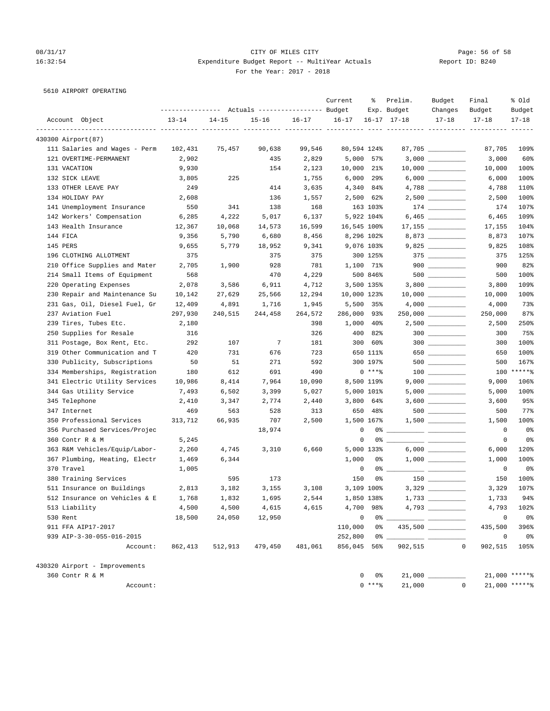### 08/31/17 Page: 56 of 58 16:32:54 Expenditure Budget Report -- MultiYear Actuals Report ID: B240 For the Year: 2017 - 2018

|  | 5610 AIRPORT OPERATING |
|--|------------------------|

|                               |           |           | --------------- Actuals ---------------- Budget |           | Current               | ႜ              | Prelim.<br>Exp. Budget | Budget<br>Changes   | Final<br>Budget                  | % Old<br>Budget |
|-------------------------------|-----------|-----------|-------------------------------------------------|-----------|-----------------------|----------------|------------------------|---------------------|----------------------------------|-----------------|
| Account Object                | $13 - 14$ | $14 - 15$ | $15 - 16$                                       | $16 - 17$ | $16 - 17$             |                | $16 - 17$ $17 - 18$    | $17 - 18$           | $17 - 18$                        | $17 - 18$       |
| 430300 Airport (87)           |           |           |                                                 |           | ---- ----------- ---- |                |                        |                     | ----------- ---------- --------- |                 |
| 111 Salaries and Wages - Perm | 102,431   | 75,457    | 90,638                                          | 99,546    | 80,594 124%           |                |                        | 87,705              | 87,705                           | 109%            |
| 121 OVERTIME-PERMANENT        | 2,902     |           | 435                                             | 2,829     |                       | 5,000 57%      |                        |                     | 3,000                            | 60%             |
| 131 VACATION                  | 9,930     |           | 154                                             | 2,123     | 10,000                | 21%            |                        | $10,000$ __________ | 10,000                           | 100%            |
| 132 SICK LEAVE                | 3,805     | 225       |                                                 | 1,755     | 6,000                 | 29%            |                        |                     | 6,000                            | 100%            |
| 133 OTHER LEAVE PAY           | 249       |           | 414                                             | 3,635     | 4,340                 | 84%            |                        |                     | 4,788                            | 110%            |
| 134 HOLIDAY PAY               | 2,608     |           | 136                                             | 1,557     |                       | 2,500 62%      |                        | $2,500$ __________  | 2,500                            | 100%            |
| 141 Unemployment Insurance    | 550       | 341       | 138                                             | 168       |                       | 163 103%       |                        |                     | 174                              | 107%            |
| 142 Workers' Compensation     | 6,285     | 4,222     | 5,017                                           | 6,137     |                       | 5,922 104%     |                        | $6,465$ __________  | 6,465                            | 109%            |
| 143 Health Insurance          | 12,367    | 10,068    | 14,573                                          | 16,599    | 16,545 100%           |                |                        |                     | 17,155                           | 104%            |
| 144 FICA                      | 9,356     | 5,790     | 6,680                                           | 8,456     |                       | 8,296 102%     |                        | 8,873               | 8,873                            | 107%            |
| 145 PERS                      | 9,655     | 5,779     | 18,952                                          | 9,341     |                       | 9,076 103%     |                        |                     | 9,825                            | 108%            |
| 196 CLOTHING ALLOTMENT        | 375       |           | 375                                             | 375       |                       | 300 125%       |                        | $375$ __________    | 375                              | 125%            |
| 210 Office Supplies and Mater | 2,705     | 1,900     | 928                                             | 781       |                       | 1,100 71%      |                        | $900$               | 900                              | 82%             |
| 214 Small Items of Equipment  | 568       |           | 470                                             | 4,229     |                       | 500 846%       |                        | $500$ ________      | 500                              | 100%            |
| 220 Operating Expenses        | 2,078     | 3,586     | 6,911                                           | 4,712     |                       | 3,500 135%     |                        |                     | 3,800                            | 109%            |
| 230 Repair and Maintenance Su | 10,142    | 27,629    | 25,566                                          | 12,294    | 10,000 123%           |                |                        |                     | 10,000                           | 100%            |
| 231 Gas, Oil, Diesel Fuel, Gr | 12,409    | 4,891     | 1,716                                           | 1,945     |                       | 5,500 35%      |                        |                     | 4,000                            | 73%             |
| 237 Aviation Fuel             | 297,930   | 240,515   | 244,458                                         | 264,572   | 286,000               | 93%            |                        | $250,000$ _________ | 250,000                          | 87%             |
| 239 Tires, Tubes Etc.         | 2,180     |           |                                                 | 398       | 1,000                 | 4Օ%            |                        | $2,500$ _________   | 2,500                            | 250%            |
| 250 Supplies for Resale       | 316       |           |                                                 | 326       | 400                   | 82%            |                        | $300$               | 300                              | 75%             |
| 311 Postage, Box Rent, Etc.   | 292       | 107       | $7\phantom{.0}$                                 | 181       | 300                   | 60%            |                        | $300$ _________     | 300                              | 100%            |
| 319 Other Communication and T | 420       | 731       | 676                                             | 723       |                       | 650 111%       |                        | 650                 | 650                              | 100%            |
| 330 Publicity, Subscriptions  | 50        | 51        | 271                                             | 592       |                       | 300 197%       |                        | $500$ _________     | 500                              | 167%            |
| 334 Memberships, Registration | 180       | 612       | 691                                             | 490       |                       | $0***8$        |                        |                     |                                  | 100 ******      |
| 341 Electric Utility Services | 10,986    | 8,414     | 7,964                                           | 10,090    |                       | 8,500 119%     |                        |                     | 9,000                            | 106%            |
| 344 Gas Utility Service       | 7,493     | 6,502     | 3,399                                           | 5,027     |                       | 5,000 101%     |                        |                     | 5,000                            | 100%            |
| 345 Telephone                 | 2,410     | 3,347     | 2,774                                           | 2,440     |                       | $3,800$ 64%    |                        |                     | 3,600                            | 95%             |
| 347 Internet                  | 469       | 563       | 528                                             | 313       |                       | 650 48%        |                        | $500$ ________      | 500                              | 77%             |
| 350 Professional Services     | 313,712   | 66,935    | 707                                             | 2,500     |                       | 1,500 167%     |                        | $1,500$ _________   | 1,500                            | 100%            |
| 356 Purchased Services/Projec |           |           | 18,974                                          |           | $\mathbf 0$           |                |                        |                     | 0                                | 0%              |
| 360 Contr R & M               | 5,245     |           |                                                 |           | 0                     |                | 0 왕 1                  |                     | 0                                | 0%              |
| 363 R&M Vehicles/Equip/Labor- | 2,260     | 4,745     | 3,310                                           | 6,660     |                       | 5,000 133%     |                        |                     | 6,000                            | 120%            |
| 367 Plumbing, Heating, Electr | 1,469     | 6,344     |                                                 |           | 1,000                 | 0%             |                        | $1,000$             | 1,000                            | 100%            |
| 370 Travel                    | 1,005     |           |                                                 |           | 0                     |                |                        |                     | 0                                | 0%              |
| 380 Training Services         |           | 595       | 173                                             |           | 150                   | 0%             |                        |                     | 150                              | 100%            |
| 511 Insurance on Buildings    | 2,813     | 3,182     | 3,155                                           | 3,108     |                       | 3,109 100%     |                        |                     | 3,329                            | 107%            |
| 512 Insurance on Vehicles & E | 1,768     | 1,832     | 1,695                                           | 2,544     | 1,850 138%            |                | $1,733$ $\_$           |                     | 1,733                            | 94%             |
| 513 Liability                 | 4,500     | 4,500     | 4,615                                           | 4,615     |                       | 4,700 98%      |                        |                     | 4,793                            | 102%            |
| 530 Rent                      | 18,500    | 24,050    | 12,950                                          |           |                       | 0              | $0\%$                  |                     | $\circ$                          | 0%              |
| 911 FFA AIP17-2017            |           |           |                                                 |           | 110,000               | 0 %            |                        |                     | 435,500                          | 396%            |
| 939 AIP-3-30-055-016-2015     |           |           |                                                 |           | 252,800               | $0\degree$ $-$ |                        |                     | $\circ$                          | 0%              |
| Account:                      | 862,413   | 512,913   | 479,450                                         | 481,061   | 856,045 56%           |                | 902,515                |                     | $\mathbf 0$<br>902,515           | 105%            |
| 430320 Airport - Improvements |           |           |                                                 |           |                       |                |                        |                     |                                  |                 |
| 360 Contr R & M               |           |           |                                                 |           |                       | 0%<br>0        |                        |                     |                                  | $21,000$ *****% |
| Account:                      |           |           |                                                 |           |                       | $0***8$        |                        | 21,000              | $\circ$                          | $21,000$ *****% |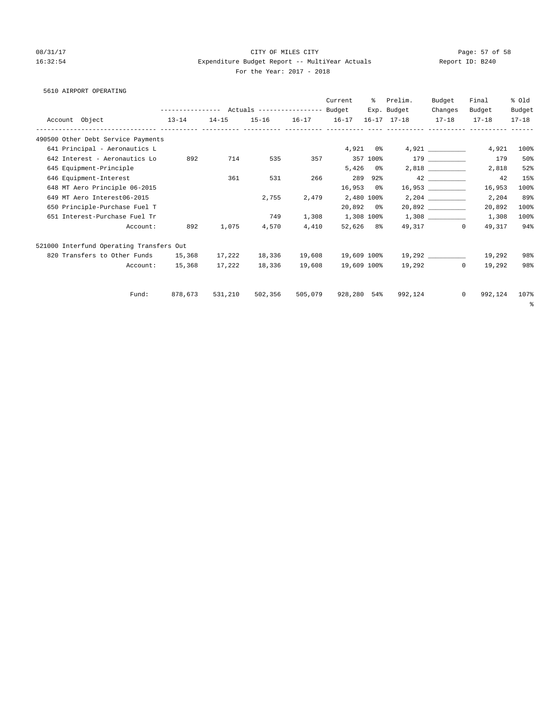### 08/31/17 Page: 57 of 58 16:32:54 Expenditure Budget Report -- MultiYear Actuals Report ID: B240 For the Year: 2017 - 2018

### 5610 AIRPORT OPERATING

|                                          |           |         |           |                                                 |         | Current        | ႜၟ         | Prelim.                                                       | Budget    | Final                   | % old     |
|------------------------------------------|-----------|---------|-----------|-------------------------------------------------|---------|----------------|------------|---------------------------------------------------------------|-----------|-------------------------|-----------|
|                                          |           |         |           | --------------- Actuals ---------------- Budget |         |                |            | Exp. Budget                                                   | Changes   | Budget                  | Budget    |
| Account Object                           | $13 - 14$ |         | $14 - 15$ | 15-16 16-17 16-17                               |         |                |            | 16-17 17-18                                                   | $17 - 18$ | $17 - 18$               | $17 - 18$ |
| 490500 Other Debt Service Payments       |           |         |           |                                                 |         |                |            |                                                               |           |                         |           |
| 641 Principal - Aeronautics L            |           |         |           |                                                 |         |                | $4,921$ 0% |                                                               |           | 4,921                   | 100%      |
| 642 Interest - Aeronautics Lo            |           | 892     | 714       | 535                                             | 357     | 357 100%       |            |                                                               | 179       | 179                     | 50%       |
| 645 Equipment-Principle                  |           |         |           |                                                 |         |                | $5,426$ 0% |                                                               | 2,818     | 2,818                   | 52%       |
| 646 Equipment-Interest                   |           |         | 361       | 531                                             | 266     | 289            | $92\%$     |                                                               |           | 42                      | 15%       |
| 648 MT Aero Principle 06-2015            |           |         |           |                                                 |         | $16,953$ 0%    |            |                                                               |           | 16,953                  | 100%      |
| 649 MT Aero Interest06-2015              |           |         |           | 2,755                                           | 2,479   | 2,480 100%     |            |                                                               |           | 2,204                   | 89%       |
| 650 Principle-Purchase Fuel T            |           |         |           |                                                 |         | $20,892$ $0\%$ |            |                                                               |           | 20,892                  | 100%      |
| 651 Interest-Purchase Fuel Tr            |           |         |           | 749                                             |         |                |            | $1,308$ $1,308$ $100$ <sup>2</sup> $1,308$ $100$ <sup>2</sup> |           | 1,308                   | 100%      |
|                                          | Account:  | 892     | 1,075     | 4,570                                           | 4,410   | 52,626 8%      |            |                                                               | 49,317 0  | 49,317                  | 94%       |
| 521000 Interfund Operating Transfers Out |           |         |           |                                                 |         |                |            |                                                               |           |                         |           |
| 820 Transfers to Other Funds             |           | 15,368  | 17,222    | 18,336                                          | 19,608  |                |            |                                                               |           | 19,292                  | 98%       |
|                                          | Account:  | 15,368  | 17,222    | 18,336                                          | 19,608  | 19,609 100%    |            |                                                               | 19,292 0  | 19,292                  | 98%       |
|                                          |           |         |           |                                                 |         |                |            |                                                               |           |                         |           |
|                                          | Fund:     | 878,673 | 531,210   | 502,356                                         | 505,079 | 928,280 54%    |            | 992,124                                                       |           | 992,124<br>$\mathbf{0}$ | 107%      |
|                                          |           |         |           |                                                 |         |                |            |                                                               |           |                         | ွေ        |